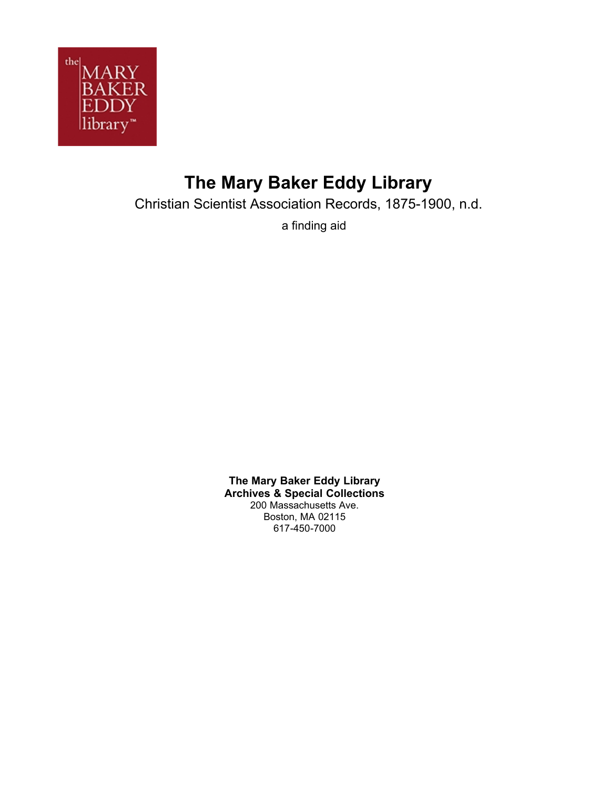

# **The Mary Baker Eddy Library**

Christian Scientist Association Records, 1875-1900, n.d.

a finding aid

**The Mary Baker Eddy Library Archives & Special Collections** 200 Massachusetts Ave. Boston, MA 02115 617-450-7000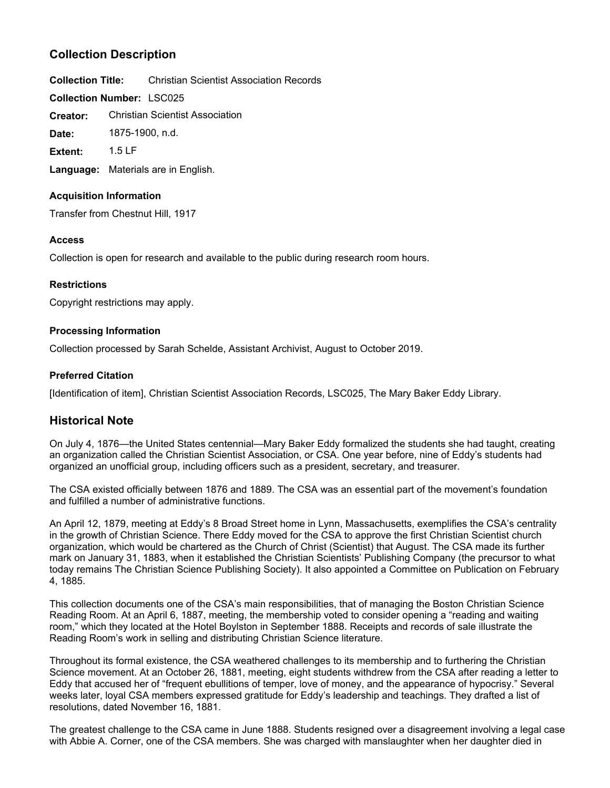## **Collection Description**

**Collection Title:** Christian Scientist Association Records

**Collection Number:** LSC025

Christian Scientist Association **Creator:**

**Date:** 1875-1900, n.d.

**Extent:** 1.5 LF

**Language:** Materials are in English.

### **Acquisition Information**

Transfer from Chestnut Hill, 1917

### **Access**

Collection is open for research and available to the public during research room hours.

## **Restrictions**

Copyright restrictions may apply.

### **Processing Information**

Collection processed by Sarah Schelde, Assistant Archivist, August to October 2019.

## **Preferred Citation**

[Identification of item], Christian Scientist Association Records, LSC025, The Mary Baker Eddy Library.

## **Historical Note**

On July 4, 1876—the United States centennial—Mary Baker Eddy formalized the students she had taught, creating an organization called the Christian Scientist Association, or CSA. One year before, nine of Eddy's students had organized an unofficial group, including officers such as a president, secretary, and treasurer.

The CSA existed officially between 1876 and 1889. The CSA was an essential part of the movement's foundation and fulfilled a number of administrative functions.

An April 12, 1879, meeting at Eddy's 8 Broad Street home in Lynn, Massachusetts, exemplifies the CSA's centrality in the growth of Christian Science. There Eddy moved for the CSA to approve the first Christian Scientist church organization, which would be chartered as the Church of Christ (Scientist) that August. The CSA made its further mark on January 31, 1883, when it established the Christian Scientists' Publishing Company (the precursor to what today remains The Christian Science Publishing Society). It also appointed a Committee on Publication on February 4, 1885.

This collection documents one of the CSA's main responsibilities, that of managing the Boston Christian Science Reading Room. At an April 6, 1887, meeting, the membership voted to consider opening a "reading and waiting room," which they located at the Hotel Boylston in September 1888. Receipts and records of sale illustrate the Reading Room's work in selling and distributing Christian Science literature.

Throughout its formal existence, the CSA weathered challenges to its membership and to furthering the Christian Science movement. At an October 26, 1881, meeting, eight students withdrew from the CSA after reading a letter to Eddy that accused her of "frequent ebullitions of temper, love of money, and the appearance of hypocrisy." Several weeks later, loyal CSA members expressed gratitude for Eddy's leadership and teachings. They drafted a list of resolutions, dated November 16, 1881.

The greatest challenge to the CSA came in June 1888. Students resigned over a disagreement involving a legal case with Abbie A. Corner, one of the CSA members. She was charged with manslaughter when her daughter died in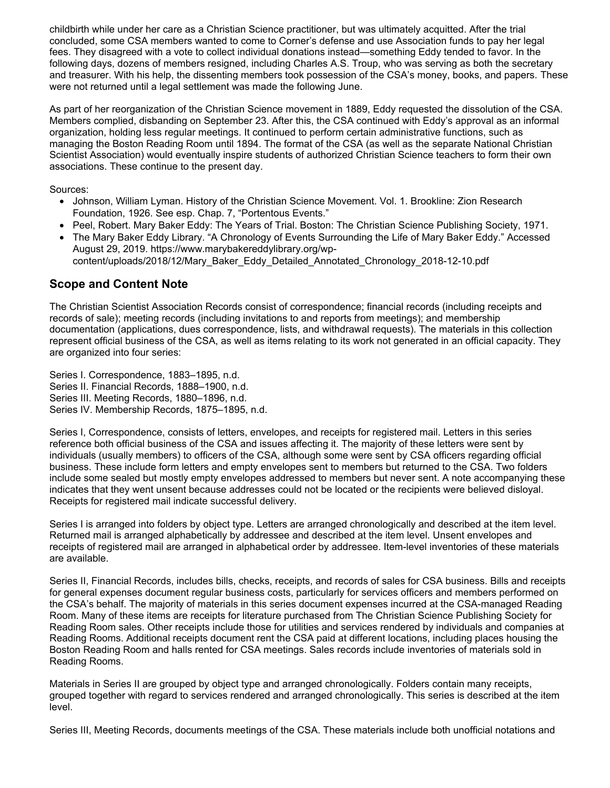childbirth while under her care as a Christian Science practitioner, but was ultimately acquitted. After the trial concluded, some CSA members wanted to come to Corner's defense and use Association funds to pay her legal fees. They disagreed with a vote to collect individual donations instead—something Eddy tended to favor. In the following days, dozens of members resigned, including Charles A.S. Troup, who was serving as both the secretary and treasurer. With his help, the dissenting members took possession of the CSA's money, books, and papers. These were not returned until a legal settlement was made the following June.

As part of her reorganization of the Christian Science movement in 1889, Eddy requested the dissolution of the CSA. Members complied, disbanding on September 23. After this, the CSA continued with Eddy's approval as an informal organization, holding less regular meetings. It continued to perform certain administrative functions, such as managing the Boston Reading Room until 1894. The format of the CSA (as well as the separate National Christian Scientist Association) would eventually inspire students of authorized Christian Science teachers to form their own associations. These continue to the present day.

Sources:

- Johnson, William Lyman. History of the Christian Science Movement. Vol. 1. Brookline: Zion Research Foundation, 1926. See esp. Chap. 7, "Portentous Events."
- Peel, Robert. Mary Baker Eddy: The Years of Trial. Boston: The Christian Science Publishing Society, 1971.
- The Mary Baker Eddy Library. "A Chronology of Events Surrounding the Life of Mary Baker Eddy." Accessed August 29, 2019. https://www.marybakereddylibrary.org/wpcontent/uploads/2018/12/Mary\_Baker\_Eddy\_Detailed\_Annotated\_Chronology\_2018-12-10.pdf

## **Scope and Content Note**

The Christian Scientist Association Records consist of correspondence; financial records (including receipts and records of sale); meeting records (including invitations to and reports from meetings); and membership documentation (applications, dues correspondence, lists, and withdrawal requests). The materials in this collection represent official business of the CSA, as well as items relating to its work not generated in an official capacity. They are organized into four series:

Series I. Correspondence, 1883–1895, n.d. Series II. Financial Records, 1888–1900, n.d. Series III. Meeting Records, 1880–1896, n.d. Series IV. Membership Records, 1875–1895, n.d.

Series I, Correspondence, consists of letters, envelopes, and receipts for registered mail. Letters in this series reference both official business of the CSA and issues affecting it. The majority of these letters were sent by individuals (usually members) to officers of the CSA, although some were sent by CSA officers regarding official business. These include form letters and empty envelopes sent to members but returned to the CSA. Two folders include some sealed but mostly empty envelopes addressed to members but never sent. A note accompanying these indicates that they went unsent because addresses could not be located or the recipients were believed disloyal. Receipts for registered mail indicate successful delivery.

Series I is arranged into folders by object type. Letters are arranged chronologically and described at the item level. Returned mail is arranged alphabetically by addressee and described at the item level. Unsent envelopes and receipts of registered mail are arranged in alphabetical order by addressee. Item-level inventories of these materials are available.

Series II, Financial Records, includes bills, checks, receipts, and records of sales for CSA business. Bills and receipts for general expenses document regular business costs, particularly for services officers and members performed on the CSA's behalf. The majority of materials in this series document expenses incurred at the CSA-managed Reading Room. Many of these items are receipts for literature purchased from The Christian Science Publishing Society for Reading Room sales. Other receipts include those for utilities and services rendered by individuals and companies at Reading Rooms. Additional receipts document rent the CSA paid at different locations, including places housing the Boston Reading Room and halls rented for CSA meetings. Sales records include inventories of materials sold in Reading Rooms.

Materials in Series II are grouped by object type and arranged chronologically. Folders contain many receipts, grouped together with regard to services rendered and arranged chronologically. This series is described at the item level.

Series III, Meeting Records, documents meetings of the CSA. These materials include both unofficial notations and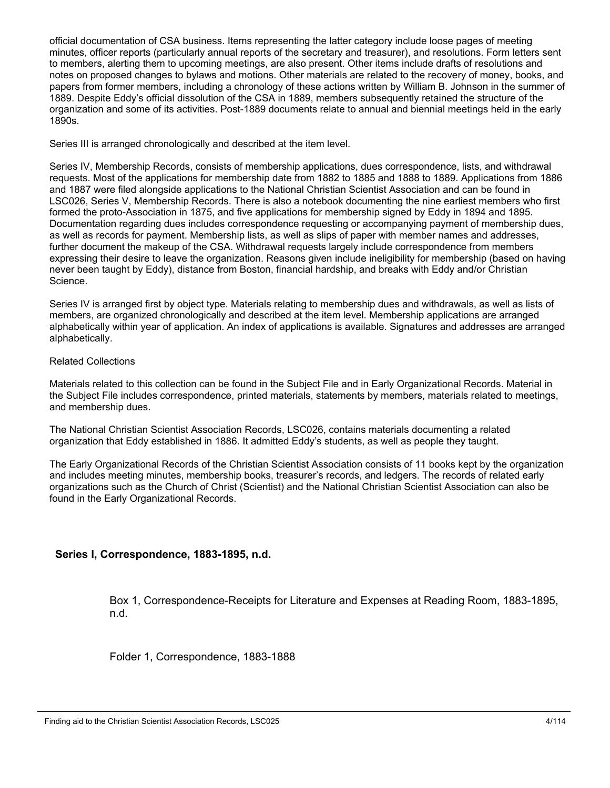official documentation of CSA business. Items representing the latter category include loose pages of meeting minutes, officer reports (particularly annual reports of the secretary and treasurer), and resolutions. Form letters sent to members, alerting them to upcoming meetings, are also present. Other items include drafts of resolutions and notes on proposed changes to bylaws and motions. Other materials are related to the recovery of money, books, and papers from former members, including a chronology of these actions written by William B. Johnson in the summer of 1889. Despite Eddy's official dissolution of the CSA in 1889, members subsequently retained the structure of the organization and some of its activities. Post-1889 documents relate to annual and biennial meetings held in the early 1890s.

Series III is arranged chronologically and described at the item level.

Series IV, Membership Records, consists of membership applications, dues correspondence, lists, and withdrawal requests. Most of the applications for membership date from 1882 to 1885 and 1888 to 1889. Applications from 1886 and 1887 were filed alongside applications to the National Christian Scientist Association and can be found in LSC026, Series V, Membership Records. There is also a notebook documenting the nine earliest members who first formed the proto-Association in 1875, and five applications for membership signed by Eddy in 1894 and 1895. Documentation regarding dues includes correspondence requesting or accompanying payment of membership dues, as well as records for payment. Membership lists, as well as slips of paper with member names and addresses, further document the makeup of the CSA. Withdrawal requests largely include correspondence from members expressing their desire to leave the organization. Reasons given include ineligibility for membership (based on having never been taught by Eddy), distance from Boston, financial hardship, and breaks with Eddy and/or Christian Science.

Series IV is arranged first by object type. Materials relating to membership dues and withdrawals, as well as lists of members, are organized chronologically and described at the item level. Membership applications are arranged alphabetically within year of application. An index of applications is available. Signatures and addresses are arranged alphabetically.

#### Related Collections

Materials related to this collection can be found in the Subject File and in Early Organizational Records. Material in the Subject File includes correspondence, printed materials, statements by members, materials related to meetings, and membership dues.

The National Christian Scientist Association Records, LSC026, contains materials documenting a related organization that Eddy established in 1886. It admitted Eddy's students, as well as people they taught.

The Early Organizational Records of the Christian Scientist Association consists of 11 books kept by the organization and includes meeting minutes, membership books, treasurer's records, and ledgers. The records of related early organizations such as the Church of Christ (Scientist) and the National Christian Scientist Association can also be found in the Early Organizational Records.

## **Series I, Correspondence, 1883-1895, n.d.**

Box 1, Correspondence-Receipts for Literature and Expenses at Reading Room, 1883-1895, n.d.

Folder 1, Correspondence, 1883-1888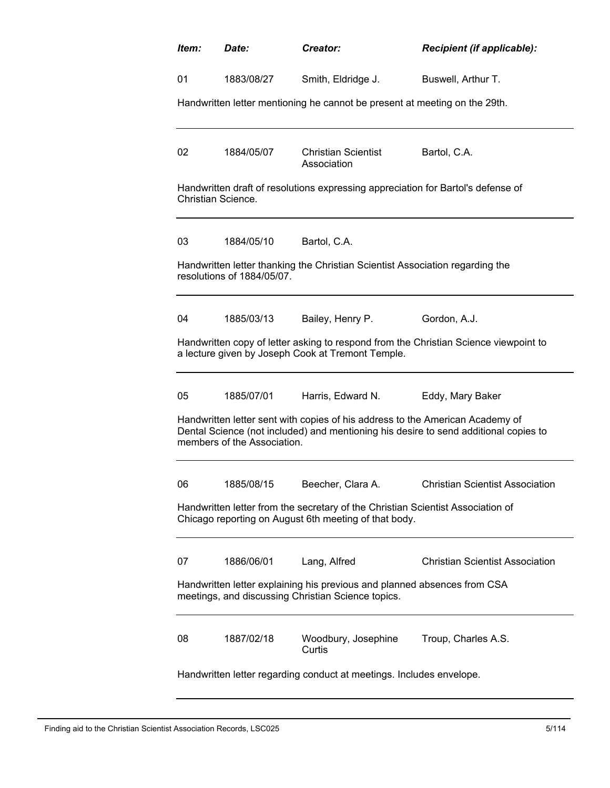| Item:                                                                                                                                    | Date:                                                                                                                          | Creator:                                                                         | Recipient (if applicable):                                                           |  |  |
|------------------------------------------------------------------------------------------------------------------------------------------|--------------------------------------------------------------------------------------------------------------------------------|----------------------------------------------------------------------------------|--------------------------------------------------------------------------------------|--|--|
| 01                                                                                                                                       | 1883/08/27                                                                                                                     | Smith, Eldridge J.                                                               | Buswell, Arthur T.                                                                   |  |  |
|                                                                                                                                          |                                                                                                                                | Handwritten letter mentioning he cannot be present at meeting on the 29th.       |                                                                                      |  |  |
| 02                                                                                                                                       | 1884/05/07                                                                                                                     | <b>Christian Scientist</b><br>Association                                        | Bartol, C.A.                                                                         |  |  |
|                                                                                                                                          | Christian Science.                                                                                                             | Handwritten draft of resolutions expressing appreciation for Bartol's defense of |                                                                                      |  |  |
| 03                                                                                                                                       | 1884/05/10                                                                                                                     | Bartol, C.A.                                                                     |                                                                                      |  |  |
|                                                                                                                                          | resolutions of 1884/05/07.                                                                                                     | Handwritten letter thanking the Christian Scientist Association regarding the    |                                                                                      |  |  |
| 04                                                                                                                                       | 1885/03/13                                                                                                                     | Bailey, Henry P.                                                                 | Gordon, A.J.                                                                         |  |  |
|                                                                                                                                          |                                                                                                                                | a lecture given by Joseph Cook at Tremont Temple.                                | Handwritten copy of letter asking to respond from the Christian Science viewpoint to |  |  |
| 05                                                                                                                                       | 1885/07/01                                                                                                                     | Harris, Edward N.                                                                | Eddy, Mary Baker                                                                     |  |  |
|                                                                                                                                          | members of the Association.                                                                                                    | Handwritten letter sent with copies of his address to the American Academy of    | Dental Science (not included) and mentioning his desire to send additional copies to |  |  |
| 06                                                                                                                                       | 1885/08/15                                                                                                                     | Beecher, Clara A                                                                 | Christian Scientist Association                                                      |  |  |
| Handwritten letter from the secretary of the Christian Scientist Association of<br>Chicago reporting on August 6th meeting of that body. |                                                                                                                                |                                                                                  |                                                                                      |  |  |
| 07                                                                                                                                       | 1886/06/01                                                                                                                     | Lang, Alfred                                                                     | <b>Christian Scientist Association</b>                                               |  |  |
|                                                                                                                                          | Handwritten letter explaining his previous and planned absences from CSA<br>meetings, and discussing Christian Science topics. |                                                                                  |                                                                                      |  |  |
| 08                                                                                                                                       | 1887/02/18                                                                                                                     | Woodbury, Josephine<br>Curtis                                                    | Troup, Charles A.S.                                                                  |  |  |
| Handwritten letter regarding conduct at meetings. Includes envelope.                                                                     |                                                                                                                                |                                                                                  |                                                                                      |  |  |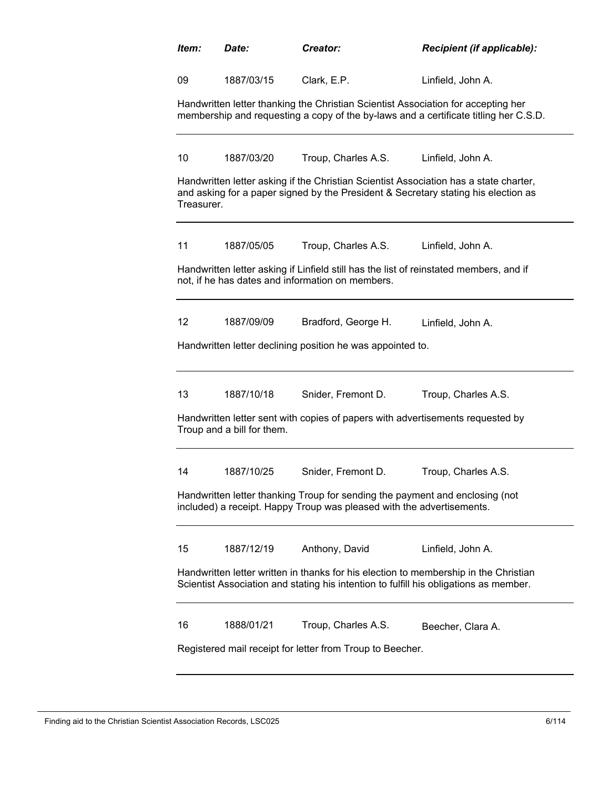| Item:                                                                                                                                                 | Date:                                                                                                                                                                         | Creator:                                                                                                                                   | Recipient (if applicable):                                                                                                                                                  |  |  |
|-------------------------------------------------------------------------------------------------------------------------------------------------------|-------------------------------------------------------------------------------------------------------------------------------------------------------------------------------|--------------------------------------------------------------------------------------------------------------------------------------------|-----------------------------------------------------------------------------------------------------------------------------------------------------------------------------|--|--|
| 09                                                                                                                                                    | 1887/03/15                                                                                                                                                                    | Clark, E.P.                                                                                                                                | Linfield, John A.                                                                                                                                                           |  |  |
|                                                                                                                                                       |                                                                                                                                                                               | Handwritten letter thanking the Christian Scientist Association for accepting her                                                          | membership and requesting a copy of the by-laws and a certificate titling her C.S.D.                                                                                        |  |  |
| 10                                                                                                                                                    | 1887/03/20                                                                                                                                                                    | Troup, Charles A.S.                                                                                                                        | Linfield, John A.                                                                                                                                                           |  |  |
| Treasurer.                                                                                                                                            |                                                                                                                                                                               |                                                                                                                                            | Handwritten letter asking if the Christian Scientist Association has a state charter,<br>and asking for a paper signed by the President & Secretary stating his election as |  |  |
| 11                                                                                                                                                    | 1887/05/05                                                                                                                                                                    | Troup, Charles A.S.                                                                                                                        | Linfield, John A.                                                                                                                                                           |  |  |
|                                                                                                                                                       |                                                                                                                                                                               | Handwritten letter asking if Linfield still has the list of reinstated members, and if<br>not, if he has dates and information on members. |                                                                                                                                                                             |  |  |
| $12 \overline{ }$                                                                                                                                     | 1887/09/09                                                                                                                                                                    | Bradford, George H.                                                                                                                        | Linfield, John A.                                                                                                                                                           |  |  |
|                                                                                                                                                       |                                                                                                                                                                               | Handwritten letter declining position he was appointed to.                                                                                 |                                                                                                                                                                             |  |  |
| 13                                                                                                                                                    | 1887/10/18                                                                                                                                                                    | Snider, Fremont D.                                                                                                                         | Troup, Charles A.S.                                                                                                                                                         |  |  |
|                                                                                                                                                       | Troup and a bill for them.                                                                                                                                                    | Handwritten letter sent with copies of papers with advertisements requested by                                                             |                                                                                                                                                                             |  |  |
| 14                                                                                                                                                    | 1887/10/25                                                                                                                                                                    | Snider, Fremont D.                                                                                                                         | Troup, Charles A.S.                                                                                                                                                         |  |  |
| Handwritten letter thanking Troup for sending the payment and enclosing (not<br>included) a receipt. Happy Troup was pleased with the advertisements. |                                                                                                                                                                               |                                                                                                                                            |                                                                                                                                                                             |  |  |
| 15                                                                                                                                                    | 1887/12/19                                                                                                                                                                    | Anthony, David                                                                                                                             | Linfield, John A.                                                                                                                                                           |  |  |
|                                                                                                                                                       | Handwritten letter written in thanks for his election to membership in the Christian<br>Scientist Association and stating his intention to fulfill his obligations as member. |                                                                                                                                            |                                                                                                                                                                             |  |  |
| 16                                                                                                                                                    | 1888/01/21                                                                                                                                                                    | Troup, Charles A.S.                                                                                                                        | Beecher, Clara A.                                                                                                                                                           |  |  |
| Registered mail receipt for letter from Troup to Beecher.                                                                                             |                                                                                                                                                                               |                                                                                                                                            |                                                                                                                                                                             |  |  |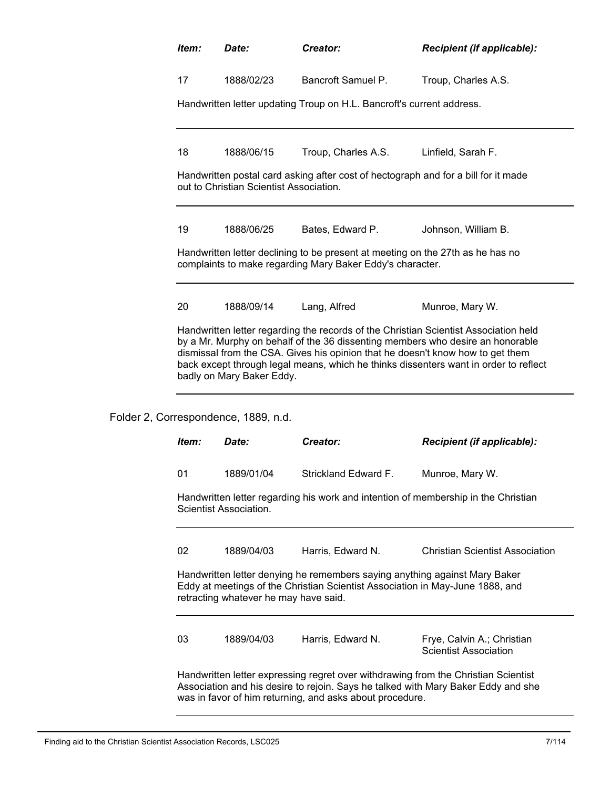| Item:                                                                                                                                                                                                                                                                                                                                                                         | Date:                                                                                                                                                                                                | Creator:                                                                                                                                    | <b>Recipient (if applicable):</b>                                                  |  |  |  |  |
|-------------------------------------------------------------------------------------------------------------------------------------------------------------------------------------------------------------------------------------------------------------------------------------------------------------------------------------------------------------------------------|------------------------------------------------------------------------------------------------------------------------------------------------------------------------------------------------------|---------------------------------------------------------------------------------------------------------------------------------------------|------------------------------------------------------------------------------------|--|--|--|--|
| 17                                                                                                                                                                                                                                                                                                                                                                            | 1888/02/23                                                                                                                                                                                           | Bancroft Samuel P.                                                                                                                          | Troup, Charles A.S.                                                                |  |  |  |  |
|                                                                                                                                                                                                                                                                                                                                                                               |                                                                                                                                                                                                      | Handwritten letter updating Troup on H.L. Bancroft's current address.                                                                       |                                                                                    |  |  |  |  |
| 18<br>1888/06/15<br>Troup, Charles A.S.<br>Linfield, Sarah F.                                                                                                                                                                                                                                                                                                                 |                                                                                                                                                                                                      |                                                                                                                                             |                                                                                    |  |  |  |  |
| Handwritten postal card asking after cost of hectograph and for a bill for it made<br>out to Christian Scientist Association.                                                                                                                                                                                                                                                 |                                                                                                                                                                                                      |                                                                                                                                             |                                                                                    |  |  |  |  |
| 19                                                                                                                                                                                                                                                                                                                                                                            | 1888/06/25                                                                                                                                                                                           | Bates, Edward P.                                                                                                                            | Johnson, William B.                                                                |  |  |  |  |
|                                                                                                                                                                                                                                                                                                                                                                               |                                                                                                                                                                                                      | Handwritten letter declining to be present at meeting on the 27th as he has no<br>complaints to make regarding Mary Baker Eddy's character. |                                                                                    |  |  |  |  |
| 20                                                                                                                                                                                                                                                                                                                                                                            | 1888/09/14                                                                                                                                                                                           | Lang, Alfred                                                                                                                                | Munroe, Mary W.                                                                    |  |  |  |  |
| Handwritten letter regarding the records of the Christian Scientist Association held<br>by a Mr. Murphy on behalf of the 36 dissenting members who desire an honorable<br>dismissal from the CSA. Gives his opinion that he doesn't know how to get them<br>back except through legal means, which he thinks dissenters want in order to reflect<br>badly on Mary Baker Eddy. |                                                                                                                                                                                                      |                                                                                                                                             |                                                                                    |  |  |  |  |
|                                                                                                                                                                                                                                                                                                                                                                               | Folder 2, Correspondence, 1889, n.d.                                                                                                                                                                 |                                                                                                                                             |                                                                                    |  |  |  |  |
| Item:                                                                                                                                                                                                                                                                                                                                                                         | Date:                                                                                                                                                                                                | Creator:                                                                                                                                    | <b>Recipient (if applicable):</b>                                                  |  |  |  |  |
| 01                                                                                                                                                                                                                                                                                                                                                                            | 1889/01/04                                                                                                                                                                                           | Strickland Edward F.                                                                                                                        | Munroe, Mary W.                                                                    |  |  |  |  |
|                                                                                                                                                                                                                                                                                                                                                                               | Scientist Association.                                                                                                                                                                               |                                                                                                                                             | Handwritten letter regarding his work and intention of membership in the Christian |  |  |  |  |
| 02                                                                                                                                                                                                                                                                                                                                                                            | 1889/04/03                                                                                                                                                                                           | Harris, Edward N.                                                                                                                           | <b>Christian Scientist Association</b>                                             |  |  |  |  |
|                                                                                                                                                                                                                                                                                                                                                                               | Handwritten letter denying he remembers saying anything against Mary Baker<br>Eddy at meetings of the Christian Scientist Association in May-June 1888, and<br>retracting whatever he may have said. |                                                                                                                                             |                                                                                    |  |  |  |  |
| 03                                                                                                                                                                                                                                                                                                                                                                            | 1889/04/03                                                                                                                                                                                           | Harris, Edward N.                                                                                                                           | Frye, Calvin A.; Christian<br><b>Scientist Association</b>                         |  |  |  |  |
|                                                                                                                                                                                                                                                                                                                                                                               |                                                                                                                                                                                                      |                                                                                                                                             | Handwritten letter expressing regret over withdrawing from the Christian Scientist |  |  |  |  |

Association and his desire to rejoin. Says he talked with Mary Baker Eddy and she was in favor of him returning, and asks about procedure.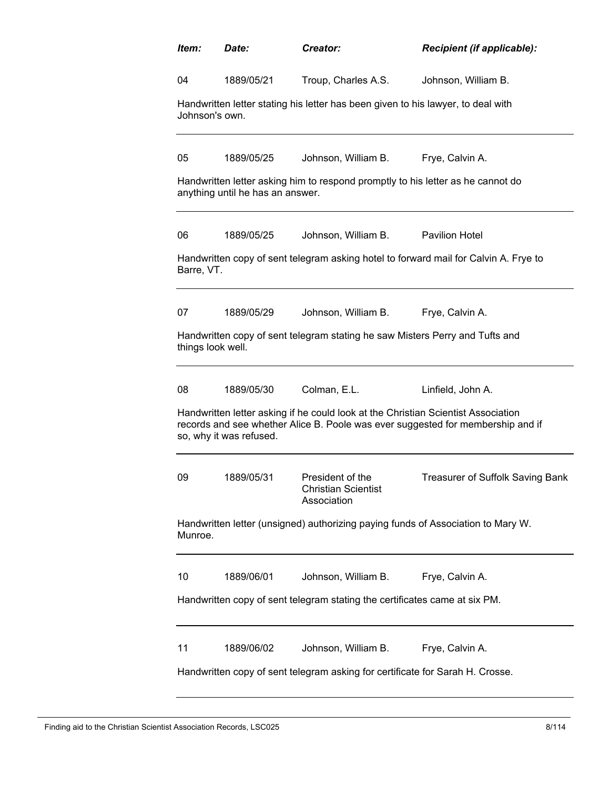| Item:                                                                                       | Date:                            | Creator:                                                                          | Recipient (if applicable):                                                           |  |  |
|---------------------------------------------------------------------------------------------|----------------------------------|-----------------------------------------------------------------------------------|--------------------------------------------------------------------------------------|--|--|
| 04                                                                                          | 1889/05/21                       | Troup, Charles A.S.                                                               | Johnson, William B.                                                                  |  |  |
| Johnson's own.                                                                              |                                  | Handwritten letter stating his letter has been given to his lawyer, to deal with  |                                                                                      |  |  |
| 05                                                                                          | 1889/05/25                       | Johnson, William B.                                                               | Frye, Calvin A.                                                                      |  |  |
|                                                                                             | anything until he has an answer. | Handwritten letter asking him to respond promptly to his letter as he cannot do   |                                                                                      |  |  |
| 06                                                                                          | 1889/05/25                       | Johnson, William B.                                                               | <b>Pavilion Hotel</b>                                                                |  |  |
| Barre, VT.                                                                                  |                                  |                                                                                   | Handwritten copy of sent telegram asking hotel to forward mail for Calvin A. Frye to |  |  |
| 07                                                                                          | 1889/05/29                       | Johnson, William B.                                                               | Frye, Calvin A.                                                                      |  |  |
| things look well.                                                                           |                                  | Handwritten copy of sent telegram stating he saw Misters Perry and Tufts and      |                                                                                      |  |  |
| 08                                                                                          | 1889/05/30                       | Colman, E.L.                                                                      | Linfield, John A.                                                                    |  |  |
|                                                                                             | so, why it was refused.          | Handwritten letter asking if he could look at the Christian Scientist Association | records and see whether Alice B. Poole was ever suggested for membership and if      |  |  |
| 09                                                                                          | 1889/05/31                       | President of the<br><b>Christian Scientist</b><br>Association                     | Treasurer of Suffolk Saving Bank                                                     |  |  |
| Handwritten letter (unsigned) authorizing paying funds of Association to Mary W.<br>Munroe. |                                  |                                                                                   |                                                                                      |  |  |
| 10                                                                                          | 1889/06/01                       | Johnson, William B.                                                               | Frye, Calvin A.                                                                      |  |  |
| Handwritten copy of sent telegram stating the certificates came at six PM.                  |                                  |                                                                                   |                                                                                      |  |  |
| 11                                                                                          | 1889/06/02                       | Johnson, William B.                                                               | Frye, Calvin A.                                                                      |  |  |
| Handwritten copy of sent telegram asking for certificate for Sarah H. Crosse.               |                                  |                                                                                   |                                                                                      |  |  |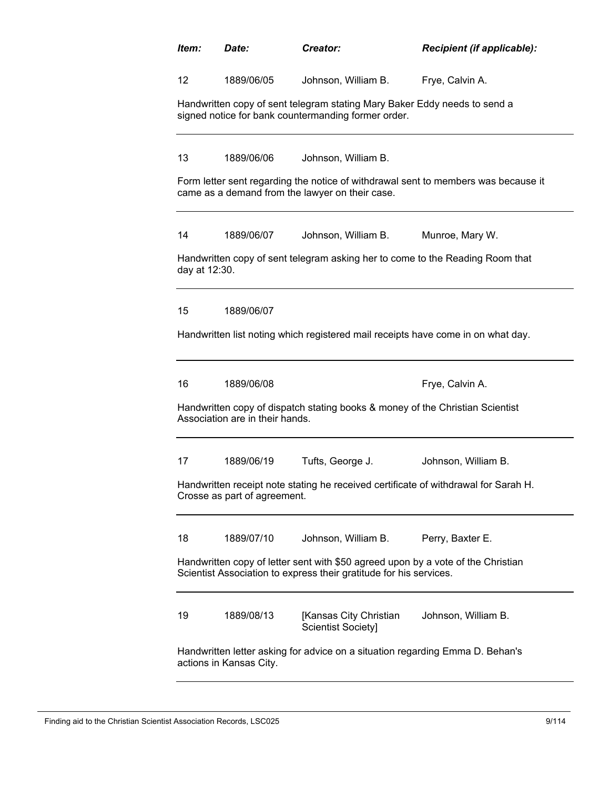| ltem:                                                                                                    | Date:                                                                                                                                                  | <b>Creator:</b>                                                                                                                  | Recipient (if applicable):                                                         |  |  |
|----------------------------------------------------------------------------------------------------------|--------------------------------------------------------------------------------------------------------------------------------------------------------|----------------------------------------------------------------------------------------------------------------------------------|------------------------------------------------------------------------------------|--|--|
| $12 \overline{ }$                                                                                        | 1889/06/05                                                                                                                                             | Johnson, William B.                                                                                                              | Frye, Calvin A.                                                                    |  |  |
|                                                                                                          |                                                                                                                                                        | Handwritten copy of sent telegram stating Mary Baker Eddy needs to send a<br>signed notice for bank countermanding former order. |                                                                                    |  |  |
| 13                                                                                                       | 1889/06/06                                                                                                                                             | Johnson, William B.                                                                                                              |                                                                                    |  |  |
|                                                                                                          |                                                                                                                                                        | came as a demand from the lawyer on their case.                                                                                  | Form letter sent regarding the notice of withdrawal sent to members was because it |  |  |
| 14                                                                                                       | 1889/06/07                                                                                                                                             | Johnson, William B.                                                                                                              | Munroe, Mary W.                                                                    |  |  |
| day at 12:30.                                                                                            |                                                                                                                                                        | Handwritten copy of sent telegram asking her to come to the Reading Room that                                                    |                                                                                    |  |  |
| 15                                                                                                       | 1889/06/07                                                                                                                                             |                                                                                                                                  |                                                                                    |  |  |
|                                                                                                          |                                                                                                                                                        | Handwritten list noting which registered mail receipts have come in on what day.                                                 |                                                                                    |  |  |
| 16                                                                                                       | 1889/06/08                                                                                                                                             |                                                                                                                                  | Frye, Calvin A.                                                                    |  |  |
|                                                                                                          | Association are in their hands.                                                                                                                        | Handwritten copy of dispatch stating books & money of the Christian Scientist                                                    |                                                                                    |  |  |
| 17                                                                                                       | 1889/06/19                                                                                                                                             | Tufts, George J.                                                                                                                 | Johnson, William B.                                                                |  |  |
|                                                                                                          | Handwritten receipt note stating he received certificate of withdrawal for Sarah H.<br>Crosse as part of agreement.                                    |                                                                                                                                  |                                                                                    |  |  |
| 18                                                                                                       | 1889/07/10                                                                                                                                             | Johnson, William B.                                                                                                              | Perry, Baxter E.                                                                   |  |  |
|                                                                                                          | Handwritten copy of letter sent with \$50 agreed upon by a vote of the Christian<br>Scientist Association to express their gratitude for his services. |                                                                                                                                  |                                                                                    |  |  |
| 19                                                                                                       | 1889/08/13                                                                                                                                             | [Kansas City Christian<br><b>Scientist Society]</b>                                                                              | Johnson, William B.                                                                |  |  |
| Handwritten letter asking for advice on a situation regarding Emma D. Behan's<br>actions in Kansas City. |                                                                                                                                                        |                                                                                                                                  |                                                                                    |  |  |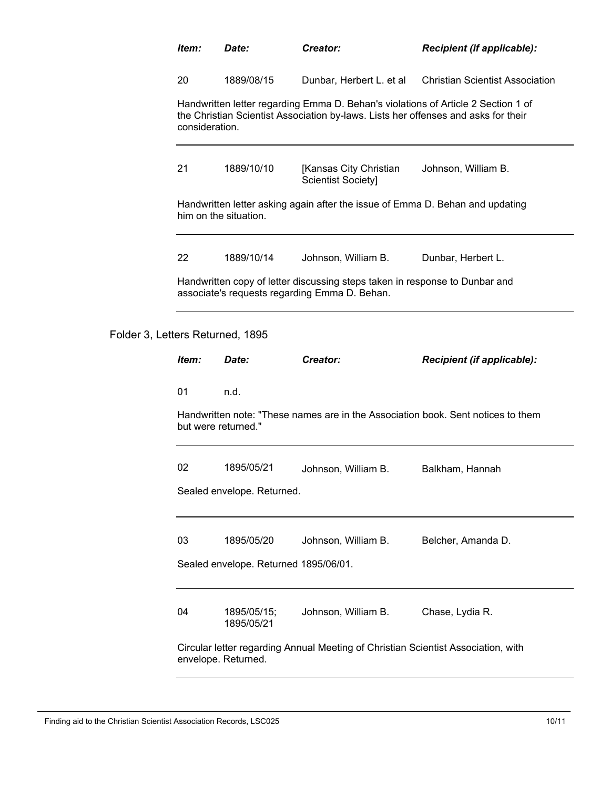| ltem:          | <i>Date:</i>                                                                             | Creator:                                                                                                                                                                | <b>Recipient (if applicable):</b>                                                |  |
|----------------|------------------------------------------------------------------------------------------|-------------------------------------------------------------------------------------------------------------------------------------------------------------------------|----------------------------------------------------------------------------------|--|
| 20             | 1889/08/15                                                                               | Dunbar, Herbert L. et al                                                                                                                                                | <b>Christian Scientist Association</b>                                           |  |
| consideration. |                                                                                          | Handwritten letter regarding Emma D. Behan's violations of Article 2 Section 1 of<br>the Christian Scientist Association by-laws. Lists her offenses and asks for their |                                                                                  |  |
| 21             | 1889/10/10<br>[Kansas City Christian<br>Johnson, William B.<br><b>Scientist Society]</b> |                                                                                                                                                                         |                                                                                  |  |
|                | him on the situation.                                                                    | Handwritten letter asking again after the issue of Emma D. Behan and updating                                                                                           |                                                                                  |  |
| 22             | 1889/10/14                                                                               | Johnson, William B.                                                                                                                                                     | Dunbar, Herbert L.                                                               |  |
|                |                                                                                          | Handwritten copy of letter discussing steps taken in response to Dunbar and<br>associate's requests regarding Emma D. Behan.                                            |                                                                                  |  |
|                | Letters Returned, 1895                                                                   |                                                                                                                                                                         |                                                                                  |  |
| Item:          | Date:                                                                                    | Creator:                                                                                                                                                                | Recipient (if applicable):                                                       |  |
| 01             | n.d.                                                                                     |                                                                                                                                                                         |                                                                                  |  |
|                | but were returned."                                                                      |                                                                                                                                                                         | Handwritten note: "These names are in the Association book. Sent notices to them |  |
| 02             | 1895/05/21                                                                               | Johnson, William B.                                                                                                                                                     | Balkham, Hannah                                                                  |  |
|                | Sealed envelope. Returned.                                                               |                                                                                                                                                                         |                                                                                  |  |
| 03             | 1895/05/20                                                                               | Johnson, William B.                                                                                                                                                     | Belcher, Amanda D.                                                               |  |
|                | Sealed envelope. Returned 1895/06/01.                                                    |                                                                                                                                                                         |                                                                                  |  |
| 04             | 1895/05/15;<br>1895/05/21                                                                | Johnson, William B.                                                                                                                                                     | Chase, Lydia R.                                                                  |  |
|                |                                                                                          |                                                                                                                                                                         |                                                                                  |  |

Folder 3,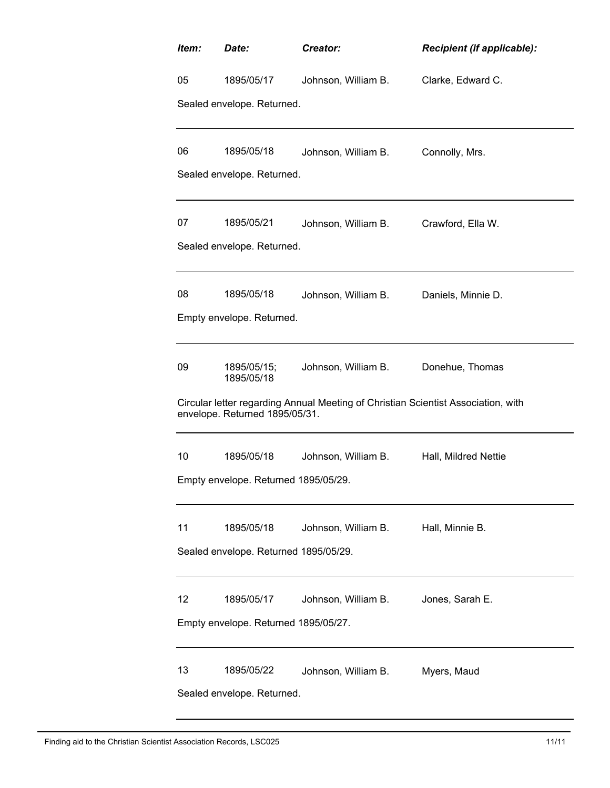| Item: | Date:                                 | Creator:                                                                          | Recipient (if applicable): |  |  |  |
|-------|---------------------------------------|-----------------------------------------------------------------------------------|----------------------------|--|--|--|
| 05    | 1895/05/17                            | Johnson, William B.                                                               | Clarke, Edward C.          |  |  |  |
|       | Sealed envelope. Returned.            |                                                                                   |                            |  |  |  |
|       |                                       |                                                                                   |                            |  |  |  |
| 06    | 1895/05/18                            | Johnson, William B.                                                               | Connolly, Mrs.             |  |  |  |
|       | Sealed envelope. Returned.            |                                                                                   |                            |  |  |  |
|       |                                       |                                                                                   |                            |  |  |  |
| 07    | 1895/05/21                            | Johnson, William B.                                                               | Crawford, Ella W.          |  |  |  |
|       | Sealed envelope. Returned.            |                                                                                   |                            |  |  |  |
| 08    | 1895/05/18                            | Johnson, William B.                                                               | Daniels, Minnie D.         |  |  |  |
|       | Empty envelope. Returned.             |                                                                                   |                            |  |  |  |
|       |                                       |                                                                                   |                            |  |  |  |
| 09    | 1895/05/15;<br>1895/05/18             | Johnson, William B.                                                               | Donehue, Thomas            |  |  |  |
|       | envelope. Returned 1895/05/31.        | Circular letter regarding Annual Meeting of Christian Scientist Association, with |                            |  |  |  |
| 10    | 1895/05/18                            | Johnson, William B.                                                               | Hall, Mildred Nettie       |  |  |  |
|       | Empty envelope. Returned 1895/05/29.  |                                                                                   |                            |  |  |  |
|       |                                       |                                                                                   |                            |  |  |  |
| 11    | 1895/05/18                            | Johnson, William B.                                                               | Hall, Minnie B.            |  |  |  |
|       | Sealed envelope. Returned 1895/05/29. |                                                                                   |                            |  |  |  |
| 12    | 1895/05/17                            | Johnson, William B.                                                               | Jones, Sarah E.            |  |  |  |
|       | Empty envelope. Returned 1895/05/27.  |                                                                                   |                            |  |  |  |
|       |                                       |                                                                                   |                            |  |  |  |
| 13    | 1895/05/22                            | Johnson, William B.                                                               | Myers, Maud                |  |  |  |
|       | Sealed envelope. Returned.            |                                                                                   |                            |  |  |  |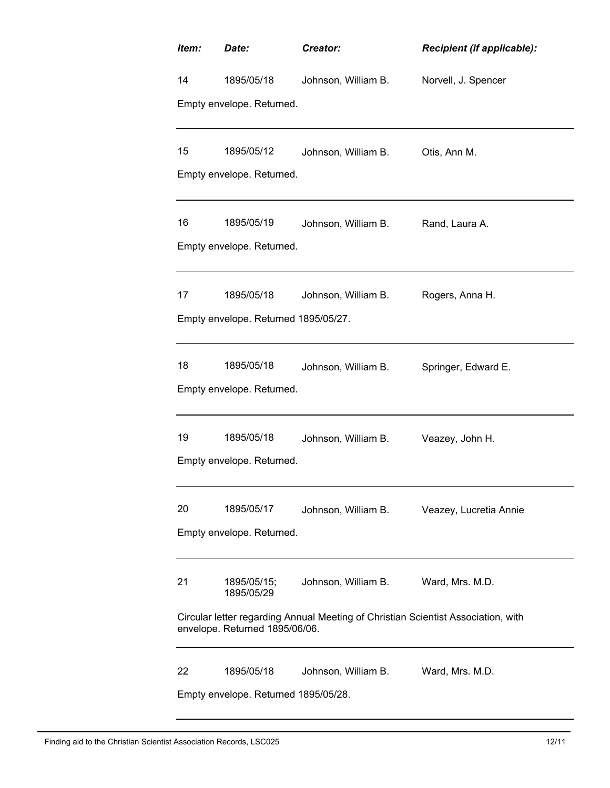| Item:                                | Date:                                                                                                               | Creator:            | Recipient (if applicable): |  |  |  |  |
|--------------------------------------|---------------------------------------------------------------------------------------------------------------------|---------------------|----------------------------|--|--|--|--|
| 14                                   | 1895/05/18                                                                                                          | Johnson, William B. | Norvell, J. Spencer        |  |  |  |  |
|                                      | Empty envelope. Returned.                                                                                           |                     |                            |  |  |  |  |
| 15                                   | 1895/05/12                                                                                                          | Johnson, William B. | Otis, Ann M.               |  |  |  |  |
|                                      | Empty envelope. Returned.                                                                                           |                     |                            |  |  |  |  |
| 16                                   | 1895/05/19                                                                                                          | Johnson, William B. | Rand, Laura A.             |  |  |  |  |
|                                      | Empty envelope. Returned.                                                                                           |                     |                            |  |  |  |  |
| 17                                   | 1895/05/18                                                                                                          | Johnson, William B. | Rogers, Anna H.            |  |  |  |  |
|                                      | Empty envelope. Returned 1895/05/27.                                                                                |                     |                            |  |  |  |  |
|                                      |                                                                                                                     |                     |                            |  |  |  |  |
| 18                                   | 1895/05/18                                                                                                          | Johnson, William B. | Springer, Edward E.        |  |  |  |  |
|                                      | Empty envelope. Returned.                                                                                           |                     |                            |  |  |  |  |
| 19                                   | 1895/05/18                                                                                                          | Johnson, William B. | Veazey, John H.            |  |  |  |  |
|                                      | Empty envelope. Returned.                                                                                           |                     |                            |  |  |  |  |
| 20                                   | 1895/05/17                                                                                                          | Johnson, William B. | Veazey, Lucretia Annie     |  |  |  |  |
|                                      | Empty envelope. Returned.                                                                                           |                     |                            |  |  |  |  |
|                                      |                                                                                                                     |                     |                            |  |  |  |  |
| 21                                   | 1895/05/15;<br>1895/05/29                                                                                           | Johnson, William B. | Ward, Mrs. M.D.            |  |  |  |  |
|                                      | Circular letter regarding Annual Meeting of Christian Scientist Association, with<br>envelope. Returned 1895/06/06. |                     |                            |  |  |  |  |
| 22                                   | 1895/05/18                                                                                                          | Johnson, William B. | Ward, Mrs. M.D.            |  |  |  |  |
| Empty envelope. Returned 1895/05/28. |                                                                                                                     |                     |                            |  |  |  |  |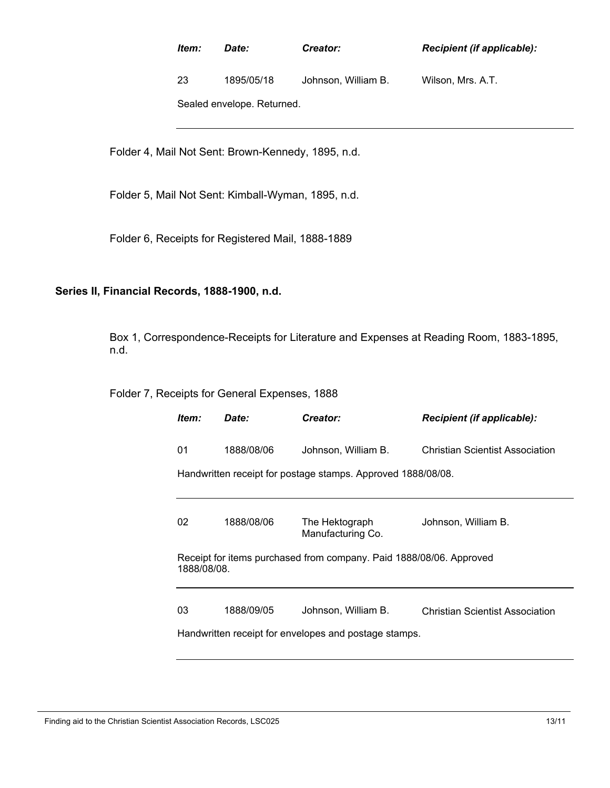| ltem:                      | <i>Date:</i> | Creator:            | <b>Recipient (if applicable):</b> |  |  |  |
|----------------------------|--------------|---------------------|-----------------------------------|--|--|--|
| 23                         | 1895/05/18   | Johnson, William B. | Wilson, Mrs. A.T.                 |  |  |  |
| Sealed envelope. Returned. |              |                     |                                   |  |  |  |

Folder 4, Mail Not Sent: Brown-Kennedy, 1895, n.d.

Folder 5, Mail Not Sent: Kimball-Wyman, 1895, n.d.

Folder 6, Receipts for Registered Mail, 1888-1889

## **Series II, Financial Records, 1888-1900, n.d.**

Box 1, Correspondence-Receipts for Literature and Expenses at Reading Room, 1883-1895, n.d.

Folder 7, Receipts for General Expenses, 1888

| ltem: | <i>Date:</i>                                                                       | Creator:                            | Recipient (if applicable):      |  |  |  |  |
|-------|------------------------------------------------------------------------------------|-------------------------------------|---------------------------------|--|--|--|--|
| 01    | 1888/08/06                                                                         | Johnson, William B.                 | Christian Scientist Association |  |  |  |  |
|       | Handwritten receipt for postage stamps. Approved 1888/08/08.                       |                                     |                                 |  |  |  |  |
|       |                                                                                    |                                     |                                 |  |  |  |  |
| 02    | 1888/08/06                                                                         | The Hektograph<br>Manufacturing Co. | Johnson, William B.             |  |  |  |  |
|       | Receipt for items purchased from company. Paid 1888/08/06. Approved<br>1888/08/08. |                                     |                                 |  |  |  |  |
| 03    | 1888/09/05                                                                         | Johnson, William B.                 | Christian Scientist Association |  |  |  |  |
|       | Handwritten receipt for envelopes and postage stamps.                              |                                     |                                 |  |  |  |  |

Finding aid to the Christian Scientist Association Records, LSC025 13/11 13/11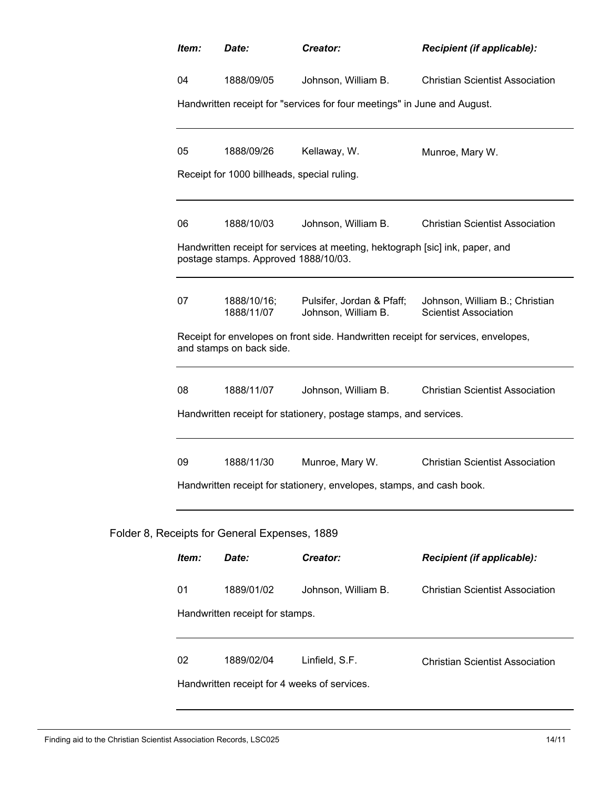| Item:                                                                                                                                                 | Date:                                         | Creator:                                                                      | Recipient (if applicable):             |  |  |  |
|-------------------------------------------------------------------------------------------------------------------------------------------------------|-----------------------------------------------|-------------------------------------------------------------------------------|----------------------------------------|--|--|--|
| 04                                                                                                                                                    | 1888/09/05                                    | Johnson, William B.                                                           | <b>Christian Scientist Association</b> |  |  |  |
|                                                                                                                                                       |                                               | Handwritten receipt for "services for four meetings" in June and August.      |                                        |  |  |  |
| 05<br>Kellaway, W.<br>1888/09/26<br>Munroe, Mary W.                                                                                                   |                                               |                                                                               |                                        |  |  |  |
| Receipt for 1000 billheads, special ruling.                                                                                                           |                                               |                                                                               |                                        |  |  |  |
| 06                                                                                                                                                    | 1888/10/03                                    | Johnson, William B.                                                           | <b>Christian Scientist Association</b> |  |  |  |
|                                                                                                                                                       | postage stamps. Approved 1888/10/03.          | Handwritten receipt for services at meeting, hektograph [sic] ink, paper, and |                                        |  |  |  |
| 07<br>1888/10/16;<br>Pulsifer, Jordan & Pfaff;<br>Johnson, William B.; Christian<br>1888/11/07<br>Johnson, William B.<br><b>Scientist Association</b> |                                               |                                                                               |                                        |  |  |  |
| Receipt for envelopes on front side. Handwritten receipt for services, envelopes,<br>and stamps on back side.                                         |                                               |                                                                               |                                        |  |  |  |
| 08<br>1888/11/07<br>Johnson, William B.<br><b>Christian Scientist Association</b>                                                                     |                                               |                                                                               |                                        |  |  |  |
|                                                                                                                                                       |                                               | Handwritten receipt for stationery, postage stamps, and services.             |                                        |  |  |  |
| 09                                                                                                                                                    | 1888/11/30                                    | Munroe, Mary W.                                                               | <b>Christian Scientist Association</b> |  |  |  |
|                                                                                                                                                       |                                               | Handwritten receipt for stationery, envelopes, stamps, and cash book.         |                                        |  |  |  |
|                                                                                                                                                       | Folder 8, Receipts for General Expenses, 1889 |                                                                               |                                        |  |  |  |
| Item:                                                                                                                                                 | Date:                                         | Creator:                                                                      | Recipient (if applicable):             |  |  |  |
| 01                                                                                                                                                    | 1889/01/02                                    | Johnson, William B.                                                           | <b>Christian Scientist Association</b> |  |  |  |
|                                                                                                                                                       | Handwritten receipt for stamps.               |                                                                               |                                        |  |  |  |
| 02                                                                                                                                                    | 1889/02/04                                    | Linfield, S.F.                                                                | <b>Christian Scientist Association</b> |  |  |  |
| Handwritten receipt for 4 weeks of services.                                                                                                          |                                               |                                                                               |                                        |  |  |  |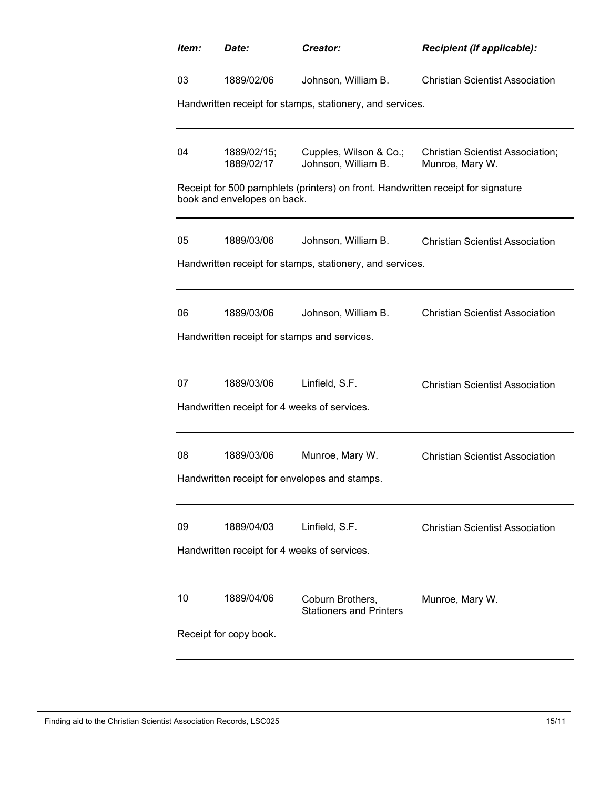| Item: | Date:                                        | Creator:                                                                         | Recipient (if applicable):                                 |  |  |  |
|-------|----------------------------------------------|----------------------------------------------------------------------------------|------------------------------------------------------------|--|--|--|
| 03    | 1889/02/06                                   | Johnson, William B.                                                              | <b>Christian Scientist Association</b>                     |  |  |  |
|       |                                              | Handwritten receipt for stamps, stationery, and services.                        |                                                            |  |  |  |
|       |                                              |                                                                                  |                                                            |  |  |  |
| 04    | 1889/02/15;<br>1889/02/17                    | Cupples, Wilson & Co.;<br>Johnson, William B.                                    | <b>Christian Scientist Association;</b><br>Munroe, Mary W. |  |  |  |
|       | book and envelopes on back.                  | Receipt for 500 pamphlets (printers) on front. Handwritten receipt for signature |                                                            |  |  |  |
| 05    | 1889/03/06                                   | Johnson, William B.                                                              | <b>Christian Scientist Association</b>                     |  |  |  |
|       |                                              | Handwritten receipt for stamps, stationery, and services.                        |                                                            |  |  |  |
|       |                                              |                                                                                  |                                                            |  |  |  |
| 06    | 1889/03/06                                   | Johnson, William B.                                                              | <b>Christian Scientist Association</b>                     |  |  |  |
|       |                                              | Handwritten receipt for stamps and services.                                     |                                                            |  |  |  |
|       |                                              |                                                                                  |                                                            |  |  |  |
| 07    | 1889/03/06                                   | Linfield, S.F.                                                                   | <b>Christian Scientist Association</b>                     |  |  |  |
|       | Handwritten receipt for 4 weeks of services. |                                                                                  |                                                            |  |  |  |
|       |                                              |                                                                                  |                                                            |  |  |  |
| 08    | 1889/03/06                                   | Munroe, Mary W.                                                                  | <b>Christian Scientist Association</b>                     |  |  |  |
|       |                                              | Handwritten receipt for envelopes and stamps.                                    |                                                            |  |  |  |
|       |                                              |                                                                                  |                                                            |  |  |  |
| 09    | 1889/04/03                                   | Linfield, S.F.                                                                   | <b>Christian Scientist Association</b>                     |  |  |  |
|       | Handwritten receipt for 4 weeks of services. |                                                                                  |                                                            |  |  |  |
|       |                                              |                                                                                  |                                                            |  |  |  |
| 10    | 1889/04/06                                   | Coburn Brothers,<br><b>Stationers and Printers</b>                               | Munroe, Mary W.                                            |  |  |  |
|       | Receipt for copy book.                       |                                                                                  |                                                            |  |  |  |
|       |                                              |                                                                                  |                                                            |  |  |  |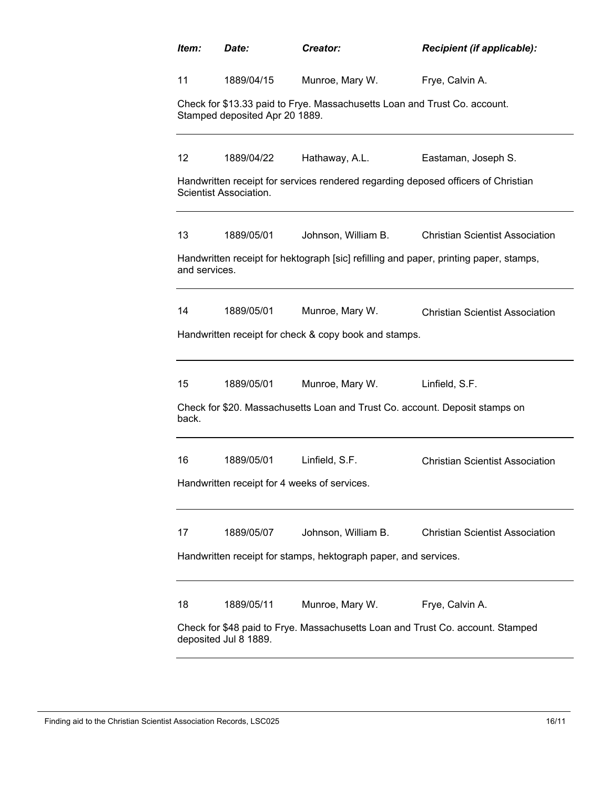| 11<br>Munroe, Mary W.<br>Frye, Calvin A.<br>1889/04/15<br>Check for \$13.33 paid to Frye. Massachusetts Loan and Trust Co. account.<br>Stamped deposited Apr 20 1889.<br>$12 \overline{ }$<br>1889/04/22<br>Hathaway, A.L.<br>Eastaman, Joseph S.<br>Handwritten receipt for services rendered regarding deposed officers of Christian<br>Scientist Association.<br>13<br>Johnson, William B.<br><b>Christian Scientist Association</b><br>1889/05/01<br>Handwritten receipt for hektograph [sic] refilling and paper, printing paper, stamps,<br>and services.<br>14<br>1889/05/01<br>Munroe, Mary W.<br><b>Christian Scientist Association</b><br>Handwritten receipt for check & copy book and stamps.<br>15<br>Munroe, Mary W.<br>Linfield, S.F.<br>1889/05/01<br>Check for \$20. Massachusetts Loan and Trust Co. account. Deposit stamps on<br>back.<br>16<br>Linfield, S.F.<br>1889/05/01<br><b>Christian Scientist Association</b><br>Handwritten receipt for 4 weeks of services<br>17<br>1889/05/07<br>Johnson, William B.<br><b>Christian Scientist Association</b><br>Handwritten receipt for stamps, hektograph paper, and services.<br>Munroe, Mary W.<br>18<br>Frye, Calvin A.<br>1889/05/11<br>Check for \$48 paid to Frye. Massachusetts Loan and Trust Co. account. Stamped<br>deposited Jul 8 1889. | Item: | Date: | Creator: | Recipient (if applicable): |  |  |  |
|------------------------------------------------------------------------------------------------------------------------------------------------------------------------------------------------------------------------------------------------------------------------------------------------------------------------------------------------------------------------------------------------------------------------------------------------------------------------------------------------------------------------------------------------------------------------------------------------------------------------------------------------------------------------------------------------------------------------------------------------------------------------------------------------------------------------------------------------------------------------------------------------------------------------------------------------------------------------------------------------------------------------------------------------------------------------------------------------------------------------------------------------------------------------------------------------------------------------------------------------------------------------------------------------------------------------|-------|-------|----------|----------------------------|--|--|--|
|                                                                                                                                                                                                                                                                                                                                                                                                                                                                                                                                                                                                                                                                                                                                                                                                                                                                                                                                                                                                                                                                                                                                                                                                                                                                                                                        |       |       |          |                            |  |  |  |
|                                                                                                                                                                                                                                                                                                                                                                                                                                                                                                                                                                                                                                                                                                                                                                                                                                                                                                                                                                                                                                                                                                                                                                                                                                                                                                                        |       |       |          |                            |  |  |  |
|                                                                                                                                                                                                                                                                                                                                                                                                                                                                                                                                                                                                                                                                                                                                                                                                                                                                                                                                                                                                                                                                                                                                                                                                                                                                                                                        |       |       |          |                            |  |  |  |
|                                                                                                                                                                                                                                                                                                                                                                                                                                                                                                                                                                                                                                                                                                                                                                                                                                                                                                                                                                                                                                                                                                                                                                                                                                                                                                                        |       |       |          |                            |  |  |  |
|                                                                                                                                                                                                                                                                                                                                                                                                                                                                                                                                                                                                                                                                                                                                                                                                                                                                                                                                                                                                                                                                                                                                                                                                                                                                                                                        |       |       |          |                            |  |  |  |
|                                                                                                                                                                                                                                                                                                                                                                                                                                                                                                                                                                                                                                                                                                                                                                                                                                                                                                                                                                                                                                                                                                                                                                                                                                                                                                                        |       |       |          |                            |  |  |  |
|                                                                                                                                                                                                                                                                                                                                                                                                                                                                                                                                                                                                                                                                                                                                                                                                                                                                                                                                                                                                                                                                                                                                                                                                                                                                                                                        |       |       |          |                            |  |  |  |
|                                                                                                                                                                                                                                                                                                                                                                                                                                                                                                                                                                                                                                                                                                                                                                                                                                                                                                                                                                                                                                                                                                                                                                                                                                                                                                                        |       |       |          |                            |  |  |  |
|                                                                                                                                                                                                                                                                                                                                                                                                                                                                                                                                                                                                                                                                                                                                                                                                                                                                                                                                                                                                                                                                                                                                                                                                                                                                                                                        |       |       |          |                            |  |  |  |
|                                                                                                                                                                                                                                                                                                                                                                                                                                                                                                                                                                                                                                                                                                                                                                                                                                                                                                                                                                                                                                                                                                                                                                                                                                                                                                                        |       |       |          |                            |  |  |  |
|                                                                                                                                                                                                                                                                                                                                                                                                                                                                                                                                                                                                                                                                                                                                                                                                                                                                                                                                                                                                                                                                                                                                                                                                                                                                                                                        |       |       |          |                            |  |  |  |
|                                                                                                                                                                                                                                                                                                                                                                                                                                                                                                                                                                                                                                                                                                                                                                                                                                                                                                                                                                                                                                                                                                                                                                                                                                                                                                                        |       |       |          |                            |  |  |  |
|                                                                                                                                                                                                                                                                                                                                                                                                                                                                                                                                                                                                                                                                                                                                                                                                                                                                                                                                                                                                                                                                                                                                                                                                                                                                                                                        |       |       |          |                            |  |  |  |
|                                                                                                                                                                                                                                                                                                                                                                                                                                                                                                                                                                                                                                                                                                                                                                                                                                                                                                                                                                                                                                                                                                                                                                                                                                                                                                                        |       |       |          |                            |  |  |  |
|                                                                                                                                                                                                                                                                                                                                                                                                                                                                                                                                                                                                                                                                                                                                                                                                                                                                                                                                                                                                                                                                                                                                                                                                                                                                                                                        |       |       |          |                            |  |  |  |
|                                                                                                                                                                                                                                                                                                                                                                                                                                                                                                                                                                                                                                                                                                                                                                                                                                                                                                                                                                                                                                                                                                                                                                                                                                                                                                                        |       |       |          |                            |  |  |  |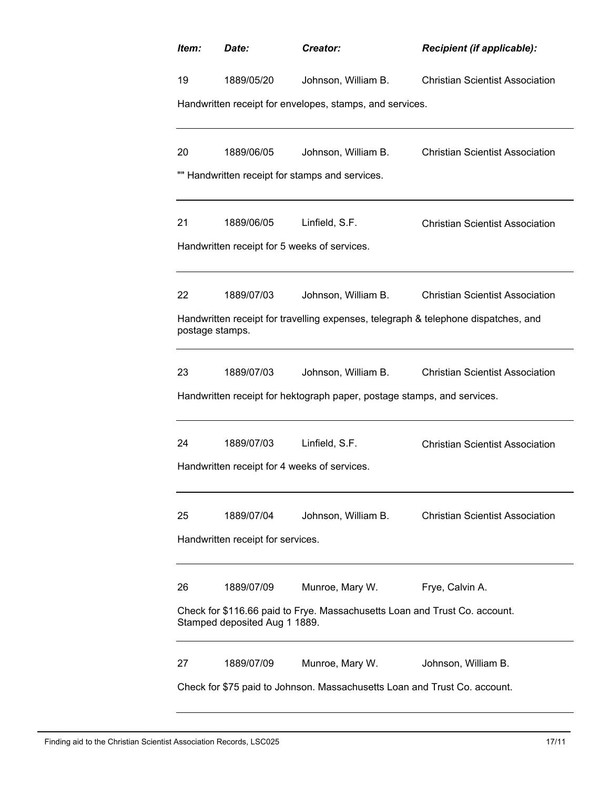| Item:                                                                                                       | Date:                                        | Creator:                                                                | <b>Recipient (if applicable):</b>                                                  |  |  |
|-------------------------------------------------------------------------------------------------------------|----------------------------------------------|-------------------------------------------------------------------------|------------------------------------------------------------------------------------|--|--|
| 19                                                                                                          | 1889/05/20                                   | Johnson, William B.                                                     | <b>Christian Scientist Association</b>                                             |  |  |
|                                                                                                             |                                              | Handwritten receipt for envelopes, stamps, and services.                |                                                                                    |  |  |
| 20                                                                                                          | 1889/06/05                                   | Johnson, William B.                                                     | <b>Christian Scientist Association</b>                                             |  |  |
|                                                                                                             |                                              | "" Handwritten receipt for stamps and services.                         |                                                                                    |  |  |
| 21                                                                                                          | 1889/06/05                                   | Linfield, S.F.                                                          | <b>Christian Scientist Association</b>                                             |  |  |
|                                                                                                             | Handwritten receipt for 5 weeks of services. |                                                                         |                                                                                    |  |  |
| 22                                                                                                          | 1889/07/03                                   | Johnson, William B.                                                     | <b>Christian Scientist Association</b>                                             |  |  |
| postage stamps.                                                                                             |                                              |                                                                         | Handwritten receipt for travelling expenses, telegraph & telephone dispatches, and |  |  |
| 23                                                                                                          | 1889/07/03                                   | Johnson, William B.                                                     | <b>Christian Scientist Association</b>                                             |  |  |
|                                                                                                             |                                              | Handwritten receipt for hektograph paper, postage stamps, and services. |                                                                                    |  |  |
| 24                                                                                                          | 1889/07/03                                   | Linfield, S.F.                                                          | <b>Christian Scientist Association</b>                                             |  |  |
|                                                                                                             | Handwritten receipt for 4 weeks of services. |                                                                         |                                                                                    |  |  |
| 25                                                                                                          | 1889/07/04                                   | Johnson, William B.                                                     | <b>Christian Scientist Association</b>                                             |  |  |
| Handwritten receipt for services.                                                                           |                                              |                                                                         |                                                                                    |  |  |
| 26                                                                                                          | 1889/07/09                                   | Munroe, Mary W.                                                         | Frye, Calvin A.                                                                    |  |  |
| Check for \$116.66 paid to Frye. Massachusetts Loan and Trust Co. account.<br>Stamped deposited Aug 1 1889. |                                              |                                                                         |                                                                                    |  |  |
| 27                                                                                                          | 1889/07/09                                   | Munroe, Mary W.                                                         | Johnson, William B.                                                                |  |  |
| Check for \$75 paid to Johnson. Massachusetts Loan and Trust Co. account.                                   |                                              |                                                                         |                                                                                    |  |  |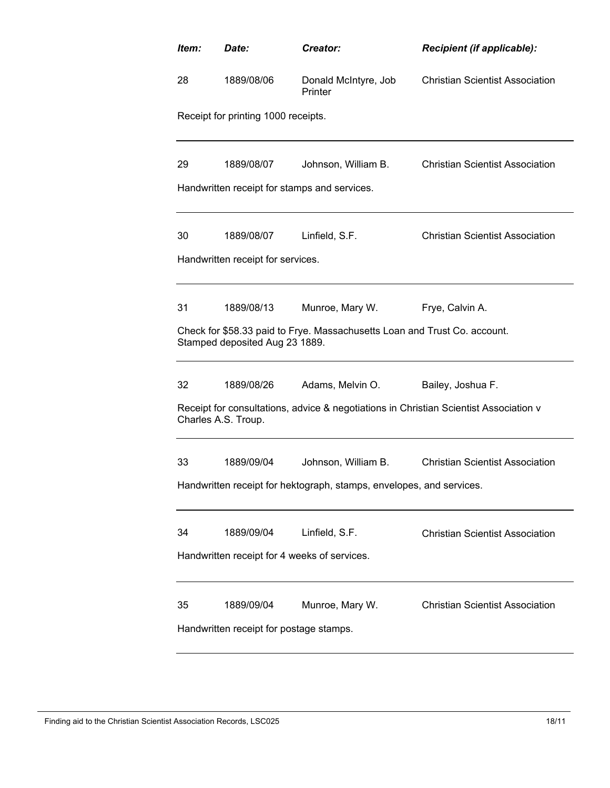| Item: | Date:                                                                | Creator:                                                                  | Recipient (if applicable):                                                            |  |  |  |  |
|-------|----------------------------------------------------------------------|---------------------------------------------------------------------------|---------------------------------------------------------------------------------------|--|--|--|--|
| 28    | 1889/08/06                                                           | Donald McIntyre, Job<br>Printer                                           | <b>Christian Scientist Association</b>                                                |  |  |  |  |
|       | Receipt for printing 1000 receipts.                                  |                                                                           |                                                                                       |  |  |  |  |
| 29    | 1889/08/07                                                           | Johnson, William B.                                                       | <b>Christian Scientist Association</b>                                                |  |  |  |  |
|       |                                                                      | Handwritten receipt for stamps and services.                              |                                                                                       |  |  |  |  |
| 30    | 1889/08/07                                                           | Linfield, S.F.                                                            | <b>Christian Scientist Association</b>                                                |  |  |  |  |
|       | Handwritten receipt for services.                                    |                                                                           |                                                                                       |  |  |  |  |
| 31    | 1889/08/13                                                           | Munroe, Mary W.                                                           | Frye, Calvin A.                                                                       |  |  |  |  |
|       | Stamped deposited Aug 23 1889.                                       | Check for \$58.33 paid to Frye. Massachusetts Loan and Trust Co. account. |                                                                                       |  |  |  |  |
| 32    | 1889/08/26                                                           | Adams, Melvin O.                                                          | Bailey, Joshua F.                                                                     |  |  |  |  |
|       | Charles A.S. Troup.                                                  |                                                                           | Receipt for consultations, advice & negotiations in Christian Scientist Association v |  |  |  |  |
| 33    | 1889/09/04                                                           | Johnson, William B.                                                       | <b>Christian Scientist Association</b>                                                |  |  |  |  |
|       | Handwritten receipt for hektograph, stamps, envelopes, and services. |                                                                           |                                                                                       |  |  |  |  |
| 34    | 1889/09/04                                                           | Linfield, S.F.                                                            | <b>Christian Scientist Association</b>                                                |  |  |  |  |
|       | Handwritten receipt for 4 weeks of services.                         |                                                                           |                                                                                       |  |  |  |  |
| 35    | 1889/09/04<br>Handwritten receipt for postage stamps.                | Munroe, Mary W.                                                           | <b>Christian Scientist Association</b>                                                |  |  |  |  |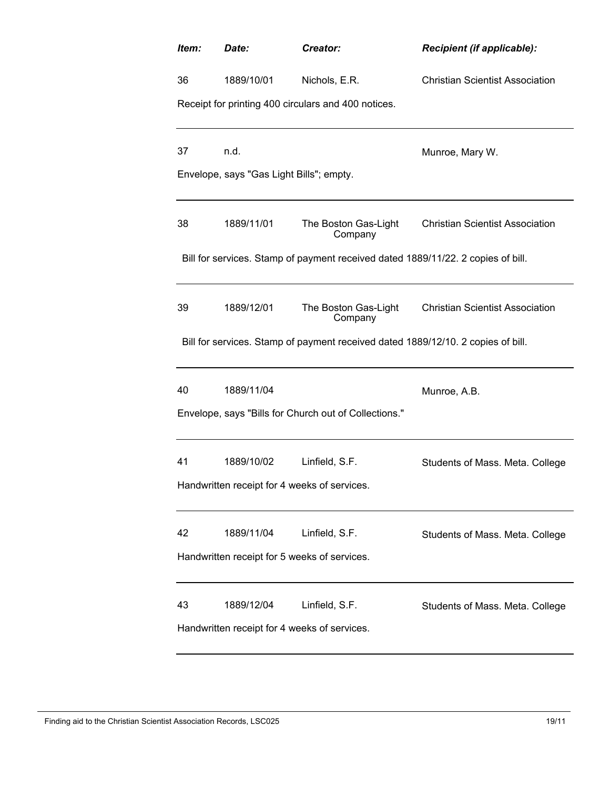| Item:                                        | Date:                                        | Creator:                                                                         | Recipient (if applicable):             |  |  |  |
|----------------------------------------------|----------------------------------------------|----------------------------------------------------------------------------------|----------------------------------------|--|--|--|
| 36                                           | 1889/10/01                                   | Nichols, E.R.                                                                    | <b>Christian Scientist Association</b> |  |  |  |
|                                              |                                              | Receipt for printing 400 circulars and 400 notices.                              |                                        |  |  |  |
| 37                                           | n.d.                                         |                                                                                  |                                        |  |  |  |
|                                              | Envelope, says "Gas Light Bills"; empty.     |                                                                                  | Munroe, Mary W.                        |  |  |  |
|                                              |                                              |                                                                                  |                                        |  |  |  |
| 38                                           | 1889/11/01                                   | The Boston Gas-Light<br>Company                                                  | <b>Christian Scientist Association</b> |  |  |  |
|                                              |                                              | Bill for services. Stamp of payment received dated 1889/11/22. 2 copies of bill. |                                        |  |  |  |
| 39                                           | 1889/12/01                                   | The Boston Gas-Light<br>Company                                                  | <b>Christian Scientist Association</b> |  |  |  |
|                                              |                                              | Bill for services. Stamp of payment received dated 1889/12/10. 2 copies of bill. |                                        |  |  |  |
| 40                                           | 1889/11/04                                   |                                                                                  | Munroe, A.B.                           |  |  |  |
|                                              |                                              | Envelope, says "Bills for Church out of Collections."                            |                                        |  |  |  |
| 41                                           | 1889/10/02                                   | Linfield, S.F.                                                                   | Students of Mass. Meta. College        |  |  |  |
|                                              | Handwritten receipt for 4 weeks of services. |                                                                                  |                                        |  |  |  |
| 42                                           | 1889/11/04                                   | Linfield, S.F.                                                                   | Students of Mass. Meta. College        |  |  |  |
|                                              | Handwritten receipt for 5 weeks of services. |                                                                                  |                                        |  |  |  |
| 43                                           | 1889/12/04                                   | Linfield, S.F.                                                                   | Students of Mass. Meta. College        |  |  |  |
| Handwritten receipt for 4 weeks of services. |                                              |                                                                                  |                                        |  |  |  |

#### Finding aid to the Christian Scientist Association Records, LSC025 19/11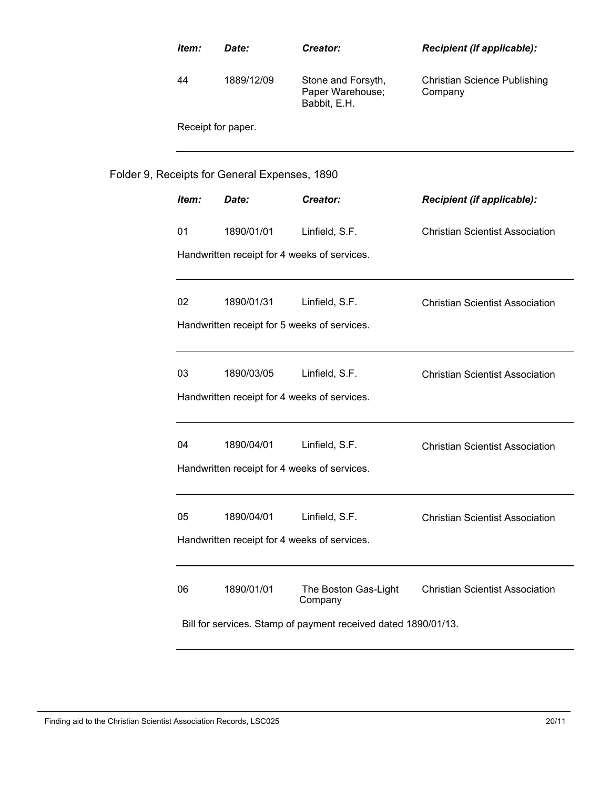| Item:                                                          | Date:                                         | Creator:                                               | Recipient (if applicable):                     |  |
|----------------------------------------------------------------|-----------------------------------------------|--------------------------------------------------------|------------------------------------------------|--|
| 44                                                             | 1889/12/09                                    | Stone and Forsyth,<br>Paper Warehouse;<br>Babbit, E.H. | <b>Christian Science Publishing</b><br>Company |  |
| Receipt for paper.                                             |                                               |                                                        |                                                |  |
|                                                                | Folder 9, Receipts for General Expenses, 1890 |                                                        |                                                |  |
| Item:                                                          | Date:                                         | Creator:                                               | Recipient (if applicable):                     |  |
| 01                                                             | 1890/01/01                                    | Linfield, S.F.                                         | <b>Christian Scientist Association</b>         |  |
|                                                                | Handwritten receipt for 4 weeks of services.  |                                                        |                                                |  |
| 02                                                             | 1890/01/31                                    | Linfield, S.F.                                         | <b>Christian Scientist Association</b>         |  |
| Handwritten receipt for 5 weeks of services.                   |                                               |                                                        |                                                |  |
| 03                                                             | 1890/03/05                                    | Linfield, S.F.                                         | <b>Christian Scientist Association</b>         |  |
|                                                                | Handwritten receipt for 4 weeks of services.  |                                                        |                                                |  |
| 04                                                             | 1890/04/01                                    | Linfield, S.F.                                         | <b>Christian Scientist Association</b>         |  |
|                                                                | Handwritten receipt for 4 weeks of services.  |                                                        |                                                |  |
| 05                                                             | 1890/04/01                                    | Linfield, S.F.                                         | <b>Christian Scientist Association</b>         |  |
| Handwritten receipt for 4 weeks of services.                   |                                               |                                                        |                                                |  |
| 06                                                             | 1890/01/01                                    | The Boston Gas-Light<br>Company                        | <b>Christian Scientist Association</b>         |  |
| Bill for services. Stamp of payment received dated 1890/01/13. |                                               |                                                        |                                                |  |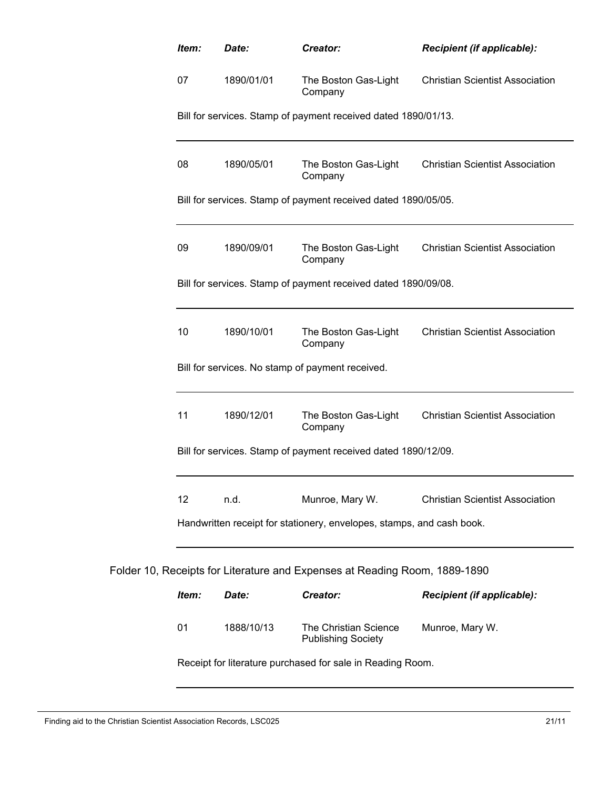| Item:                                                                 | Date:      | Creator:                                                                   | Recipient (if applicable):                           |  |  |
|-----------------------------------------------------------------------|------------|----------------------------------------------------------------------------|------------------------------------------------------|--|--|
| 07                                                                    | 1890/01/01 | The Boston Gas-Light<br>Company                                            | <b>Christian Scientist Association</b>               |  |  |
|                                                                       |            | Bill for services. Stamp of payment received dated 1890/01/13.             |                                                      |  |  |
| 08                                                                    | 1890/05/01 | Company                                                                    | The Boston Gas-Light Christian Scientist Association |  |  |
| Bill for services. Stamp of payment received dated 1890/05/05.        |            |                                                                            |                                                      |  |  |
| 09                                                                    | 1890/09/01 | Company                                                                    | The Boston Gas-Light Christian Scientist Association |  |  |
|                                                                       |            | Bill for services. Stamp of payment received dated 1890/09/08.             |                                                      |  |  |
| 10                                                                    | 1890/10/01 | The Boston Gas-Light<br>Company                                            | <b>Christian Scientist Association</b>               |  |  |
|                                                                       |            | Bill for services. No stamp of payment received.                           |                                                      |  |  |
| 11                                                                    | 1890/12/01 | The Boston Gas-Light<br>Company                                            | <b>Christian Scientist Association</b>               |  |  |
|                                                                       |            | Bill for services. Stamp of payment received dated 1890/12/09.             |                                                      |  |  |
| 12                                                                    | n.d.       | Munroe, Mary W.                                                            | <b>Christian Scientist Association</b>               |  |  |
| Handwritten receipt for stationery, envelopes, stamps, and cash book. |            |                                                                            |                                                      |  |  |
|                                                                       |            | Folder 10, Receipts for Literature and Expenses at Reading Room, 1889-1890 |                                                      |  |  |
| Item:                                                                 | Date:      | Creator:                                                                   | Recipient (if applicable):                           |  |  |
| 01                                                                    | 1888/10/13 | The Christian Science<br><b>Publishing Society</b>                         | Munroe, Mary W.                                      |  |  |
|                                                                       |            | Receipt for literature purchased for sale in Reading Room.                 |                                                      |  |  |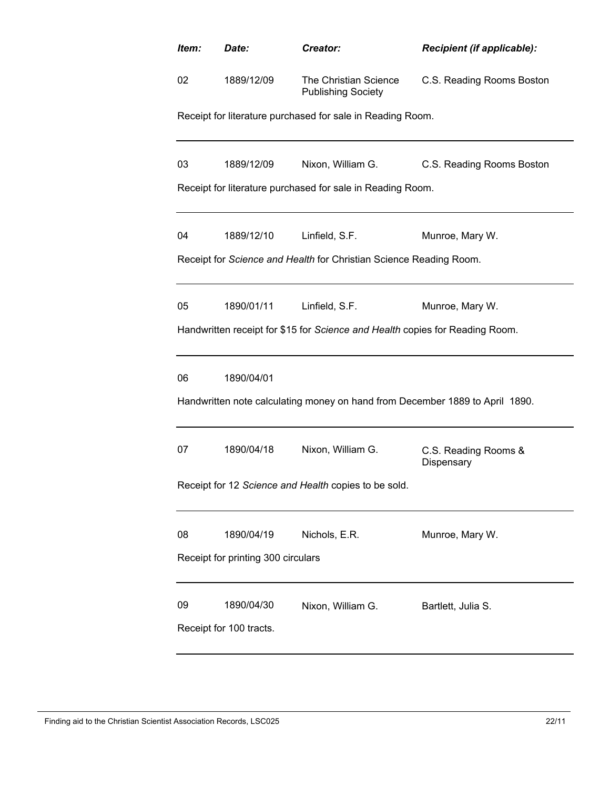| Item: | Date:                                                                                      | Creator:                                                                     | Recipient (if applicable):         |  |  |  |  |
|-------|--------------------------------------------------------------------------------------------|------------------------------------------------------------------------------|------------------------------------|--|--|--|--|
| 02    | 1889/12/09                                                                                 | The Christian Science<br><b>Publishing Society</b>                           | C.S. Reading Rooms Boston          |  |  |  |  |
|       |                                                                                            | Receipt for literature purchased for sale in Reading Room.                   |                                    |  |  |  |  |
| 03    | 1889/12/09                                                                                 | Nixon, William G.                                                            | C.S. Reading Rooms Boston          |  |  |  |  |
|       |                                                                                            | Receipt for literature purchased for sale in Reading Room.                   |                                    |  |  |  |  |
| 04    | 1889/12/10                                                                                 | Linfield, S.F.                                                               | Munroe, Mary W.                    |  |  |  |  |
|       |                                                                                            | Receipt for Science and Health for Christian Science Reading Room.           |                                    |  |  |  |  |
| 05    | 1890/01/11                                                                                 | Linfield, S.F.                                                               | Munroe, Mary W.                    |  |  |  |  |
|       |                                                                                            | Handwritten receipt for \$15 for Science and Health copies for Reading Room. |                                    |  |  |  |  |
| 06    | 1890/04/01<br>Handwritten note calculating money on hand from December 1889 to April 1890. |                                                                              |                                    |  |  |  |  |
| 07    | 1890/04/18                                                                                 | Nixon, William G.<br>Receipt for 12 Science and Health copies to be sold.    | C.S. Reading Rooms &<br>Dispensary |  |  |  |  |
|       |                                                                                            |                                                                              |                                    |  |  |  |  |
| 08    | 1890/04/19                                                                                 | Nichols, E.R.                                                                | Munroe, Mary W.                    |  |  |  |  |
|       | Receipt for printing 300 circulars                                                         |                                                                              |                                    |  |  |  |  |
| 09    | 1890/04/30<br>Receipt for 100 tracts.                                                      | Nixon, William G.                                                            | Bartlett, Julia S.                 |  |  |  |  |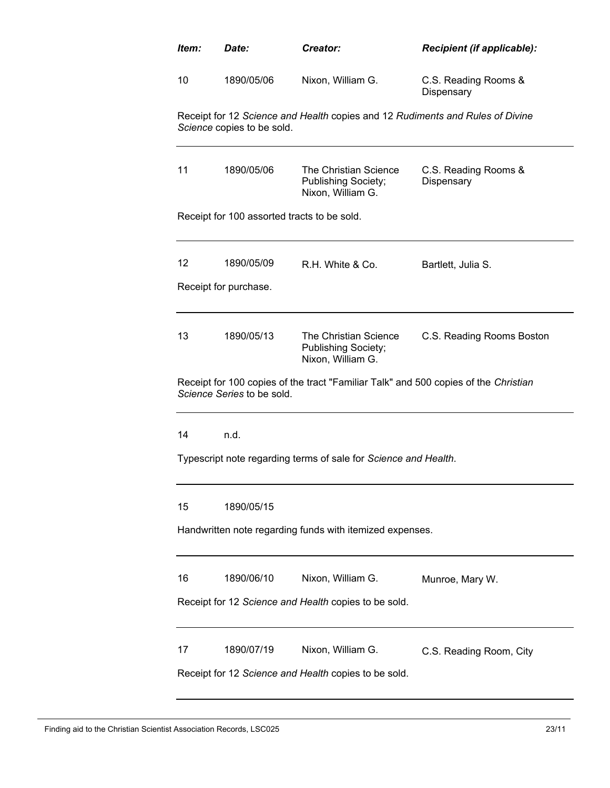| ltem:                                                    | Date:                                                | Creator:                                                                            | <b>Recipient (if applicable):</b>  |  |  |  |
|----------------------------------------------------------|------------------------------------------------------|-------------------------------------------------------------------------------------|------------------------------------|--|--|--|
| 10                                                       | 1890/05/06                                           | Nixon, William G.                                                                   | C.S. Reading Rooms &<br>Dispensary |  |  |  |
|                                                          | Science copies to be sold.                           | Receipt for 12 Science and Health copies and 12 Rudiments and Rules of Divine       |                                    |  |  |  |
| 11                                                       | 1890/05/06                                           | The Christian Science<br>Publishing Society;<br>Nixon, William G.                   | C.S. Reading Rooms &<br>Dispensary |  |  |  |
|                                                          | Receipt for 100 assorted tracts to be sold.          |                                                                                     |                                    |  |  |  |
| 12                                                       | 1890/05/09<br>Receipt for purchase.                  | R.H. White & Co.                                                                    | Bartlett, Julia S.                 |  |  |  |
|                                                          |                                                      |                                                                                     |                                    |  |  |  |
| 13                                                       | 1890/05/13                                           | The Christian Science<br>Publishing Society;<br>Nixon, William G.                   | C.S. Reading Rooms Boston          |  |  |  |
|                                                          | Science Series to be sold.                           | Receipt for 100 copies of the tract "Familiar Talk" and 500 copies of the Christian |                                    |  |  |  |
| 14                                                       | n.d.                                                 |                                                                                     |                                    |  |  |  |
|                                                          |                                                      | Typescript note regarding terms of sale for Science and Health.                     |                                    |  |  |  |
| 15                                                       | 1890/05/15                                           |                                                                                     |                                    |  |  |  |
| Handwritten note regarding funds with itemized expenses. |                                                      |                                                                                     |                                    |  |  |  |
| 16                                                       | 1890/06/10                                           | Nixon, William G.                                                                   | Munroe, Mary W.                    |  |  |  |
|                                                          | Receipt for 12 Science and Health copies to be sold. |                                                                                     |                                    |  |  |  |
| 17                                                       | 1890/07/19                                           | Nixon, William G.<br>Receipt for 12 Science and Health copies to be sold.           | C.S. Reading Room, City            |  |  |  |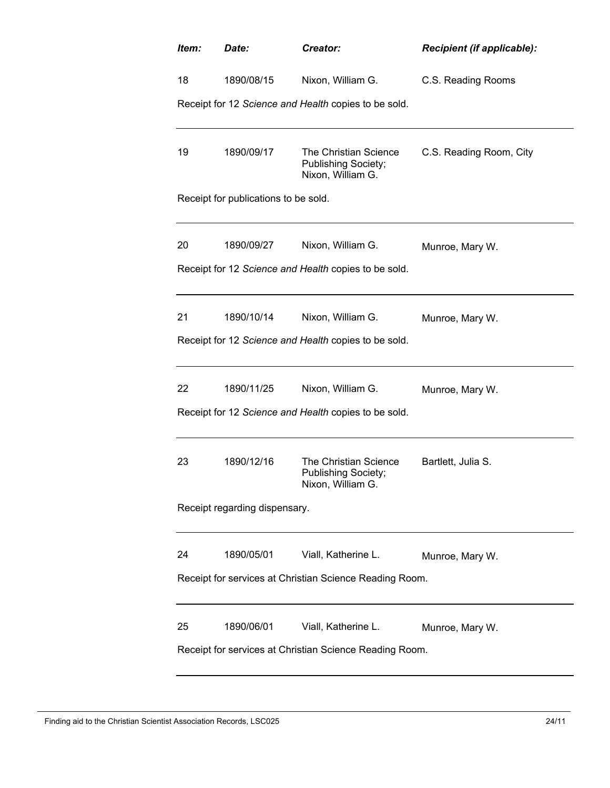| Creator:                                                                 | <b>Recipient (if applicable):</b>                                                                                                                                                                                                                                                                                               |  |  |  |  |
|--------------------------------------------------------------------------|---------------------------------------------------------------------------------------------------------------------------------------------------------------------------------------------------------------------------------------------------------------------------------------------------------------------------------|--|--|--|--|
| Nixon, William G.                                                        | C.S. Reading Rooms                                                                                                                                                                                                                                                                                                              |  |  |  |  |
|                                                                          |                                                                                                                                                                                                                                                                                                                                 |  |  |  |  |
| The Christian Science<br><b>Publishing Society;</b><br>Nixon, William G. | C.S. Reading Room, City                                                                                                                                                                                                                                                                                                         |  |  |  |  |
|                                                                          |                                                                                                                                                                                                                                                                                                                                 |  |  |  |  |
| Nixon, William G.                                                        | Munroe, Mary W.                                                                                                                                                                                                                                                                                                                 |  |  |  |  |
|                                                                          |                                                                                                                                                                                                                                                                                                                                 |  |  |  |  |
| Nixon, William G.                                                        | Munroe, Mary W.                                                                                                                                                                                                                                                                                                                 |  |  |  |  |
|                                                                          |                                                                                                                                                                                                                                                                                                                                 |  |  |  |  |
| Nixon, William G.                                                        | Munroe, Mary W.                                                                                                                                                                                                                                                                                                                 |  |  |  |  |
|                                                                          |                                                                                                                                                                                                                                                                                                                                 |  |  |  |  |
| The Christian Science<br><b>Publishing Society;</b><br>Nixon, William G. | Bartlett, Julia S.                                                                                                                                                                                                                                                                                                              |  |  |  |  |
| Receipt regarding dispensary.                                            |                                                                                                                                                                                                                                                                                                                                 |  |  |  |  |
| Viall, Katherine L.                                                      | Munroe, Mary W.                                                                                                                                                                                                                                                                                                                 |  |  |  |  |
| Receipt for services at Christian Science Reading Room.                  |                                                                                                                                                                                                                                                                                                                                 |  |  |  |  |
| Viall, Katherine L.                                                      | Munroe, Mary W.                                                                                                                                                                                                                                                                                                                 |  |  |  |  |
|                                                                          | Receipt for 12 Science and Health copies to be sold.<br>Receipt for publications to be sold.<br>Receipt for 12 Science and Health copies to be sold.<br>Receipt for 12 Science and Health copies to be sold.<br>Receipt for 12 Science and Health copies to be sold.<br>Receipt for services at Christian Science Reading Room. |  |  |  |  |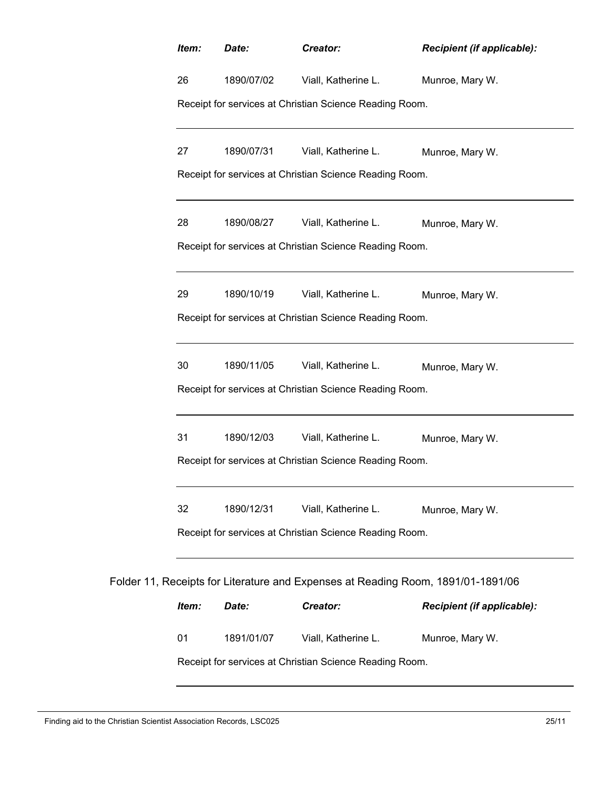| Item:                                                   | Date:      | Creator:                                                                         | <b>Recipient (if applicable):</b> |  |
|---------------------------------------------------------|------------|----------------------------------------------------------------------------------|-----------------------------------|--|
| 26                                                      | 1890/07/02 | Viall, Katherine L.                                                              | Munroe, Mary W.                   |  |
|                                                         |            | Receipt for services at Christian Science Reading Room.                          |                                   |  |
| 27                                                      | 1890/07/31 | Viall, Katherine L.                                                              | Munroe, Mary W.                   |  |
|                                                         |            | Receipt for services at Christian Science Reading Room.                          |                                   |  |
| 28                                                      | 1890/08/27 | Viall, Katherine L.                                                              | Munroe, Mary W.                   |  |
| Receipt for services at Christian Science Reading Room. |            |                                                                                  |                                   |  |
| 29                                                      | 1890/10/19 | Viall, Katherine L.                                                              | Munroe, Mary W.                   |  |
| Receipt for services at Christian Science Reading Room. |            |                                                                                  |                                   |  |
| 30                                                      | 1890/11/05 | Viall, Katherine L.                                                              | Munroe, Mary W.                   |  |
| Receipt for services at Christian Science Reading Room. |            |                                                                                  |                                   |  |
| 31                                                      | 1890/12/03 | Viall, Katherine L.                                                              | Munroe, Mary W.                   |  |
|                                                         |            | Receipt for services at Christian Science Reading Room.                          |                                   |  |
| 32                                                      | 1890/12/31 | Viall, Katherine L.                                                              | Munroe, Mary W.                   |  |
|                                                         |            | Receipt for services at Christian Science Reading Room.                          |                                   |  |
|                                                         |            | Folder 11, Receipts for Literature and Expenses at Reading Room, 1891/01-1891/06 |                                   |  |
| Item:                                                   | Date:      | Creator:                                                                         | Recipient (if applicable):        |  |
| 01                                                      | 1891/01/07 | Viall, Katherine L.                                                              | Munroe, Mary W.                   |  |
| Receipt for services at Christian Science Reading Room. |            |                                                                                  |                                   |  |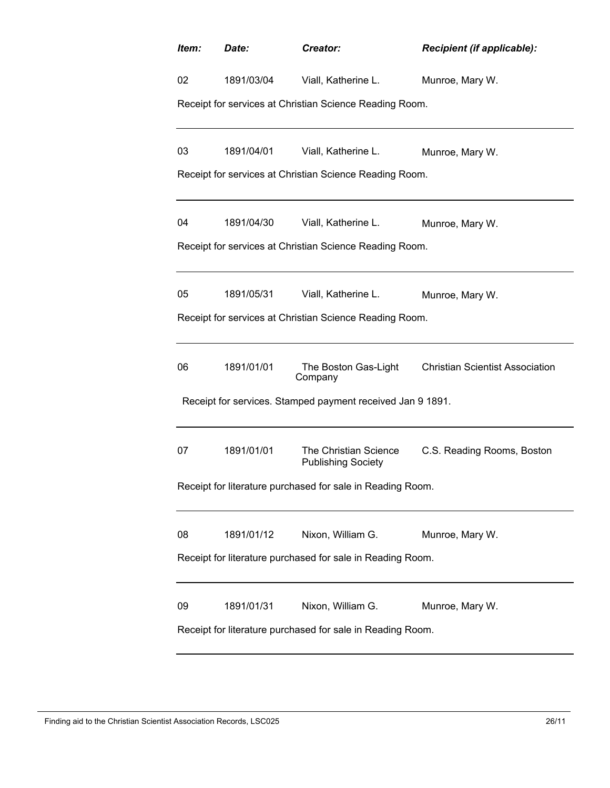| Item:                                                      | Date:                                                      | Creator:                                                   | <b>Recipient (if applicable):</b>                    |  |  |  |  |
|------------------------------------------------------------|------------------------------------------------------------|------------------------------------------------------------|------------------------------------------------------|--|--|--|--|
| 02                                                         |                                                            | 1891/03/04 Viall, Katherine L.                             | Munroe, Mary W.                                      |  |  |  |  |
|                                                            |                                                            | Receipt for services at Christian Science Reading Room.    |                                                      |  |  |  |  |
| 03                                                         | 1891/04/01                                                 | Viall, Katherine L.                                        | Munroe, Mary W.                                      |  |  |  |  |
|                                                            |                                                            | Receipt for services at Christian Science Reading Room.    |                                                      |  |  |  |  |
| 04                                                         | 1891/04/30                                                 | Viall, Katherine L.                                        | Munroe, Mary W.                                      |  |  |  |  |
|                                                            |                                                            | Receipt for services at Christian Science Reading Room.    |                                                      |  |  |  |  |
| 05                                                         |                                                            | 1891/05/31 Viall, Katherine L.                             | Munroe, Mary W.                                      |  |  |  |  |
|                                                            |                                                            | Receipt for services at Christian Science Reading Room.    |                                                      |  |  |  |  |
| 06                                                         | 1891/01/01                                                 | Company                                                    | The Boston Gas-Light Christian Scientist Association |  |  |  |  |
|                                                            |                                                            | Receipt for services. Stamped payment received Jan 9 1891. |                                                      |  |  |  |  |
| 07                                                         | 1891/01/01                                                 | The Christian Science<br><b>Publishing Society</b>         | C.S. Reading Rooms, Boston                           |  |  |  |  |
|                                                            | Receipt for literature purchased for sale in Reading Room. |                                                            |                                                      |  |  |  |  |
| 08                                                         | 1891/01/12                                                 | Nixon, William G.                                          | Munroe, Mary W.                                      |  |  |  |  |
| Receipt for literature purchased for sale in Reading Room. |                                                            |                                                            |                                                      |  |  |  |  |
| 09                                                         | 1891/01/31                                                 | Nixon, William G.                                          | Munroe, Mary W.                                      |  |  |  |  |
| Receipt for literature purchased for sale in Reading Room. |                                                            |                                                            |                                                      |  |  |  |  |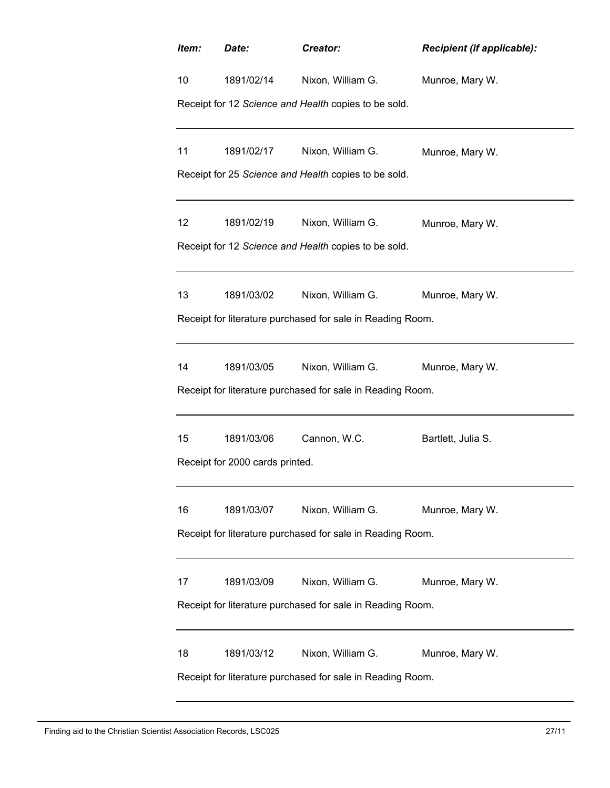| Item:                                                      | Date:                                                | Creator:                                                   | Recipient (if applicable): |  |  |  |  |  |
|------------------------------------------------------------|------------------------------------------------------|------------------------------------------------------------|----------------------------|--|--|--|--|--|
| 10                                                         | 1891/02/14                                           | Nixon, William G.                                          | Munroe, Mary W.            |  |  |  |  |  |
|                                                            | Receipt for 12 Science and Health copies to be sold. |                                                            |                            |  |  |  |  |  |
| 11                                                         | 1891/02/17                                           | Nixon, William G.                                          | Munroe, Mary W.            |  |  |  |  |  |
|                                                            |                                                      | Receipt for 25 Science and Health copies to be sold.       |                            |  |  |  |  |  |
| 12                                                         | 1891/02/19                                           | Nixon, William G.                                          | Munroe, Mary W.            |  |  |  |  |  |
|                                                            |                                                      | Receipt for 12 Science and Health copies to be sold.       |                            |  |  |  |  |  |
| 13                                                         | 1891/03/02                                           | Nixon, William G.                                          | Munroe, Mary W.            |  |  |  |  |  |
|                                                            |                                                      | Receipt for literature purchased for sale in Reading Room. |                            |  |  |  |  |  |
| 14                                                         | 1891/03/05                                           | Nixon, William G.                                          | Munroe, Mary W.            |  |  |  |  |  |
|                                                            |                                                      | Receipt for literature purchased for sale in Reading Room. |                            |  |  |  |  |  |
| 15                                                         | 1891/03/06                                           | Cannon, W.C.                                               | Bartlett, Julia S.         |  |  |  |  |  |
|                                                            | Receipt for 2000 cards printed.                      |                                                            |                            |  |  |  |  |  |
| 16                                                         | 1891/03/07                                           | Nixon, William G.                                          | Munroe, Mary W.            |  |  |  |  |  |
| Receipt for literature purchased for sale in Reading Room. |                                                      |                                                            |                            |  |  |  |  |  |
| 17                                                         | 1891/03/09                                           | Nixon, William G.                                          | Munroe, Mary W.            |  |  |  |  |  |
| Receipt for literature purchased for sale in Reading Room. |                                                      |                                                            |                            |  |  |  |  |  |
| 18                                                         | 1891/03/12                                           | Nixon, William G.                                          | Munroe, Mary W.            |  |  |  |  |  |
| Receipt for literature purchased for sale in Reading Room. |                                                      |                                                            |                            |  |  |  |  |  |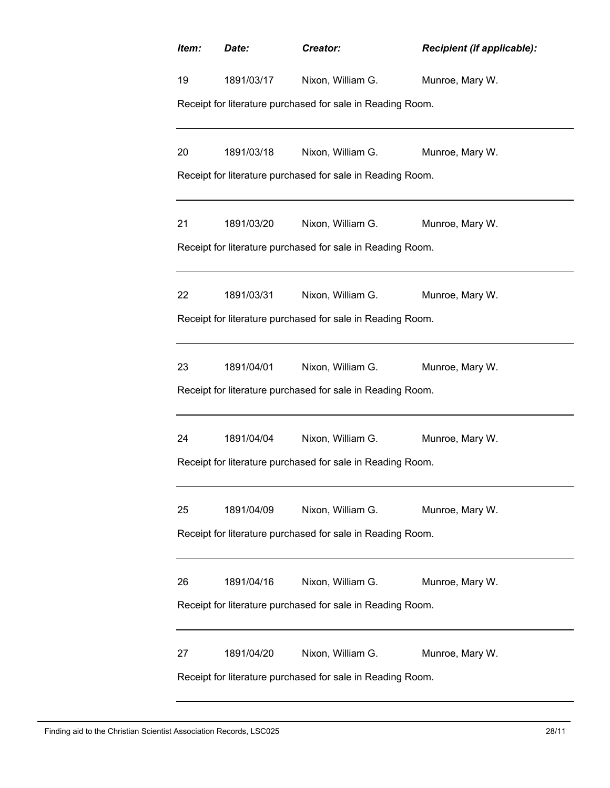| Item:                                                      | Date:      | Creator:                                                   | Recipient (if applicable): |  |  |
|------------------------------------------------------------|------------|------------------------------------------------------------|----------------------------|--|--|
| 19                                                         | 1891/03/17 | Nixon, William G.                                          | Munroe, Mary W.            |  |  |
|                                                            |            | Receipt for literature purchased for sale in Reading Room. |                            |  |  |
| 20                                                         | 1891/03/18 | Nixon, William G.                                          | Munroe, Mary W.            |  |  |
|                                                            |            | Receipt for literature purchased for sale in Reading Room. |                            |  |  |
| 21                                                         | 1891/03/20 | Nixon, William G.                                          | Munroe, Mary W.            |  |  |
|                                                            |            | Receipt for literature purchased for sale in Reading Room. |                            |  |  |
| 22                                                         | 1891/03/31 | Nixon, William G.                                          | Munroe, Mary W.            |  |  |
|                                                            |            | Receipt for literature purchased for sale in Reading Room. |                            |  |  |
| 23                                                         | 1891/04/01 | Nixon, William G.                                          | Munroe, Mary W.            |  |  |
| Receipt for literature purchased for sale in Reading Room. |            |                                                            |                            |  |  |
| 24                                                         | 1891/04/04 | Nixon, William G.                                          | Munroe, Mary W.            |  |  |
| Receipt for literature purchased for sale in Reading Room. |            |                                                            |                            |  |  |
| 25                                                         | 1891/04/09 | Nixon, William G.                                          | Munroe, Mary W.            |  |  |
| Receipt for literature purchased for sale in Reading Room. |            |                                                            |                            |  |  |
| 26                                                         | 1891/04/16 | Nixon, William G.                                          | Munroe, Mary W.            |  |  |
| Receipt for literature purchased for sale in Reading Room. |            |                                                            |                            |  |  |
| 27                                                         | 1891/04/20 | Nixon, William G.                                          | Munroe, Mary W.            |  |  |
| Receipt for literature purchased for sale in Reading Room. |            |                                                            |                            |  |  |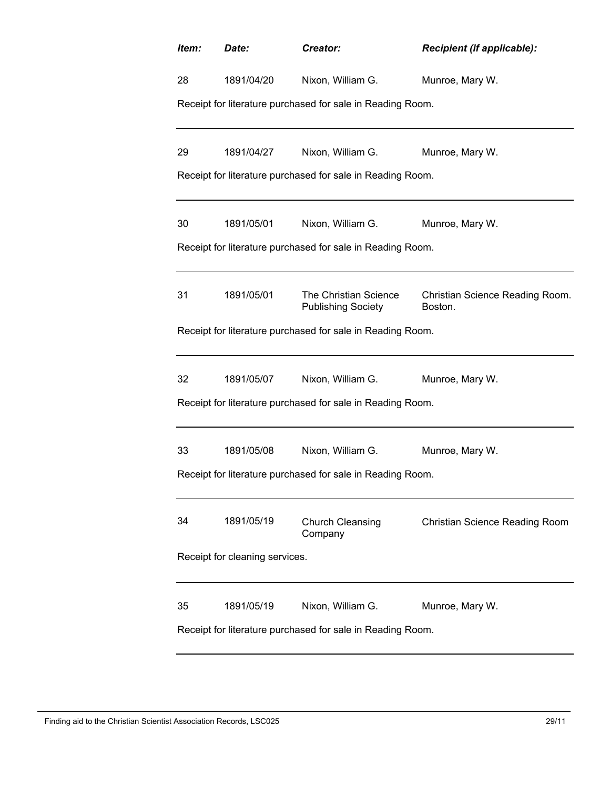| Item:                                                      | Date:      | Creator:                                                   | Recipient (if applicable):                 |  |  |
|------------------------------------------------------------|------------|------------------------------------------------------------|--------------------------------------------|--|--|
| 28                                                         | 1891/04/20 | Nixon, William G.                                          | Munroe, Mary W.                            |  |  |
|                                                            |            | Receipt for literature purchased for sale in Reading Room. |                                            |  |  |
|                                                            |            |                                                            |                                            |  |  |
| 29                                                         | 1891/04/27 | Nixon, William G.                                          | Munroe, Mary W.                            |  |  |
|                                                            |            | Receipt for literature purchased for sale in Reading Room. |                                            |  |  |
| 30                                                         | 1891/05/01 | Nixon, William G.                                          | Munroe, Mary W.                            |  |  |
|                                                            |            | Receipt for literature purchased for sale in Reading Room. |                                            |  |  |
|                                                            |            |                                                            |                                            |  |  |
| 31                                                         | 1891/05/01 | The Christian Science<br><b>Publishing Society</b>         | Christian Science Reading Room.<br>Boston. |  |  |
|                                                            |            | Receipt for literature purchased for sale in Reading Room. |                                            |  |  |
|                                                            |            |                                                            |                                            |  |  |
| 32                                                         | 1891/05/07 | Nixon, William G.                                          | Munroe, Mary W.                            |  |  |
| Receipt for literature purchased for sale in Reading Room. |            |                                                            |                                            |  |  |
|                                                            |            |                                                            |                                            |  |  |
| 33                                                         | 1891/05/08 | Nixon, William G.                                          | Munroe, Mary W.                            |  |  |
| Receipt for literature purchased for sale in Reading Room. |            |                                                            |                                            |  |  |
|                                                            |            |                                                            |                                            |  |  |
| 34                                                         | 1891/05/19 | Church Cleansing<br>Company                                | <b>Christian Science Reading Room</b>      |  |  |
| Receipt for cleaning services.                             |            |                                                            |                                            |  |  |
| 35                                                         | 1891/05/19 | Nixon, William G.                                          | Munroe, Mary W.                            |  |  |
| Receipt for literature purchased for sale in Reading Room. |            |                                                            |                                            |  |  |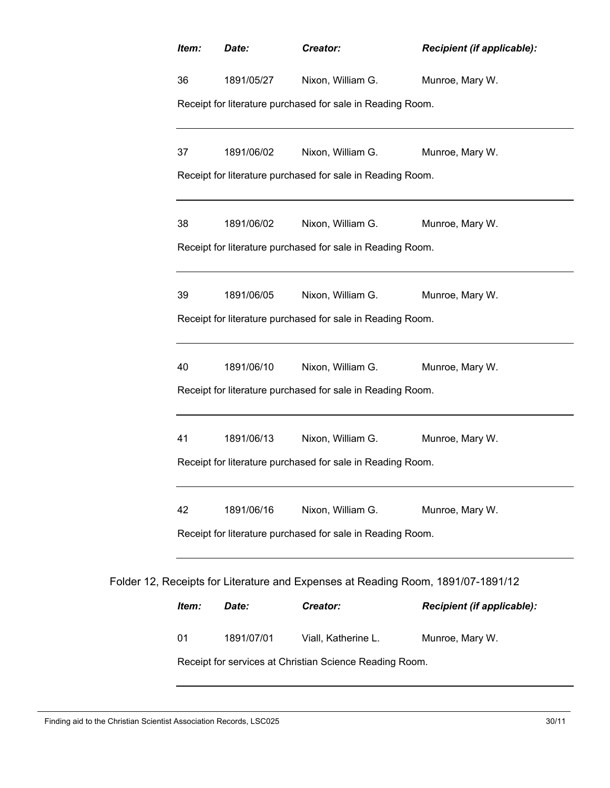| Item:                                                      | Date:      | Creator:                                                                         | <b>Recipient (if applicable):</b> |
|------------------------------------------------------------|------------|----------------------------------------------------------------------------------|-----------------------------------|
| 36                                                         | 1891/05/27 | Nixon, William G.                                                                | Munroe, Mary W.                   |
|                                                            |            | Receipt for literature purchased for sale in Reading Room.                       |                                   |
| 37                                                         | 1891/06/02 | Nixon, William G.                                                                | Munroe, Mary W.                   |
| Receipt for literature purchased for sale in Reading Room. |            |                                                                                  |                                   |
| 38                                                         | 1891/06/02 | Nixon, William G.                                                                | Munroe, Mary W.                   |
|                                                            |            | Receipt for literature purchased for sale in Reading Room.                       |                                   |
| 39                                                         | 1891/06/05 | Nixon, William G.                                                                | Munroe, Mary W.                   |
| Receipt for literature purchased for sale in Reading Room. |            |                                                                                  |                                   |
| 40                                                         | 1891/06/10 | Nixon, William G.                                                                | Munroe, Mary W.                   |
| Receipt for literature purchased for sale in Reading Room. |            |                                                                                  |                                   |
| 41                                                         | 1891/06/13 | Nixon, William G.                                                                | Munroe, Mary W.                   |
| Receipt for literature purchased for sale in Reading Room. |            |                                                                                  |                                   |
| 42                                                         | 1891/06/16 | Nixon, William G.                                                                | Munroe, Mary W.                   |
|                                                            |            | Receipt for literature purchased for sale in Reading Room.                       |                                   |
|                                                            |            | Folder 12, Receipts for Literature and Expenses at Reading Room, 1891/07-1891/12 |                                   |
| Item:                                                      | Date:      | Creator:                                                                         | <b>Recipient (if applicable):</b> |
| 01                                                         | 1891/07/01 | Viall, Katherine L.                                                              | Munroe, Mary W.                   |
|                                                            |            | Receipt for services at Christian Science Reading Room.                          |                                   |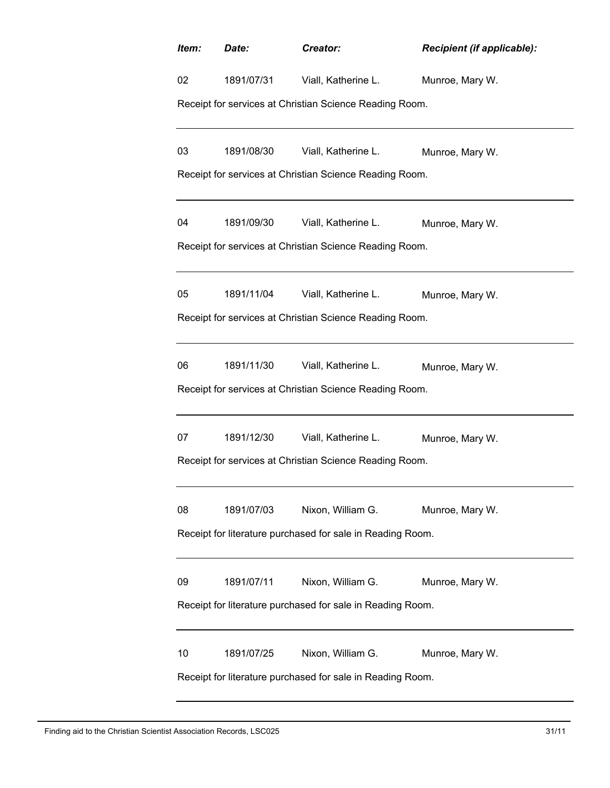| Item:                                                      | Date:                                                   | Creator:                                                | Recipient (if applicable): |  |  |  |
|------------------------------------------------------------|---------------------------------------------------------|---------------------------------------------------------|----------------------------|--|--|--|
| 02                                                         |                                                         | 1891/07/31 Viall, Katherine L.                          | Munroe, Mary W.            |  |  |  |
|                                                            | Receipt for services at Christian Science Reading Room. |                                                         |                            |  |  |  |
| 03                                                         | 1891/08/30                                              | Viall, Katherine L.                                     | Munroe, Mary W.            |  |  |  |
|                                                            |                                                         | Receipt for services at Christian Science Reading Room. |                            |  |  |  |
| 04                                                         | 1891/09/30                                              | Viall, Katherine L.                                     | Munroe, Mary W.            |  |  |  |
|                                                            |                                                         | Receipt for services at Christian Science Reading Room. |                            |  |  |  |
| 05                                                         | 1891/11/04                                              | Viall, Katherine L.                                     | Munroe, Mary W.            |  |  |  |
|                                                            |                                                         | Receipt for services at Christian Science Reading Room. |                            |  |  |  |
| 06                                                         | 1891/11/30                                              | Viall, Katherine L.                                     | Munroe, Mary W.            |  |  |  |
| Receipt for services at Christian Science Reading Room.    |                                                         |                                                         |                            |  |  |  |
| 07                                                         | 1891/12/30                                              | Viall, Katherine L.                                     | Munroe, Mary W.            |  |  |  |
| Receipt for services at Christian Science Reading Room.    |                                                         |                                                         |                            |  |  |  |
| 08                                                         | 1891/07/03                                              | Nixon, William G.                                       | Munroe, Mary W.            |  |  |  |
| Receipt for literature purchased for sale in Reading Room. |                                                         |                                                         |                            |  |  |  |
| 09                                                         | 1891/07/11                                              | Nixon, William G.                                       | Munroe, Mary W.            |  |  |  |
| Receipt for literature purchased for sale in Reading Room. |                                                         |                                                         |                            |  |  |  |
| 10                                                         | 1891/07/25                                              | Nixon, William G.                                       | Munroe, Mary W.            |  |  |  |
| Receipt for literature purchased for sale in Reading Room. |                                                         |                                                         |                            |  |  |  |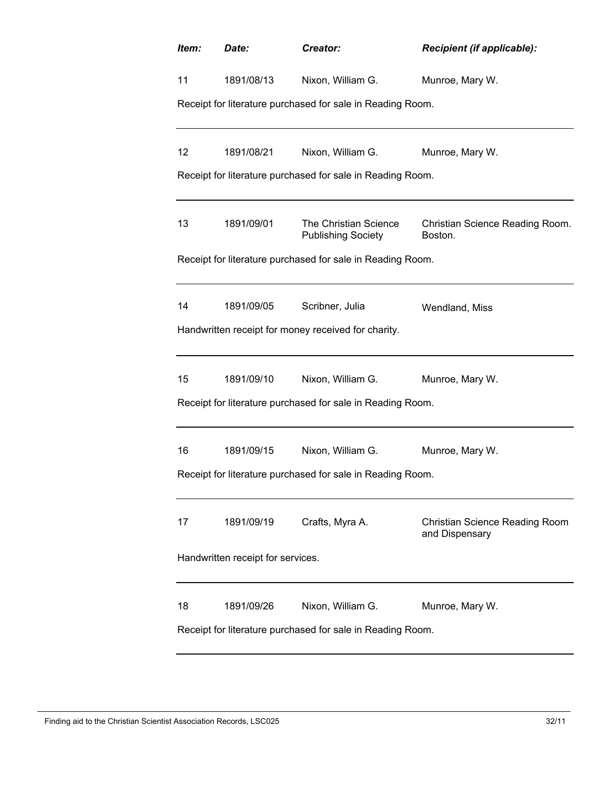| Item:                                                      | Date:      | Creator:                                                   | <b>Recipient (if applicable):</b>                       |  |  |
|------------------------------------------------------------|------------|------------------------------------------------------------|---------------------------------------------------------|--|--|
| 11                                                         | 1891/08/13 | Nixon, William G.                                          | Munroe, Mary W.                                         |  |  |
|                                                            |            | Receipt for literature purchased for sale in Reading Room. |                                                         |  |  |
|                                                            |            |                                                            |                                                         |  |  |
| 12                                                         | 1891/08/21 | Nixon, William G.                                          | Munroe, Mary W.                                         |  |  |
|                                                            |            | Receipt for literature purchased for sale in Reading Room. |                                                         |  |  |
| 13                                                         | 1891/09/01 | The Christian Science<br><b>Publishing Society</b>         | Christian Science Reading Room.<br>Boston.              |  |  |
|                                                            |            | Receipt for literature purchased for sale in Reading Room. |                                                         |  |  |
|                                                            |            |                                                            |                                                         |  |  |
| 14                                                         | 1891/09/05 | Scribner, Julia                                            | Wendland, Miss                                          |  |  |
|                                                            |            | Handwritten receipt for money received for charity.        |                                                         |  |  |
|                                                            |            |                                                            |                                                         |  |  |
| 15                                                         | 1891/09/10 | Nixon, William G.                                          | Munroe, Mary W.                                         |  |  |
| Receipt for literature purchased for sale in Reading Room. |            |                                                            |                                                         |  |  |
|                                                            |            |                                                            |                                                         |  |  |
| 16                                                         | 1891/09/15 | Nixon, William G.                                          | Munroe, Mary W.                                         |  |  |
| Receipt for literature purchased for sale in Reading Room. |            |                                                            |                                                         |  |  |
|                                                            |            |                                                            |                                                         |  |  |
| 17                                                         | 1891/09/19 | Crafts, Myra A.                                            | <b>Christian Science Reading Room</b><br>and Dispensary |  |  |
| Handwritten receipt for services.                          |            |                                                            |                                                         |  |  |
| 18                                                         | 1891/09/26 | Nixon, William G.                                          | Munroe, Mary W.                                         |  |  |
|                                                            |            | Receipt for literature purchased for sale in Reading Room. |                                                         |  |  |
|                                                            |            |                                                            |                                                         |  |  |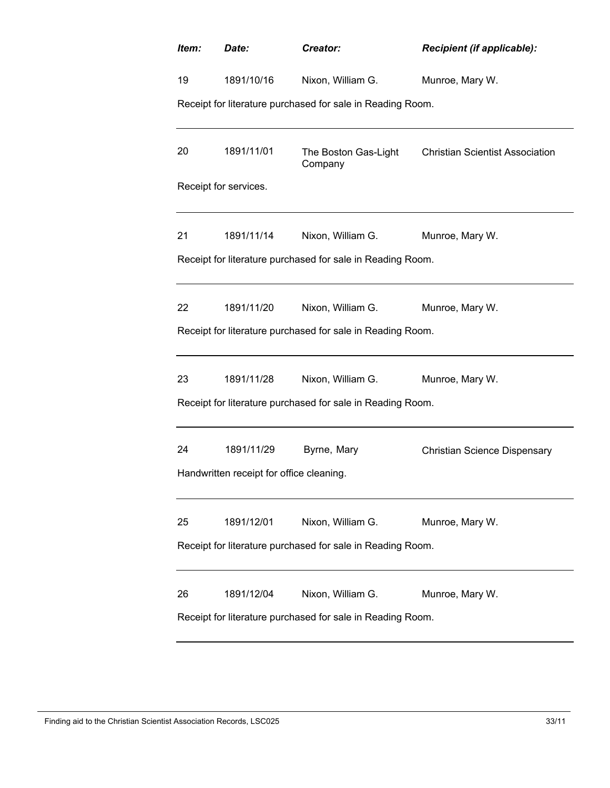| Item:                                                      | Date:                 | Creator:                                                                        | Recipient (if applicable):             |  |  |
|------------------------------------------------------------|-----------------------|---------------------------------------------------------------------------------|----------------------------------------|--|--|
| 19                                                         | 1891/10/16            | Nixon, William G.                                                               | Munroe, Mary W.                        |  |  |
|                                                            |                       | Receipt for literature purchased for sale in Reading Room.                      |                                        |  |  |
| 20                                                         | 1891/11/01            | The Boston Gas-Light<br>Company                                                 | <b>Christian Scientist Association</b> |  |  |
|                                                            | Receipt for services. |                                                                                 |                                        |  |  |
| 21                                                         | 1891/11/14            | Nixon, William G.                                                               | Munroe, Mary W.                        |  |  |
|                                                            |                       | Receipt for literature purchased for sale in Reading Room.                      |                                        |  |  |
| 22                                                         | 1891/11/20            | Nixon, William G.                                                               | Munroe, Mary W.                        |  |  |
| Receipt for literature purchased for sale in Reading Room. |                       |                                                                                 |                                        |  |  |
| 23                                                         | 1891/11/28            | Nixon, William G.                                                               | Munroe, Mary W.                        |  |  |
| Receipt for literature purchased for sale in Reading Room. |                       |                                                                                 |                                        |  |  |
| 24                                                         | 1891/11/29            | Byrne, Mary                                                                     | <b>Christian Science Dispensary</b>    |  |  |
| Handwritten receipt for office cleaning.                   |                       |                                                                                 |                                        |  |  |
| 25                                                         | 1891/12/01            | Nixon, William G.                                                               | Munroe, Mary W.                        |  |  |
| Receipt for literature purchased for sale in Reading Room. |                       |                                                                                 |                                        |  |  |
| 26                                                         | 1891/12/04            | Nixon, William G.<br>Receipt for literature purchased for sale in Reading Room. | Munroe, Mary W.                        |  |  |
|                                                            |                       |                                                                                 |                                        |  |  |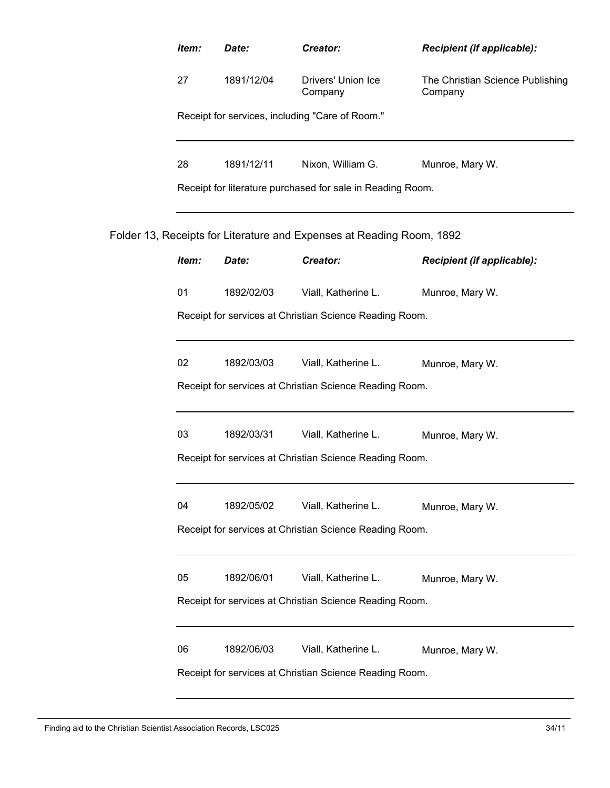|                                                         | Item:                                                   | Date:      | Creator:                                                              | Recipient (if applicable):                  |  |
|---------------------------------------------------------|---------------------------------------------------------|------------|-----------------------------------------------------------------------|---------------------------------------------|--|
|                                                         | 27                                                      | 1891/12/04 | Drivers' Union Ice<br>Company                                         | The Christian Science Publishing<br>Company |  |
|                                                         | Receipt for services, including "Care of Room."         |            |                                                                       |                                             |  |
|                                                         | 28                                                      | 1891/12/11 | Nixon, William G.                                                     | Munroe, Mary W.                             |  |
|                                                         |                                                         |            | Receipt for literature purchased for sale in Reading Room.            |                                             |  |
|                                                         |                                                         |            | Folder 13, Receipts for Literature and Expenses at Reading Room, 1892 |                                             |  |
|                                                         | Item:                                                   | Date:      | Creator:                                                              | Recipient (if applicable):                  |  |
|                                                         | 01                                                      | 1892/02/03 | Viall, Katherine L.                                                   | Munroe, Mary W.                             |  |
|                                                         | Receipt for services at Christian Science Reading Room. |            |                                                                       |                                             |  |
|                                                         | 02                                                      | 1892/03/03 | Viall, Katherine L.                                                   | Munroe, Mary W.                             |  |
| Receipt for services at Christian Science Reading Room. |                                                         |            |                                                                       |                                             |  |
|                                                         | 03                                                      | 1892/03/31 | Viall, Katherine L.                                                   | Munroe, Mary W.                             |  |
|                                                         | Receipt for services at Christian Science Reading Room. |            |                                                                       |                                             |  |
|                                                         | 04                                                      | 1892/05/02 | Viall, Katherine L.                                                   | Munroe, Mary W.                             |  |
|                                                         |                                                         |            | Receipt for services at Christian Science Reading Room.               |                                             |  |
|                                                         | 05                                                      | 1892/06/01 | Viall, Katherine L.                                                   | Munroe, Mary W.                             |  |
|                                                         |                                                         |            | Receipt for services at Christian Science Reading Room.               |                                             |  |
|                                                         | 06                                                      | 1892/06/03 | Viall, Katherine L.                                                   | Munroe, Mary W.                             |  |
|                                                         | Receipt for services at Christian Science Reading Room. |            |                                                                       |                                             |  |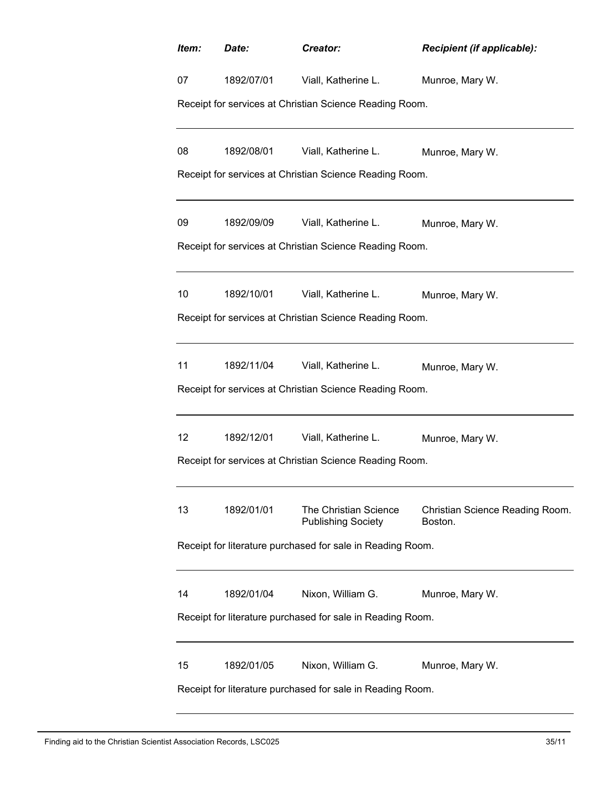| Item:                                                      | Date:                                                   | Creator:                                                | Recipient (if applicable):                 |  |  |  |
|------------------------------------------------------------|---------------------------------------------------------|---------------------------------------------------------|--------------------------------------------|--|--|--|
| 07                                                         | 1892/07/01                                              | Viall, Katherine L.                                     | Munroe, Mary W.                            |  |  |  |
|                                                            | Receipt for services at Christian Science Reading Room. |                                                         |                                            |  |  |  |
| 08                                                         | 1892/08/01                                              | Viall, Katherine L.                                     | Munroe, Mary W.                            |  |  |  |
|                                                            |                                                         | Receipt for services at Christian Science Reading Room. |                                            |  |  |  |
| 09                                                         | 1892/09/09                                              | Viall, Katherine L.                                     | Munroe, Mary W.                            |  |  |  |
|                                                            |                                                         | Receipt for services at Christian Science Reading Room. |                                            |  |  |  |
| 10                                                         | 1892/10/01                                              | Viall, Katherine L.                                     | Munroe, Mary W.                            |  |  |  |
|                                                            |                                                         | Receipt for services at Christian Science Reading Room. |                                            |  |  |  |
| 11                                                         | 1892/11/04                                              | Viall, Katherine L.                                     | Munroe, Mary W.                            |  |  |  |
| Receipt for services at Christian Science Reading Room.    |                                                         |                                                         |                                            |  |  |  |
| 12                                                         | 1892/12/01                                              | Viall, Katherine L.                                     | Munroe, Mary W.                            |  |  |  |
| Receipt for services at Christian Science Reading Room.    |                                                         |                                                         |                                            |  |  |  |
| 13                                                         | 1892/01/01                                              | The Christian Science<br><b>Publishing Society</b>      | Christian Science Reading Room.<br>Boston. |  |  |  |
| Receipt for literature purchased for sale in Reading Room. |                                                         |                                                         |                                            |  |  |  |
| 14                                                         | 1892/01/04                                              | Nixon, William G.                                       | Munroe, Mary W.                            |  |  |  |
| Receipt for literature purchased for sale in Reading Room. |                                                         |                                                         |                                            |  |  |  |
| 15                                                         | 1892/01/05                                              | Nixon, William G.                                       | Munroe, Mary W.                            |  |  |  |
| Receipt for literature purchased for sale in Reading Room. |                                                         |                                                         |                                            |  |  |  |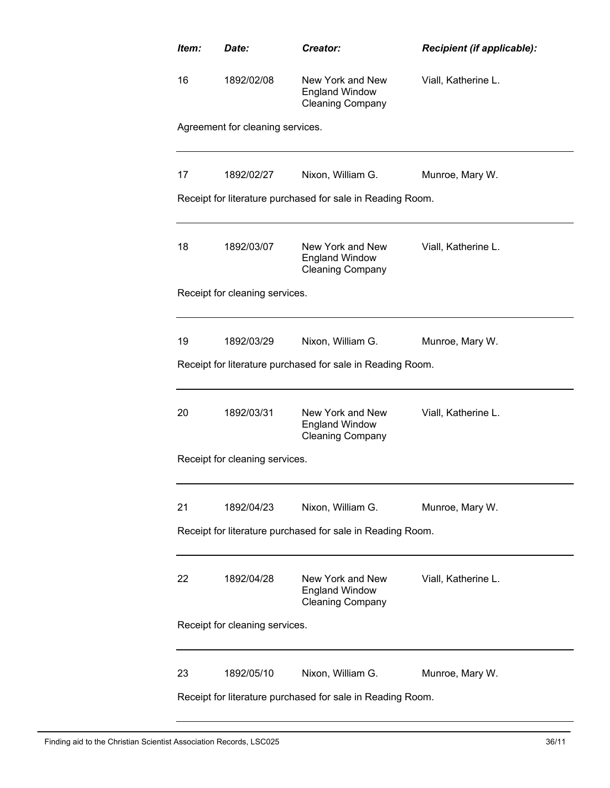| Item:                                                      | Date:                            | Creator:                                                                        | Recipient (if applicable): |  |  |
|------------------------------------------------------------|----------------------------------|---------------------------------------------------------------------------------|----------------------------|--|--|
| 16                                                         | 1892/02/08                       | New York and New<br><b>England Window</b><br><b>Cleaning Company</b>            | Viall, Katherine L.        |  |  |
|                                                            | Agreement for cleaning services. |                                                                                 |                            |  |  |
| 17                                                         | 1892/02/27                       | Nixon, William G.                                                               | Munroe, Mary W.            |  |  |
|                                                            |                                  | Receipt for literature purchased for sale in Reading Room.                      |                            |  |  |
| 18                                                         | 1892/03/07                       | New York and New<br><b>England Window</b><br><b>Cleaning Company</b>            | Viall, Katherine L.        |  |  |
|                                                            | Receipt for cleaning services.   |                                                                                 |                            |  |  |
| 19                                                         | 1892/03/29                       | Nixon, William G.                                                               | Munroe, Mary W.            |  |  |
|                                                            |                                  | Receipt for literature purchased for sale in Reading Room.                      |                            |  |  |
| 20                                                         | 1892/03/31                       | New York and New<br><b>England Window</b><br><b>Cleaning Company</b>            | Viall, Katherine L.        |  |  |
| Receipt for cleaning services.                             |                                  |                                                                                 |                            |  |  |
| 21                                                         | 1892/04/23                       | Nixon, William G.                                                               | Munroe, Mary W.            |  |  |
| Receipt for literature purchased for sale in Reading Room. |                                  |                                                                                 |                            |  |  |
| 22                                                         | 1892/04/28                       | New York and New<br><b>England Window</b><br><b>Cleaning Company</b>            | Viall, Katherine L.        |  |  |
| Receipt for cleaning services.                             |                                  |                                                                                 |                            |  |  |
| 23                                                         | 1892/05/10                       | Nixon, William G.<br>Receipt for literature purchased for sale in Reading Room. | Munroe, Mary W.            |  |  |
|                                                            |                                  |                                                                                 |                            |  |  |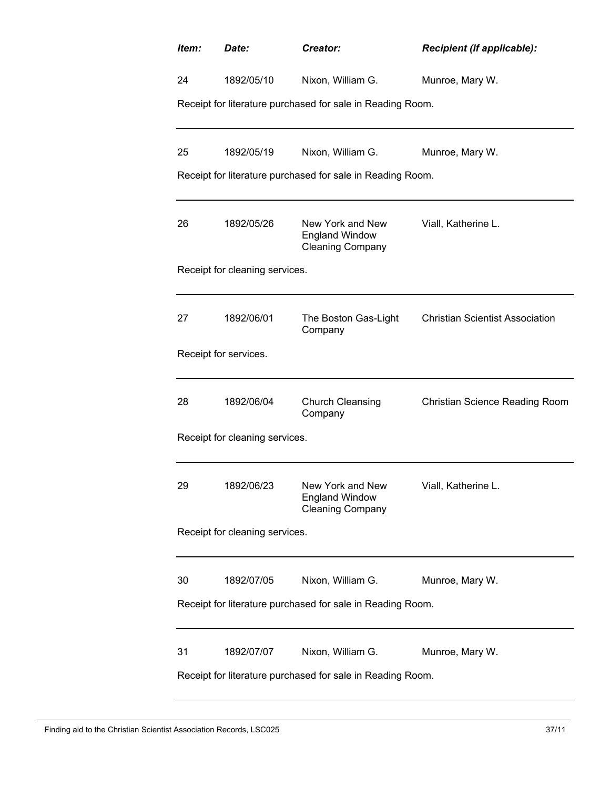| Item:                                                      | Date:                          | Creator:                                                                        | Recipient (if applicable):             |  |
|------------------------------------------------------------|--------------------------------|---------------------------------------------------------------------------------|----------------------------------------|--|
| 24                                                         | 1892/05/10                     | Nixon, William G.                                                               | Munroe, Mary W.                        |  |
|                                                            |                                | Receipt for literature purchased for sale in Reading Room.                      |                                        |  |
| 25                                                         | 1892/05/19                     | Nixon, William G.                                                               | Munroe, Mary W.                        |  |
|                                                            |                                | Receipt for literature purchased for sale in Reading Room.                      |                                        |  |
| 26                                                         | 1892/05/26                     | New York and New<br><b>England Window</b><br><b>Cleaning Company</b>            | Viall, Katherine L.                    |  |
|                                                            | Receipt for cleaning services. |                                                                                 |                                        |  |
| 27                                                         | 1892/06/01                     | The Boston Gas-Light<br>Company                                                 | <b>Christian Scientist Association</b> |  |
|                                                            | Receipt for services.          |                                                                                 |                                        |  |
| 28                                                         | 1892/06/04                     | <b>Church Cleansing</b><br>Company                                              | <b>Christian Science Reading Room</b>  |  |
|                                                            | Receipt for cleaning services. |                                                                                 |                                        |  |
| 29                                                         | 1892/06/23                     | New York and New<br><b>England Window</b><br><b>Cleaning Company</b>            | Viall, Katherine L.                    |  |
| Receipt for cleaning services.                             |                                |                                                                                 |                                        |  |
| 30                                                         | 1892/07/05                     | Nixon, William G.<br>Receipt for literature purchased for sale in Reading Room. | Munroe, Mary W.                        |  |
| 31                                                         | 1892/07/07                     | Nixon, William G.                                                               | Munroe, Mary W.                        |  |
| Receipt for literature purchased for sale in Reading Room. |                                |                                                                                 |                                        |  |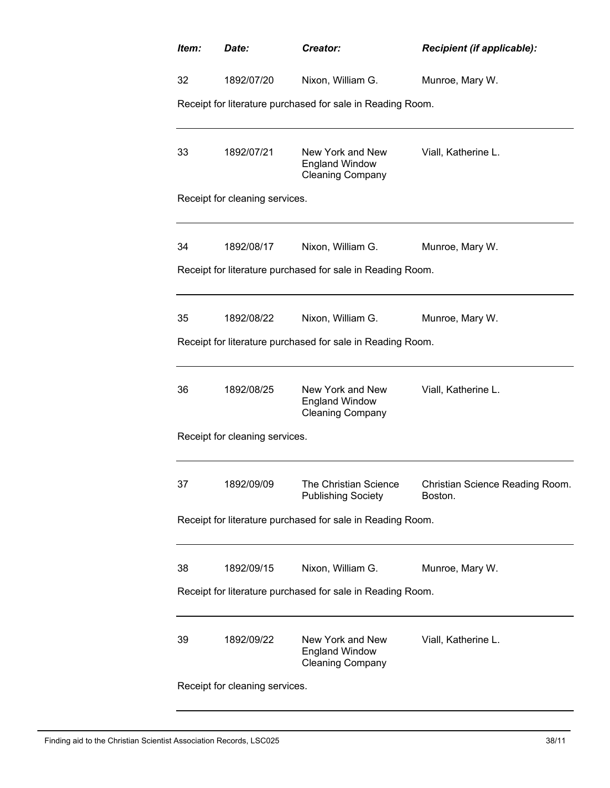| Item:                                                      | Date:                                                      | Creator:                                                             | Recipient (if applicable):                 |  |  |  |
|------------------------------------------------------------|------------------------------------------------------------|----------------------------------------------------------------------|--------------------------------------------|--|--|--|
| 32                                                         | 1892/07/20                                                 | Nixon, William G.                                                    | Munroe, Mary W.                            |  |  |  |
|                                                            | Receipt for literature purchased for sale in Reading Room. |                                                                      |                                            |  |  |  |
| 33                                                         | 1892/07/21                                                 | New York and New<br><b>England Window</b><br><b>Cleaning Company</b> | Viall, Katherine L.                        |  |  |  |
|                                                            | Receipt for cleaning services.                             |                                                                      |                                            |  |  |  |
| 34                                                         | 1892/08/17                                                 | Nixon, William G.                                                    | Munroe, Mary W.                            |  |  |  |
|                                                            |                                                            | Receipt for literature purchased for sale in Reading Room.           |                                            |  |  |  |
| 35                                                         | 1892/08/22                                                 | Nixon, William G.                                                    | Munroe, Mary W.                            |  |  |  |
|                                                            |                                                            | Receipt for literature purchased for sale in Reading Room.           |                                            |  |  |  |
| 36                                                         | 1892/08/25                                                 | New York and New<br><b>England Window</b><br><b>Cleaning Company</b> | Viall, Katherine L.                        |  |  |  |
|                                                            | Receipt for cleaning services.                             |                                                                      |                                            |  |  |  |
| 37                                                         | 1892/09/09                                                 | The Christian Science<br><b>Publishing Society</b>                   | Christian Science Reading Room.<br>Boston. |  |  |  |
| Receipt for literature purchased for sale in Reading Room. |                                                            |                                                                      |                                            |  |  |  |
| 38                                                         | 1892/09/15                                                 | Nixon, William G.                                                    | Munroe, Mary W.                            |  |  |  |
|                                                            |                                                            | Receipt for literature purchased for sale in Reading Room.           |                                            |  |  |  |
| 39                                                         | 1892/09/22                                                 | New York and New<br><b>England Window</b><br><b>Cleaning Company</b> | Viall, Katherine L.                        |  |  |  |
|                                                            | Receipt for cleaning services.                             |                                                                      |                                            |  |  |  |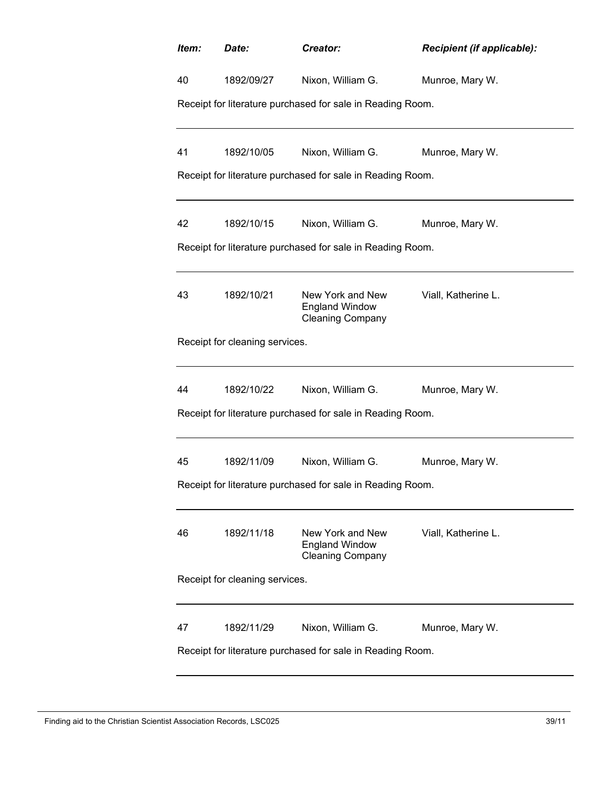| Item:                          | Date:                          | Creator:                                                             | Recipient (if applicable): |  |
|--------------------------------|--------------------------------|----------------------------------------------------------------------|----------------------------|--|
| 40                             | 1892/09/27                     | Nixon, William G.                                                    | Munroe, Mary W.            |  |
|                                |                                | Receipt for literature purchased for sale in Reading Room.           |                            |  |
| 41                             | 1892/10/05                     | Nixon, William G.                                                    | Munroe, Mary W.            |  |
|                                |                                | Receipt for literature purchased for sale in Reading Room.           |                            |  |
|                                |                                |                                                                      |                            |  |
| 42                             | 1892/10/15                     | Nixon, William G.                                                    | Munroe, Mary W.            |  |
|                                |                                | Receipt for literature purchased for sale in Reading Room.           |                            |  |
| 43                             | 1892/10/21                     | New York and New<br><b>England Window</b><br><b>Cleaning Company</b> | Viall, Katherine L.        |  |
|                                | Receipt for cleaning services. |                                                                      |                            |  |
| 44                             | 1892/10/22                     | Nixon, William G.                                                    | Munroe, Mary W.            |  |
|                                |                                | Receipt for literature purchased for sale in Reading Room.           |                            |  |
| 45                             | 1892/11/09                     | Nixon, William G.                                                    | Munroe, Mary W.            |  |
|                                |                                | Receipt for literature purchased for sale in Reading Room.           |                            |  |
| 46                             | 1892/11/18                     | New York and New<br><b>England Window</b><br><b>Cleaning Company</b> | Viall, Katherine L.        |  |
| Receipt for cleaning services. |                                |                                                                      |                            |  |
| 47                             | 1892/11/29                     | Nixon, William G.                                                    | Munroe, Mary W.            |  |
|                                |                                | Receipt for literature purchased for sale in Reading Room.           |                            |  |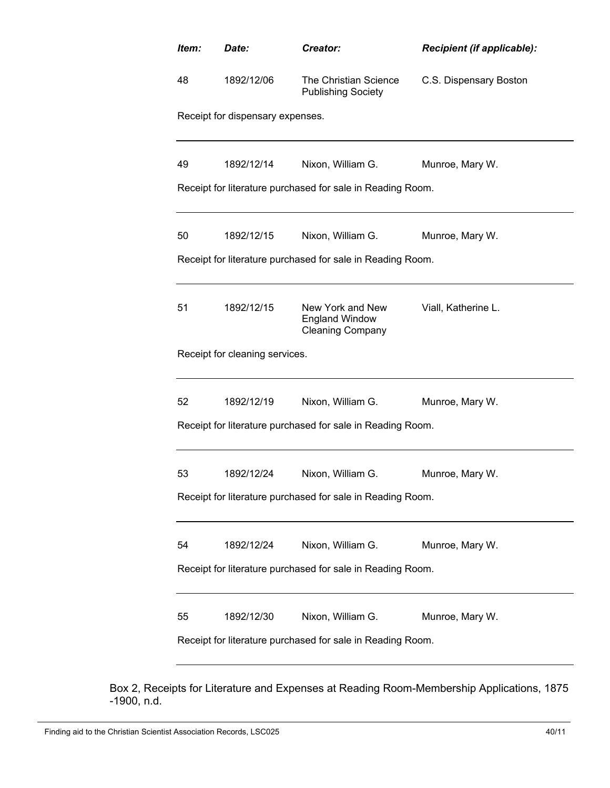| Item: | Date:                                                      | Creator:                                                             | <b>Recipient (if applicable):</b> |  |  |
|-------|------------------------------------------------------------|----------------------------------------------------------------------|-----------------------------------|--|--|
| 48    | 1892/12/06                                                 | The Christian Science<br><b>Publishing Society</b>                   | C.S. Dispensary Boston            |  |  |
|       | Receipt for dispensary expenses.                           |                                                                      |                                   |  |  |
| 49    | 1892/12/14                                                 | Nixon, William G.                                                    | Munroe, Mary W.                   |  |  |
|       |                                                            | Receipt for literature purchased for sale in Reading Room.           |                                   |  |  |
| 50    | 1892/12/15                                                 | Nixon, William G.                                                    | Munroe, Mary W.                   |  |  |
|       |                                                            | Receipt for literature purchased for sale in Reading Room.           |                                   |  |  |
| 51    | 1892/12/15                                                 | New York and New<br><b>England Window</b><br><b>Cleaning Company</b> | Viall, Katherine L.               |  |  |
|       | Receipt for cleaning services.                             |                                                                      |                                   |  |  |
| 52    | 1892/12/19                                                 | Nixon, William G.                                                    | Munroe, Mary W.                   |  |  |
|       |                                                            | Receipt for literature purchased for sale in Reading Room.           |                                   |  |  |
| 53    | 1892/12/24                                                 | Nixon, William G.                                                    | Munroe, Mary W.                   |  |  |
|       |                                                            | Receipt for literature purchased for sale in Reading Room.           |                                   |  |  |
| 54    | 1892/12/24                                                 | Nixon, William G.                                                    | Munroe, Mary W.                   |  |  |
|       | Receipt for literature purchased for sale in Reading Room. |                                                                      |                                   |  |  |
| 55    | 1892/12/30                                                 | Nixon, William G.                                                    | Munroe, Mary W.                   |  |  |
|       | Receipt for literature purchased for sale in Reading Room. |                                                                      |                                   |  |  |
|       |                                                            |                                                                      |                                   |  |  |

Box 2, Receipts for Literature and Expenses at Reading Room-Membership Applications, 1875 -1900, n.d.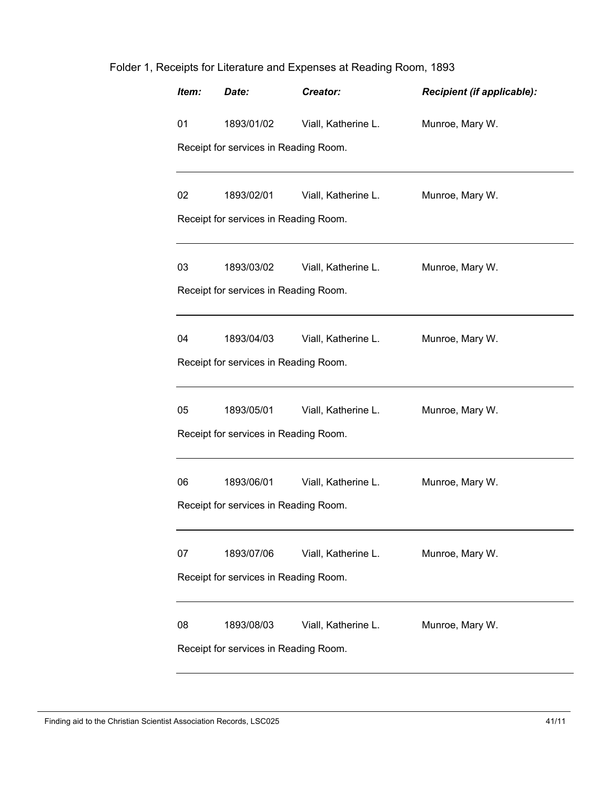| Item: | Date:                                 | Creator:            | Recipient (if applicable): |
|-------|---------------------------------------|---------------------|----------------------------|
| 01    | 1893/01/02                            | Viall, Katherine L. | Munroe, Mary W.            |
|       | Receipt for services in Reading Room. |                     |                            |
| 02    | 1893/02/01                            | Viall, Katherine L. | Munroe, Mary W.            |
|       | Receipt for services in Reading Room. |                     |                            |
| 03    | 1893/03/02                            | Viall, Katherine L. | Munroe, Mary W.            |
|       | Receipt for services in Reading Room. |                     |                            |
| 04    | 1893/04/03                            | Viall, Katherine L. | Munroe, Mary W.            |
|       | Receipt for services in Reading Room. |                     |                            |
| 05    | 1893/05/01                            | Viall, Katherine L. | Munroe, Mary W.            |
|       | Receipt for services in Reading Room. |                     |                            |
| 06    | 1893/06/01                            | Viall, Katherine L. | Munroe, Mary W.            |
|       | Receipt for services in Reading Room. |                     |                            |
| 07    | 1893/07/06                            | Viall, Katherine L. | Munroe, Mary W.            |
|       | Receipt for services in Reading Room. |                     |                            |
| 08    | 1893/08/03                            | Viall, Katherine L. | Munroe, Mary W.            |
|       | Receipt for services in Reading Room. |                     |                            |

## Folder 1, Receipts for Literature and Expenses at Reading Room, 1893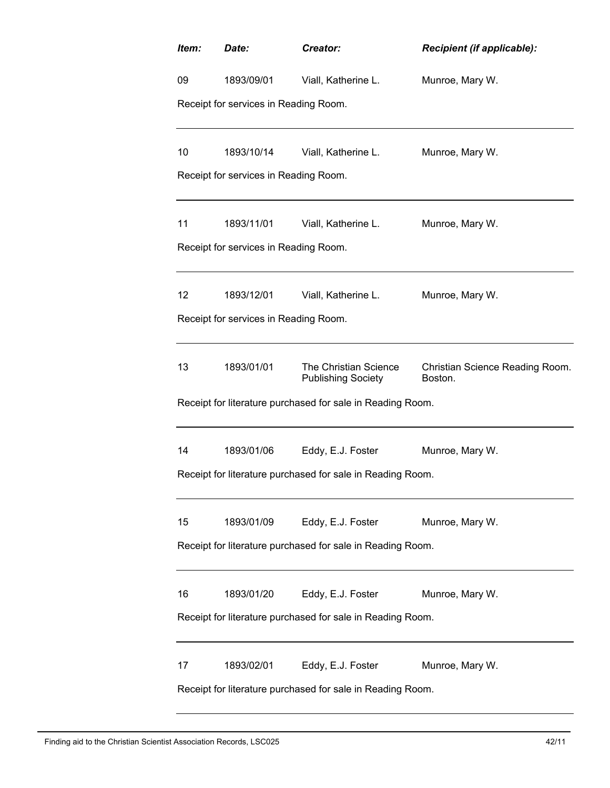| Item: | Date:                                 | Creator:                                                   | Recipient (if applicable):                 |
|-------|---------------------------------------|------------------------------------------------------------|--------------------------------------------|
| 09    | 1893/09/01                            | Viall, Katherine L.                                        | Munroe, Mary W.                            |
|       | Receipt for services in Reading Room. |                                                            |                                            |
| 10    | 1893/10/14                            | Viall, Katherine L.                                        | Munroe, Mary W.                            |
|       | Receipt for services in Reading Room. |                                                            |                                            |
| 11    | 1893/11/01                            | Viall, Katherine L.                                        | Munroe, Mary W.                            |
|       | Receipt for services in Reading Room. |                                                            |                                            |
| 12    | 1893/12/01                            | Viall, Katherine L.                                        | Munroe, Mary W.                            |
|       | Receipt for services in Reading Room. |                                                            |                                            |
| 13    | 1893/01/01                            | The Christian Science<br><b>Publishing Society</b>         | Christian Science Reading Room.<br>Boston. |
|       |                                       | Receipt for literature purchased for sale in Reading Room. |                                            |
| 14    | 1893/01/06                            | Eddy, E.J. Foster                                          | Munroe, Mary W.                            |
|       |                                       | Receipt for literature purchased for sale in Reading Room. |                                            |
| 15    | 1893/01/09                            | Eddy, E.J. Foster                                          | Munroe, Mary W.                            |
|       |                                       | Receipt for literature purchased for sale in Reading Room. |                                            |
| 16    | 1893/01/20                            | Eddy, E.J. Foster                                          | Munroe, Mary W.                            |
|       |                                       | Receipt for literature purchased for sale in Reading Room. |                                            |
| 17    | 1893/02/01                            | Eddy, E.J. Foster                                          | Munroe, Mary W.                            |
|       |                                       | Receipt for literature purchased for sale in Reading Room. |                                            |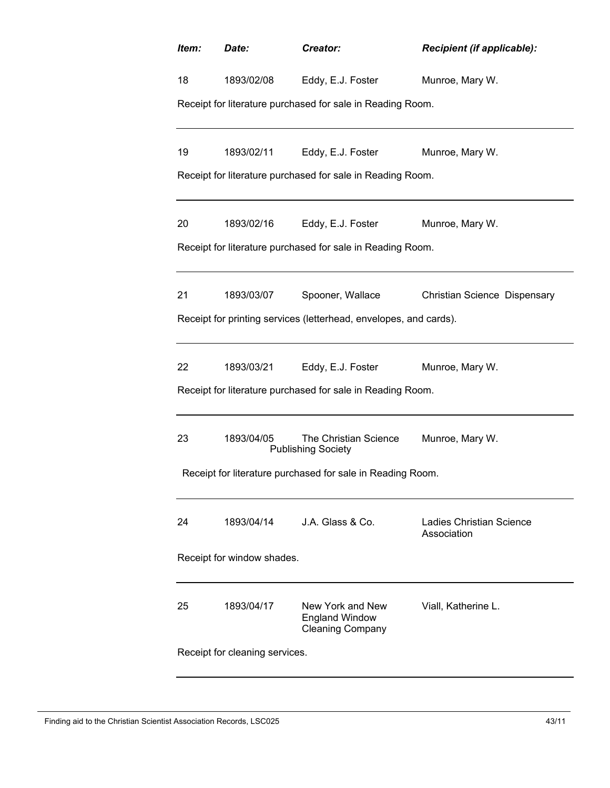| Item:                      | Date:                          | Creator:                                                             | Recipient (if applicable):                     |  |  |
|----------------------------|--------------------------------|----------------------------------------------------------------------|------------------------------------------------|--|--|
| 18                         | 1893/02/08                     | Eddy, E.J. Foster                                                    | Munroe, Mary W.                                |  |  |
|                            |                                | Receipt for literature purchased for sale in Reading Room.           |                                                |  |  |
|                            |                                |                                                                      |                                                |  |  |
| 19                         | 1893/02/11                     | Eddy, E.J. Foster                                                    | Munroe, Mary W.                                |  |  |
|                            |                                | Receipt for literature purchased for sale in Reading Room.           |                                                |  |  |
| 20                         | 1893/02/16                     | Eddy, E.J. Foster                                                    | Munroe, Mary W.                                |  |  |
|                            |                                | Receipt for literature purchased for sale in Reading Room.           |                                                |  |  |
|                            |                                |                                                                      |                                                |  |  |
| 21                         | 1893/03/07                     | Spooner, Wallace                                                     | Christian Science Dispensary                   |  |  |
|                            |                                | Receipt for printing services (letterhead, envelopes, and cards).    |                                                |  |  |
| 22                         | 1893/03/21                     | Eddy, E.J. Foster                                                    | Munroe, Mary W.                                |  |  |
|                            |                                | Receipt for literature purchased for sale in Reading Room.           |                                                |  |  |
|                            |                                |                                                                      |                                                |  |  |
| 23                         | 1893/04/05                     | The Christian Science<br><b>Publishing Society</b>                   | Munroe, Mary W.                                |  |  |
|                            |                                | Receipt for literature purchased for sale in Reading Room.           |                                                |  |  |
|                            |                                |                                                                      |                                                |  |  |
| 24                         | 1893/04/14                     | J.A. Glass & Co.                                                     | <b>Ladies Christian Science</b><br>Association |  |  |
| Receipt for window shades. |                                |                                                                      |                                                |  |  |
|                            |                                |                                                                      |                                                |  |  |
| 25                         | 1893/04/17                     | New York and New<br><b>England Window</b><br><b>Cleaning Company</b> | Viall, Katherine L.                            |  |  |
|                            | Receipt for cleaning services. |                                                                      |                                                |  |  |
|                            |                                |                                                                      |                                                |  |  |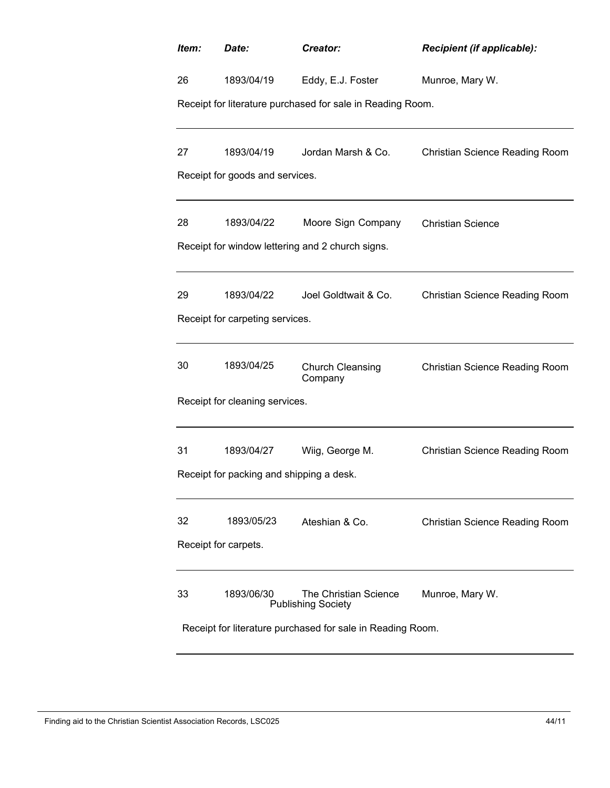| Item:                                                      | Date:                                         | Creator:                                                   | Recipient (if applicable):            |  |  |
|------------------------------------------------------------|-----------------------------------------------|------------------------------------------------------------|---------------------------------------|--|--|
| 26                                                         | 1893/04/19                                    | Eddy, E.J. Foster                                          | Munroe, Mary W.                       |  |  |
|                                                            |                                               | Receipt for literature purchased for sale in Reading Room. |                                       |  |  |
|                                                            |                                               |                                                            |                                       |  |  |
| 27                                                         | 1893/04/19<br>Receipt for goods and services. | Jordan Marsh & Co.                                         | Christian Science Reading Room        |  |  |
|                                                            |                                               |                                                            |                                       |  |  |
| 28                                                         | 1893/04/22                                    | Moore Sign Company                                         | <b>Christian Science</b>              |  |  |
|                                                            |                                               | Receipt for window lettering and 2 church signs.           |                                       |  |  |
| 29                                                         | 1893/04/22                                    | Joel Goldtwait & Co.                                       | <b>Christian Science Reading Room</b> |  |  |
|                                                            | Receipt for carpeting services.               |                                                            |                                       |  |  |
| 30                                                         | 1893/04/25                                    | <b>Church Cleansing</b><br>Company                         | <b>Christian Science Reading Room</b> |  |  |
|                                                            | Receipt for cleaning services.                |                                                            |                                       |  |  |
| 31                                                         | 1893/04/27                                    | Wiig, George M.                                            | Christian Science Reading Room        |  |  |
|                                                            | Receipt for packing and shipping a desk.      |                                                            |                                       |  |  |
| 32                                                         | 1893/05/23                                    | Ateshian & Co.                                             | Christian Science Reading Room        |  |  |
| Receipt for carpets.                                       |                                               |                                                            |                                       |  |  |
| 33                                                         | 1893/06/30                                    | The Christian Science<br><b>Publishing Society</b>         | Munroe, Mary W.                       |  |  |
| Receipt for literature purchased for sale in Reading Room. |                                               |                                                            |                                       |  |  |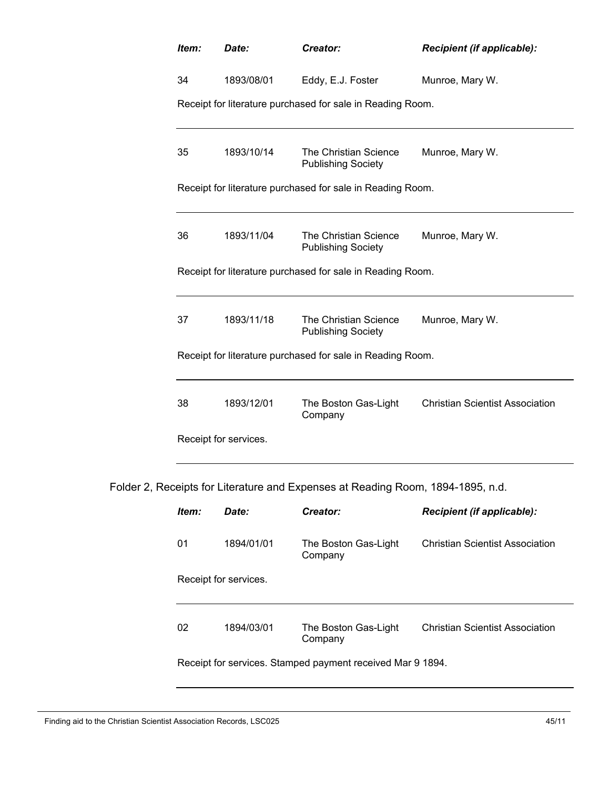| Item:                 | Date:      | Creator:                                                   | Recipient (if applicable):             |  |
|-----------------------|------------|------------------------------------------------------------|----------------------------------------|--|
| 34                    | 1893/08/01 | Eddy, E.J. Foster                                          | Munroe, Mary W.                        |  |
|                       |            | Receipt for literature purchased for sale in Reading Room. |                                        |  |
|                       |            |                                                            |                                        |  |
| 35                    | 1893/10/14 | The Christian Science<br><b>Publishing Society</b>         | Munroe, Mary W.                        |  |
|                       |            | Receipt for literature purchased for sale in Reading Room. |                                        |  |
|                       |            |                                                            |                                        |  |
| 36                    | 1893/11/04 | The Christian Science<br><b>Publishing Society</b>         | Munroe, Mary W.                        |  |
|                       |            | Receipt for literature purchased for sale in Reading Room. |                                        |  |
|                       |            |                                                            |                                        |  |
| 37                    | 1893/11/18 | The Christian Science<br><b>Publishing Society</b>         | Munroe, Mary W.                        |  |
|                       |            | Receipt for literature purchased for sale in Reading Room. |                                        |  |
|                       |            |                                                            |                                        |  |
| 38                    | 1893/12/01 | The Boston Gas-Light<br>Company                            | <b>Christian Scientist Association</b> |  |
| Receipt for services. |            |                                                            |                                        |  |
|                       |            |                                                            |                                        |  |

Folder 2, Receipts for Literature and Expenses at Reading Room, 1894-1895, n.d.

| ltem:                                                      | Date:                 | Creator:                        | <b>Recipient (if applicable):</b> |  |  |  |
|------------------------------------------------------------|-----------------------|---------------------------------|-----------------------------------|--|--|--|
| 01                                                         | 1894/01/01            | The Boston Gas-Light<br>Company | Christian Scientist Association   |  |  |  |
|                                                            | Receipt for services. |                                 |                                   |  |  |  |
|                                                            |                       |                                 |                                   |  |  |  |
| 02                                                         | 1894/03/01            | The Boston Gas-Light<br>Company | Christian Scientist Association   |  |  |  |
| Receipt for services. Stamped payment received Mar 9 1894. |                       |                                 |                                   |  |  |  |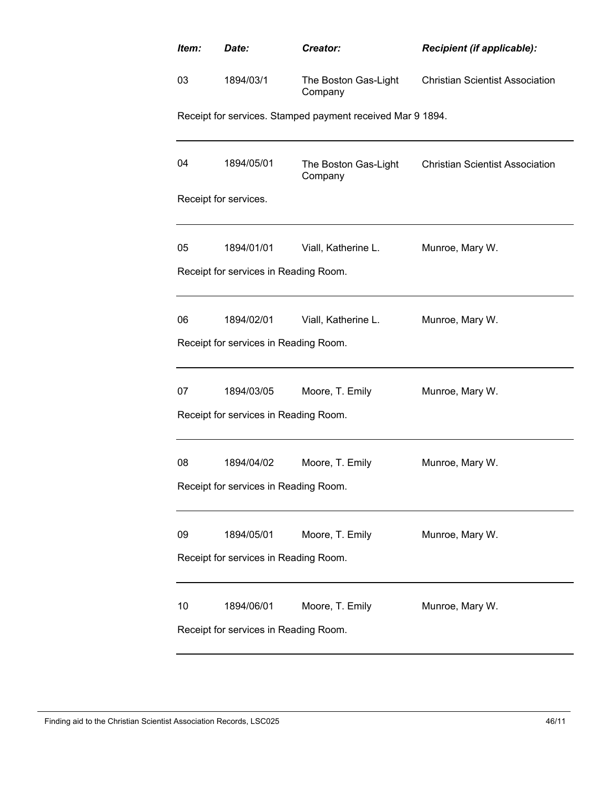| Item:                                 | Date:                                 | Creator:                                                   | Recipient (if applicable):             |  |  |
|---------------------------------------|---------------------------------------|------------------------------------------------------------|----------------------------------------|--|--|
| 03                                    | 1894/03/1                             | The Boston Gas-Light<br>Company                            | <b>Christian Scientist Association</b> |  |  |
|                                       |                                       | Receipt for services. Stamped payment received Mar 9 1894. |                                        |  |  |
| 04                                    | 1894/05/01                            | The Boston Gas-Light<br>Company                            | <b>Christian Scientist Association</b> |  |  |
|                                       | Receipt for services.                 |                                                            |                                        |  |  |
| 05                                    | 1894/01/01                            | Viall, Katherine L.                                        | Munroe, Mary W.                        |  |  |
|                                       | Receipt for services in Reading Room. |                                                            |                                        |  |  |
| 06                                    | 1894/02/01                            | Viall, Katherine L.                                        | Munroe, Mary W.                        |  |  |
|                                       | Receipt for services in Reading Room. |                                                            |                                        |  |  |
| 07                                    | 1894/03/05                            | Moore, T. Emily                                            | Munroe, Mary W.                        |  |  |
|                                       | Receipt for services in Reading Room. |                                                            |                                        |  |  |
| 08                                    | 1894/04/02                            | Moore, T. Emily                                            | Munroe, Mary W.                        |  |  |
| Receipt for services in Reading Room. |                                       |                                                            |                                        |  |  |
| 09                                    | 1894/05/01                            | Moore, T. Emily                                            | Munroe, Mary W.                        |  |  |
| Receipt for services in Reading Room. |                                       |                                                            |                                        |  |  |
| 10                                    | 1894/06/01                            | Moore, T. Emily                                            | Munroe, Mary W.                        |  |  |
| Receipt for services in Reading Room. |                                       |                                                            |                                        |  |  |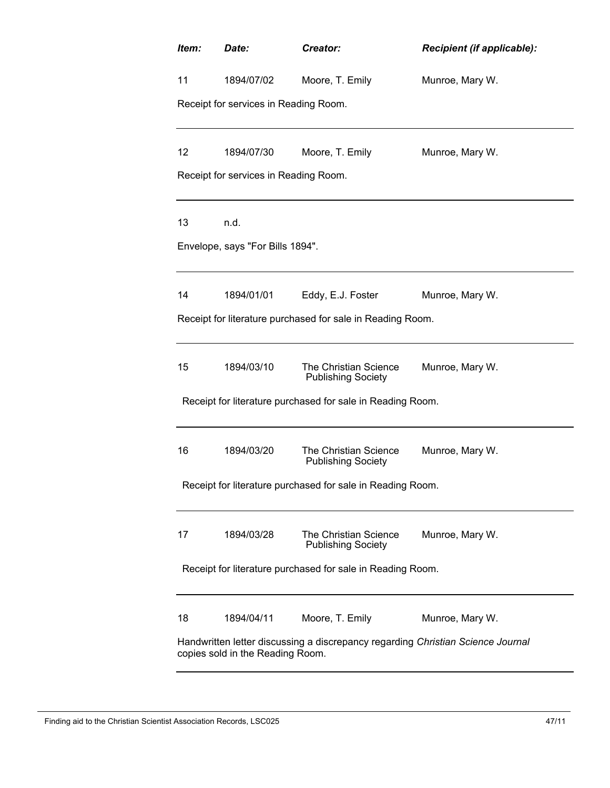| Item:                                                                                                               | Date:                                                      | Creator:                                                   | Recipient (if applicable): |  |
|---------------------------------------------------------------------------------------------------------------------|------------------------------------------------------------|------------------------------------------------------------|----------------------------|--|
| 11                                                                                                                  | 1894/07/02                                                 | Moore, T. Emily                                            | Munroe, Mary W.            |  |
|                                                                                                                     | Receipt for services in Reading Room.                      |                                                            |                            |  |
|                                                                                                                     |                                                            |                                                            |                            |  |
| 12                                                                                                                  | 1894/07/30                                                 | Moore, T. Emily                                            | Munroe, Mary W.            |  |
|                                                                                                                     | Receipt for services in Reading Room.                      |                                                            |                            |  |
| 13                                                                                                                  | n.d.                                                       |                                                            |                            |  |
|                                                                                                                     | Envelope, says "For Bills 1894".                           |                                                            |                            |  |
|                                                                                                                     |                                                            |                                                            |                            |  |
| 14                                                                                                                  | 1894/01/01                                                 | Eddy, E.J. Foster                                          | Munroe, Mary W.            |  |
|                                                                                                                     |                                                            | Receipt for literature purchased for sale in Reading Room. |                            |  |
|                                                                                                                     |                                                            |                                                            |                            |  |
| 15                                                                                                                  | 1894/03/10                                                 | The Christian Science<br><b>Publishing Society</b>         | Munroe, Mary W.            |  |
|                                                                                                                     |                                                            | Receipt for literature purchased for sale in Reading Room. |                            |  |
|                                                                                                                     |                                                            |                                                            |                            |  |
| 16                                                                                                                  | 1894/03/20                                                 | The Christian Science<br><b>Publishing Society</b>         | Munroe, Mary W.            |  |
|                                                                                                                     |                                                            | Receipt for literature purchased for sale in Reading Room. |                            |  |
|                                                                                                                     |                                                            |                                                            |                            |  |
| 17                                                                                                                  | 1894/03/28                                                 | The Christian Science<br><b>Publishing Society</b>         | Munroe, Mary W.            |  |
|                                                                                                                     | Receipt for literature purchased for sale in Reading Room. |                                                            |                            |  |
| 18                                                                                                                  | 1894/04/11                                                 | Moore, T. Emily                                            | Munroe, Mary W.            |  |
| Handwritten letter discussing a discrepancy regarding Christian Science Journal<br>copies sold in the Reading Room. |                                                            |                                                            |                            |  |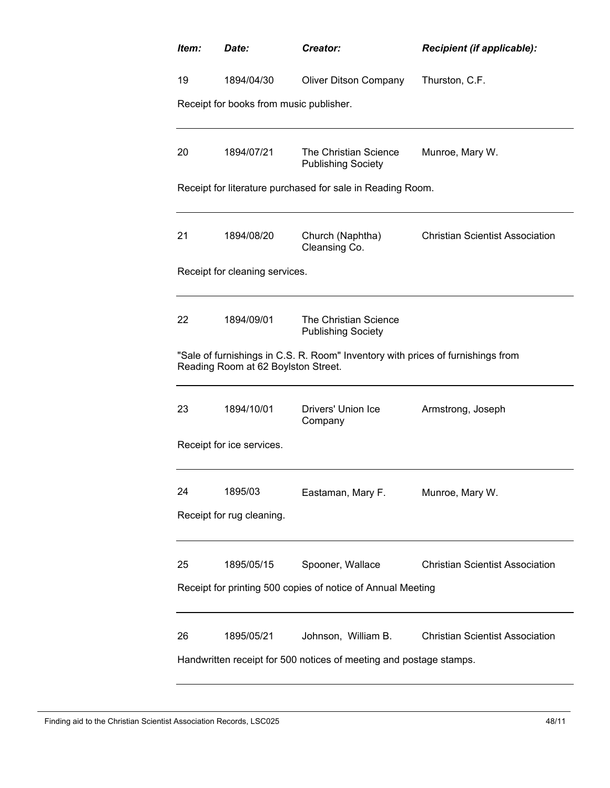| Item: | Date:                                   | Creator:                                                                                  | Recipient (if applicable):             |
|-------|-----------------------------------------|-------------------------------------------------------------------------------------------|----------------------------------------|
| 19    | 1894/04/30                              | <b>Oliver Ditson Company</b>                                                              | Thurston, C.F.                         |
|       | Receipt for books from music publisher. |                                                                                           |                                        |
| 20    | 1894/07/21                              | The Christian Science<br><b>Publishing Society</b>                                        | Munroe, Mary W.                        |
|       |                                         | Receipt for literature purchased for sale in Reading Room.                                |                                        |
| 21    | 1894/08/20                              | Church (Naphtha)<br>Cleansing Co.                                                         | <b>Christian Scientist Association</b> |
|       | Receipt for cleaning services.          |                                                                                           |                                        |
| 22    | 1894/09/01                              | The Christian Science<br><b>Publishing Society</b>                                        |                                        |
|       | Reading Room at 62 Boylston Street.     | "Sale of furnishings in C.S. R. Room" Inventory with prices of furnishings from           |                                        |
| 23    | 1894/10/01                              | Drivers' Union Ice<br>Company                                                             | Armstrong, Joseph                      |
|       | Receipt for ice services.               |                                                                                           |                                        |
| 24    | 1895/03<br>Receipt for rug cleaning.    | Eastaman, Mary F.                                                                         | Munroe, Mary W.                        |
|       |                                         |                                                                                           |                                        |
| 25    | 1895/05/15                              | Spooner, Wallace                                                                          | <b>Christian Scientist Association</b> |
|       |                                         | Receipt for printing 500 copies of notice of Annual Meeting                               |                                        |
| 26    | 1895/05/21                              | Johnson, William B.<br>Handwritten receipt for 500 notices of meeting and postage stamps. | <b>Christian Scientist Association</b> |
|       |                                         |                                                                                           |                                        |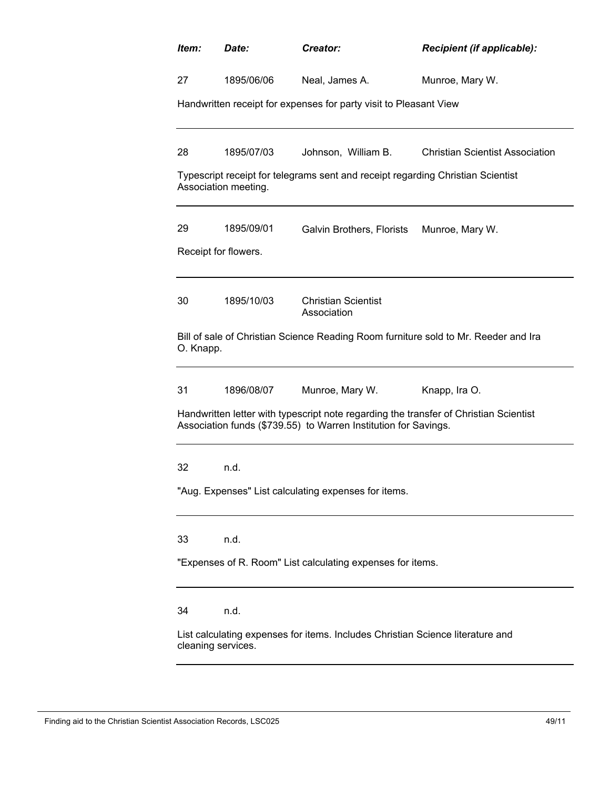| Item:              | Date:                | Creator:                                                                                                                                                 | Recipient (if applicable):                                                          |
|--------------------|----------------------|----------------------------------------------------------------------------------------------------------------------------------------------------------|-------------------------------------------------------------------------------------|
| 27                 | 1895/06/06           | Neal, James A.                                                                                                                                           | Munroe, Mary W.                                                                     |
|                    |                      | Handwritten receipt for expenses for party visit to Pleasant View                                                                                        |                                                                                     |
| 28                 | 1895/07/03           | Johnson, William B.                                                                                                                                      | <b>Christian Scientist Association</b>                                              |
|                    | Association meeting. | Typescript receipt for telegrams sent and receipt regarding Christian Scientist                                                                          |                                                                                     |
| 29                 | 1895/09/01           | Galvin Brothers, Florists                                                                                                                                | Munroe, Mary W.                                                                     |
|                    | Receipt for flowers. |                                                                                                                                                          |                                                                                     |
| 30                 | 1895/10/03           | <b>Christian Scientist</b><br>Association                                                                                                                |                                                                                     |
| O. Knapp.          |                      |                                                                                                                                                          | Bill of sale of Christian Science Reading Room furniture sold to Mr. Reeder and Ira |
| 31                 | 1896/08/07           | Munroe, Mary W.                                                                                                                                          | Knapp, Ira O.                                                                       |
|                    |                      | Handwritten letter with typescript note regarding the transfer of Christian Scientist<br>Association funds (\$739.55) to Warren Institution for Savings. |                                                                                     |
| 32                 | n.d.                 |                                                                                                                                                          |                                                                                     |
|                    |                      | "Aug. Expenses" List calculating expenses for items.                                                                                                     |                                                                                     |
| 33                 | n.d.                 |                                                                                                                                                          |                                                                                     |
|                    |                      | "Expenses of R. Room" List calculating expenses for items.                                                                                               |                                                                                     |
| 34                 | n.d.                 |                                                                                                                                                          |                                                                                     |
| cleaning services. |                      | List calculating expenses for items. Includes Christian Science literature and                                                                           |                                                                                     |
|                    |                      |                                                                                                                                                          |                                                                                     |

Finding aid to the Christian Scientist Association Records, LSC025 49/11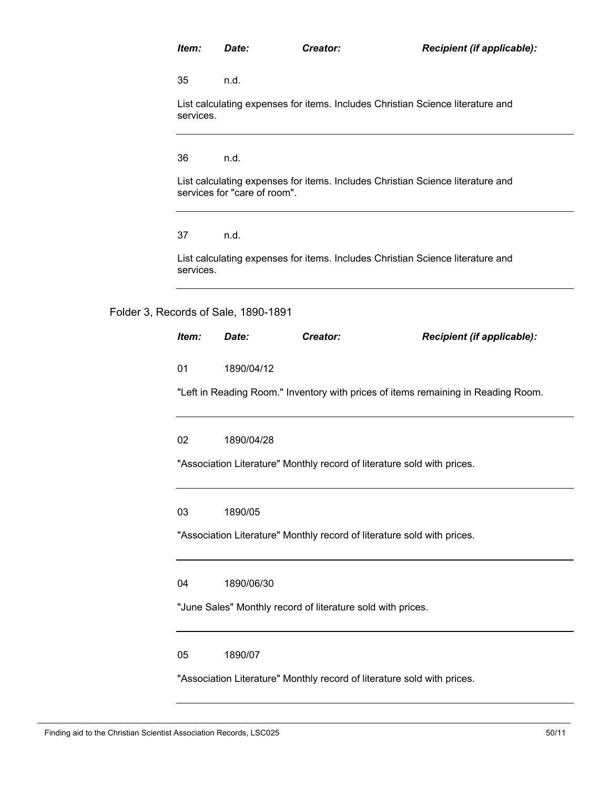| Item:     | Date:                                | Creator:                                                                       | Recipient (if applicable):                                                        |
|-----------|--------------------------------------|--------------------------------------------------------------------------------|-----------------------------------------------------------------------------------|
| 35        | n.d.                                 |                                                                                |                                                                                   |
| services. |                                      | List calculating expenses for items. Includes Christian Science literature and |                                                                                   |
| 36        | n.d.                                 |                                                                                |                                                                                   |
|           | services for "care of room".         | List calculating expenses for items. Includes Christian Science literature and |                                                                                   |
| 37        | n.d.                                 |                                                                                |                                                                                   |
| services. |                                      | List calculating expenses for items. Includes Christian Science literature and |                                                                                   |
|           | Folder 3, Records of Sale, 1890-1891 |                                                                                |                                                                                   |
| Item:     | Date:                                | Creator:                                                                       | Recipient (if applicable):                                                        |
| 01        | 1890/04/12                           |                                                                                |                                                                                   |
|           |                                      |                                                                                | "Left in Reading Room." Inventory with prices of items remaining in Reading Room. |
| 02        | 1890/04/28                           |                                                                                |                                                                                   |
|           |                                      | "Association Literature" Monthly record of literature sold with prices.        |                                                                                   |
| 03        | 1890/05                              |                                                                                |                                                                                   |
|           |                                      | "Association Literature" Monthly record of literature sold with prices.        |                                                                                   |
| 04        | 1890/06/30                           |                                                                                |                                                                                   |
|           |                                      | "June Sales" Monthly record of literature sold with prices.                    |                                                                                   |

05 1890/07

"Association Literature" Monthly record of literature sold with prices.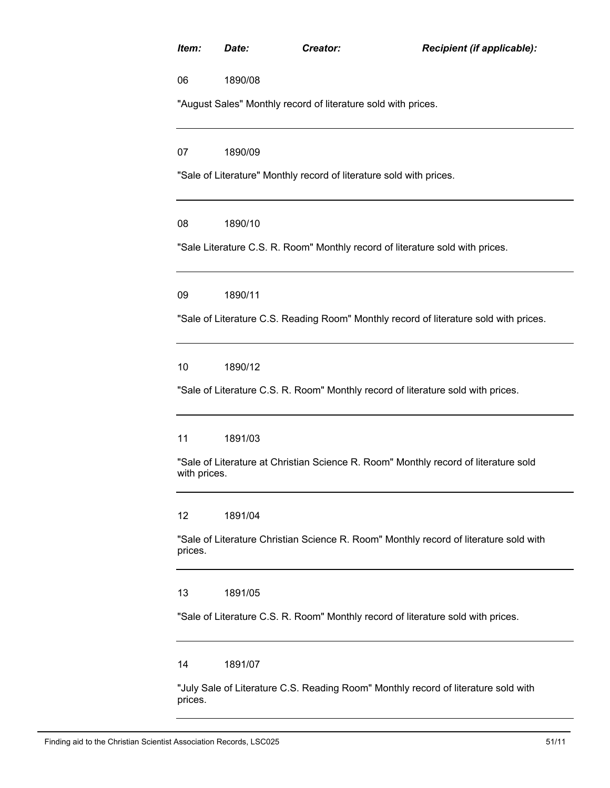| Item:        | Date:   | Creator:                                                                            | Recipient (if applicable):                                                            |
|--------------|---------|-------------------------------------------------------------------------------------|---------------------------------------------------------------------------------------|
| 06           | 1890/08 |                                                                                     |                                                                                       |
|              |         | "August Sales" Monthly record of literature sold with prices.                       |                                                                                       |
| 07           | 1890/09 |                                                                                     |                                                                                       |
|              |         | "Sale of Literature" Monthly record of literature sold with prices.                 |                                                                                       |
| 08           | 1890/10 |                                                                                     |                                                                                       |
|              |         | "Sale Literature C.S. R. Room" Monthly record of literature sold with prices.       |                                                                                       |
| 09           | 1890/11 |                                                                                     |                                                                                       |
|              |         |                                                                                     | "Sale of Literature C.S. Reading Room" Monthly record of literature sold with prices. |
| 10           | 1890/12 |                                                                                     |                                                                                       |
|              |         | "Sale of Literature C.S. R. Room" Monthly record of literature sold with prices.    |                                                                                       |
| 11           | 1891/03 |                                                                                     |                                                                                       |
| with prices. |         | "Sale of Literature at Christian Science R. Room" Monthly record of literature sold |                                                                                       |
| 12           | 1891/04 |                                                                                     |                                                                                       |
| prices.      |         |                                                                                     | "Sale of Literature Christian Science R. Room" Monthly record of literature sold with |
| 13           | 1891/05 |                                                                                     |                                                                                       |
|              |         | "Sale of Literature C.S. R. Room" Monthly record of literature sold with prices.    |                                                                                       |
| 14           | 1891/07 |                                                                                     |                                                                                       |
| prices.      |         | "July Sale of Literature C.S. Reading Room" Monthly record of literature sold with  |                                                                                       |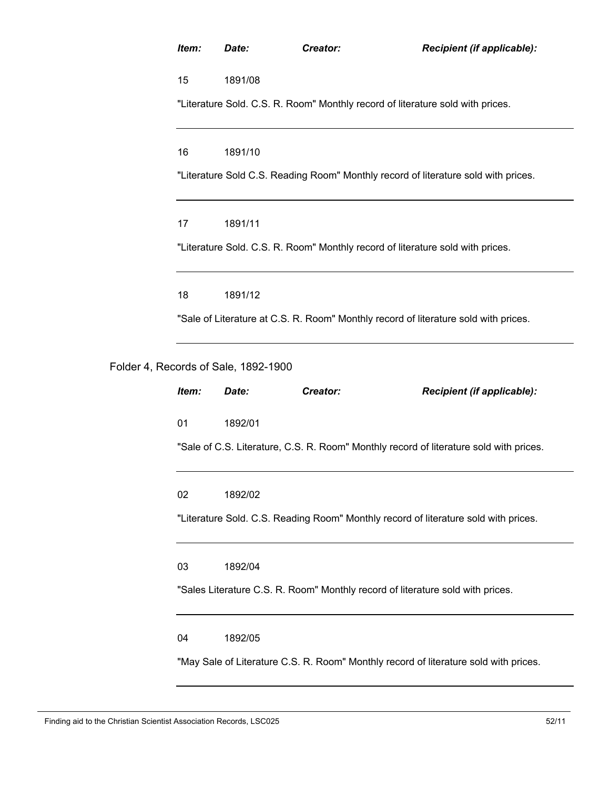| Item: | Date:                                | Creator:                                                                            | Recipient (if applicable):                                                             |
|-------|--------------------------------------|-------------------------------------------------------------------------------------|----------------------------------------------------------------------------------------|
| 15    | 1891/08                              |                                                                                     |                                                                                        |
|       |                                      | "Literature Sold. C.S. R. Room" Monthly record of literature sold with prices.      |                                                                                        |
| 16    | 1891/10                              |                                                                                     |                                                                                        |
|       |                                      | "Literature Sold C.S. Reading Room" Monthly record of literature sold with prices.  |                                                                                        |
| 17    | 1891/11                              |                                                                                     |                                                                                        |
|       |                                      | "Literature Sold. C.S. R. Room" Monthly record of literature sold with prices.      |                                                                                        |
| 18    | 1891/12                              |                                                                                     |                                                                                        |
|       |                                      | "Sale of Literature at C.S. R. Room" Monthly record of literature sold with prices. |                                                                                        |
|       | Folder 4, Records of Sale, 1892-1900 |                                                                                     |                                                                                        |
| Item: | Date:                                | Creator:                                                                            | Recipient (if applicable):                                                             |
| 01    | 1892/01                              |                                                                                     |                                                                                        |
|       |                                      |                                                                                     | "Sale of C.S. Literature, C.S. R. Room" Monthly record of literature sold with prices. |
| 02    | 1892/02                              |                                                                                     |                                                                                        |
|       |                                      |                                                                                     | "Literature Sold. C.S. Reading Room" Monthly record of literature sold with prices.    |
| 03    | 1892/04                              |                                                                                     |                                                                                        |
|       |                                      | "Sales Literature C.S. R. Room" Monthly record of literature sold with prices.      |                                                                                        |
| 04    | 1892/05                              |                                                                                     |                                                                                        |
|       |                                      |                                                                                     | "May Sale of Literature C.S. R. Room" Monthly record of literature sold with prices.   |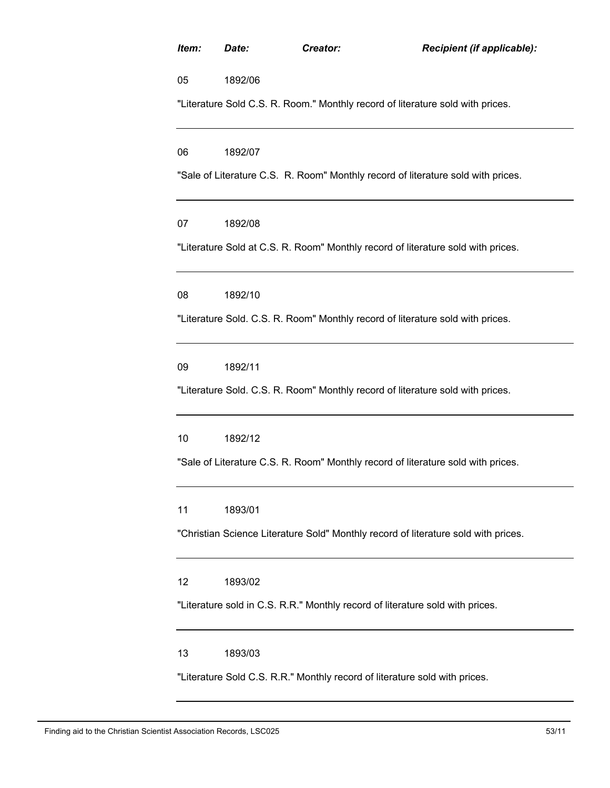| Item: | Date:   | Creator: | Recipient (if applicable):                                                         |
|-------|---------|----------|------------------------------------------------------------------------------------|
| 05    | 1892/06 |          |                                                                                    |
|       |         |          | "Literature Sold C.S. R. Room." Monthly record of literature sold with prices.     |
| 06    | 1892/07 |          |                                                                                    |
|       |         |          | "Sale of Literature C.S. R. Room" Monthly record of literature sold with prices.   |
| 07    | 1892/08 |          |                                                                                    |
|       |         |          | "Literature Sold at C.S. R. Room" Monthly record of literature sold with prices.   |
| 08    | 1892/10 |          |                                                                                    |
|       |         |          | "Literature Sold. C.S. R. Room" Monthly record of literature sold with prices.     |
| 09    | 1892/11 |          |                                                                                    |
|       |         |          | "Literature Sold. C.S. R. Room" Monthly record of literature sold with prices.     |
| 10    | 1892/12 |          |                                                                                    |
|       |         |          | "Sale of Literature C.S. R. Room" Monthly record of literature sold with prices.   |
| 11    | 1893/01 |          |                                                                                    |
|       |         |          | "Christian Science Literature Sold" Monthly record of literature sold with prices. |
| 12    | 1893/02 |          |                                                                                    |
|       |         |          | "Literature sold in C.S. R.R." Monthly record of literature sold with prices.      |
| 13    | 1893/03 |          |                                                                                    |
|       |         |          | "Literature Sold C.S. R.R." Monthly record of literature sold with prices.         |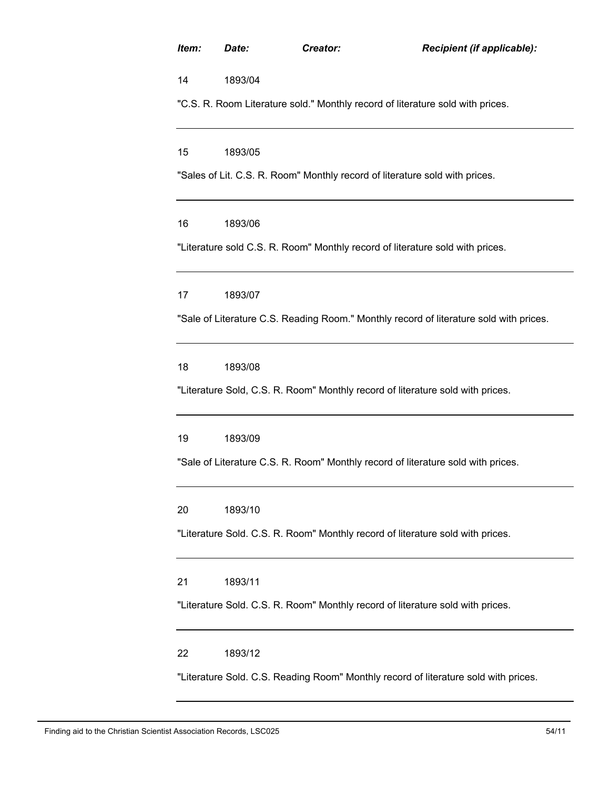| Item: | Date:   | Creator:                                                                            | Recipient (if applicable):                                                             |
|-------|---------|-------------------------------------------------------------------------------------|----------------------------------------------------------------------------------------|
| 14    | 1893/04 |                                                                                     |                                                                                        |
|       |         | "C.S. R. Room Literature sold." Monthly record of literature sold with prices.      |                                                                                        |
| 15    | 1893/05 |                                                                                     |                                                                                        |
|       |         | "Sales of Lit. C.S. R. Room" Monthly record of literature sold with prices.         |                                                                                        |
| 16    | 1893/06 |                                                                                     |                                                                                        |
|       |         | "Literature sold C.S. R. Room" Monthly record of literature sold with prices.       |                                                                                        |
| 17    | 1893/07 |                                                                                     |                                                                                        |
|       |         |                                                                                     | "Sale of Literature C.S. Reading Room." Monthly record of literature sold with prices. |
| 18    | 1893/08 |                                                                                     |                                                                                        |
|       |         | "Literature Sold, C.S. R. Room" Monthly record of literature sold with prices.      |                                                                                        |
| 19    | 1893/09 |                                                                                     |                                                                                        |
|       |         | "Sale of Literature C.S. R. Room" Monthly record of literature sold with prices.    |                                                                                        |
| 20    | 1893/10 |                                                                                     |                                                                                        |
|       |         | "Literature Sold. C.S. R. Room" Monthly record of literature sold with prices.      |                                                                                        |
| 21    | 1893/11 |                                                                                     |                                                                                        |
|       |         | "Literature Sold. C.S. R. Room" Monthly record of literature sold with prices.      |                                                                                        |
| 22    | 1893/12 |                                                                                     |                                                                                        |
|       |         | "Literature Sold. C.S. Reading Room" Monthly record of literature sold with prices. |                                                                                        |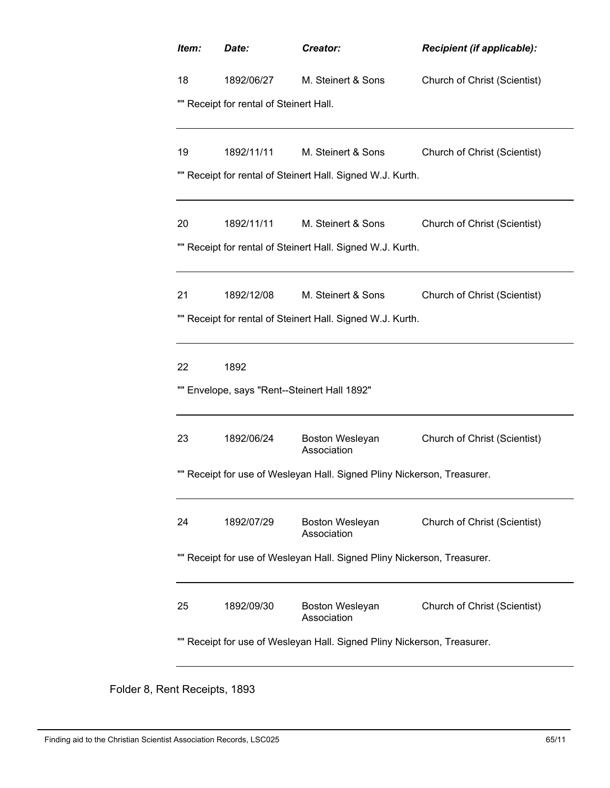| Item: | Date:                                     | Creator:                                                             | Recipient (if applicable):          |
|-------|-------------------------------------------|----------------------------------------------------------------------|-------------------------------------|
| 18    | 1892/06/27                                | M. Steinert & Sons                                                   | Church of Christ (Scientist)        |
|       | Receipt for rental of Steinert Hall.      |                                                                      |                                     |
| 19    | 1892/11/11                                | M. Steinert & Sons                                                   | Church of Christ (Scientist)        |
|       |                                           | Receipt for rental of Steinert Hall. Signed W.J. Kurth.              |                                     |
| 20    | 1892/11/11                                | M. Steinert & Sons                                                   | Church of Christ (Scientist)        |
|       |                                           | Receipt for rental of Steinert Hall. Signed W.J. Kurth.              |                                     |
| 21    | 1892/12/08                                | M. Steinert & Sons                                                   | Church of Christ (Scientist)        |
|       |                                           | Receipt for rental of Steinert Hall. Signed W.J. Kurth.              |                                     |
| 22    | 1892                                      |                                                                      |                                     |
|       | Envelope, says "Rent--Steinert Hall 1892" |                                                                      |                                     |
| 23    | 1892/06/24                                | Boston Wesleyan<br>Association                                       | Church of Christ (Scientist)        |
|       |                                           | Receipt for use of Wesleyan Hall. Signed Pliny Nickerson, Treasurer. |                                     |
| 24    | 1892/07/29                                | Boston Wesleyan<br>Association                                       | Church of Christ (Scientist)        |
|       |                                           | Receipt for use of Wesleyan Hall. Signed Pliny Nickerson, Treasurer. |                                     |
| 25    | 1892/09/30                                | Boston Wesleyan<br>Association                                       | <b>Church of Christ (Scientist)</b> |
|       |                                           | Receipt for use of Wesleyan Hall. Signed Pliny Nickerson, Treasurer. |                                     |

Folder 8, Rent Receipts, 1893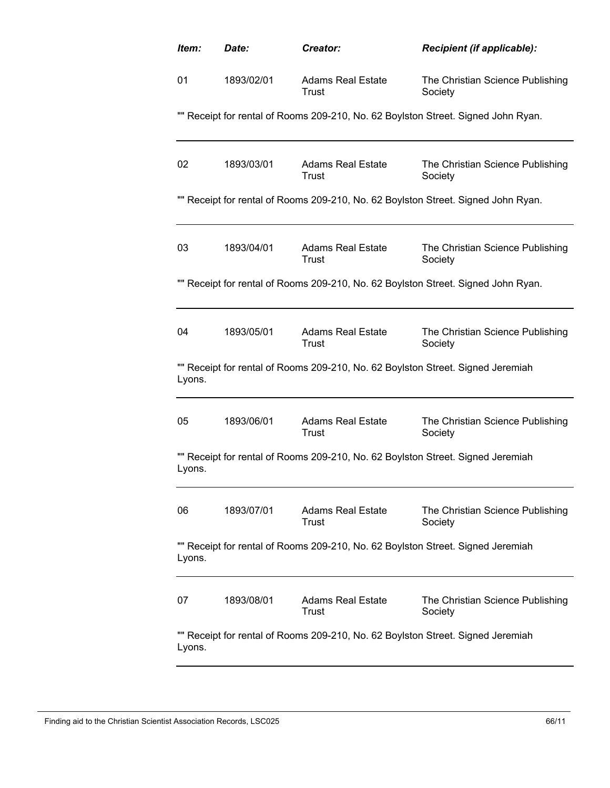| Item:  | Date:      | Creator:                                                                        | Recipient (if applicable):                                                        |
|--------|------------|---------------------------------------------------------------------------------|-----------------------------------------------------------------------------------|
| 01     | 1893/02/01 | <b>Adams Real Estate</b><br>Trust                                               | The Christian Science Publishing<br>Society                                       |
|        |            |                                                                                 | "" Receipt for rental of Rooms 209-210, No. 62 Boylston Street. Signed John Ryan. |
| 02     | 1893/03/01 | Adams Real Estate<br>Trust                                                      | The Christian Science Publishing<br>Society                                       |
|        |            |                                                                                 | "" Receipt for rental of Rooms 209-210, No. 62 Boylston Street. Signed John Ryan. |
| 03     | 1893/04/01 | Adams Real Estate<br>Trust                                                      | The Christian Science Publishing<br>Society                                       |
|        |            |                                                                                 | "" Receipt for rental of Rooms 209-210, No. 62 Boylston Street. Signed John Ryan. |
| 04     | 1893/05/01 | <b>Adams Real Estate</b><br>Trust                                               | The Christian Science Publishing<br>Society                                       |
| Lyons. |            | "" Receipt for rental of Rooms 209-210, No. 62 Boylston Street. Signed Jeremiah |                                                                                   |
| 05     | 1893/06/01 | <b>Adams Real Estate</b><br>Trust                                               | The Christian Science Publishing<br>Society                                       |
| Lyons. |            | "" Receipt for rental of Rooms 209-210, No. 62 Boylston Street. Signed Jeremiah |                                                                                   |
| 06     | 1893/07/01 | <b>Adams Real Estate</b><br>Trust                                               | The Christian Science Publishing<br>Society                                       |
| Lyons. |            | "" Receipt for rental of Rooms 209-210, No. 62 Boylston Street. Signed Jeremiah |                                                                                   |
| 07     | 1893/08/01 | Adams Real Estate<br>Trust                                                      | The Christian Science Publishing<br>Society                                       |
| Lyons. |            | "" Receipt for rental of Rooms 209-210, No. 62 Boylston Street. Signed Jeremiah |                                                                                   |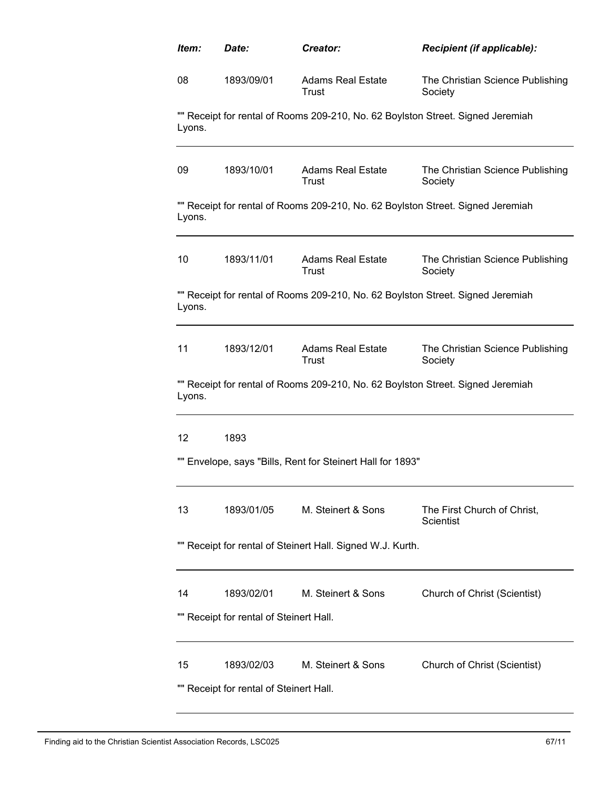| Item:  | Date:                                                 | Creator:                                                                        | <b>Recipient (if applicable):</b>               |
|--------|-------------------------------------------------------|---------------------------------------------------------------------------------|-------------------------------------------------|
| 08     | 1893/09/01                                            | <b>Adams Real Estate</b><br>Trust                                               | The Christian Science Publishing<br>Society     |
| Lyons. |                                                       | "" Receipt for rental of Rooms 209-210, No. 62 Boylston Street. Signed Jeremiah |                                                 |
| 09     | 1893/10/01                                            | <b>Adams Real Estate</b><br>Trust                                               | The Christian Science Publishing<br>Society     |
| Lyons. |                                                       | "" Receipt for rental of Rooms 209-210, No. 62 Boylston Street. Signed Jeremiah |                                                 |
| 10     | 1893/11/01                                            | <b>Adams Real Estate</b><br>Trust                                               | The Christian Science Publishing<br>Society     |
| Lyons. |                                                       | "" Receipt for rental of Rooms 209-210, No. 62 Boylston Street. Signed Jeremiah |                                                 |
| 11     | 1893/12/01                                            | <b>Adams Real Estate</b><br>Trust                                               | The Christian Science Publishing<br>Society     |
| Lyons. |                                                       | "" Receipt for rental of Rooms 209-210, No. 62 Boylston Street. Signed Jeremiah |                                                 |
| 12     | 1893                                                  |                                                                                 |                                                 |
|        |                                                       | "" Envelope, says "Bills, Rent for Steinert Hall for 1893"                      |                                                 |
| 13     | 1893/01/05                                            | M. Steinert & Sons                                                              | The First Church of Christ,<br><b>Scientist</b> |
|        |                                                       | "" Receipt for rental of Steinert Hall. Signed W.J. Kurth.                      |                                                 |
| 14     | 1893/02/01                                            | M. Steinert & Sons                                                              | Church of Christ (Scientist)                    |
|        | "" Receipt for rental of Steinert Hall.               |                                                                                 |                                                 |
| 15     | 1893/02/03<br>"" Receipt for rental of Steinert Hall. | M. Steinert & Sons                                                              | Church of Christ (Scientist)                    |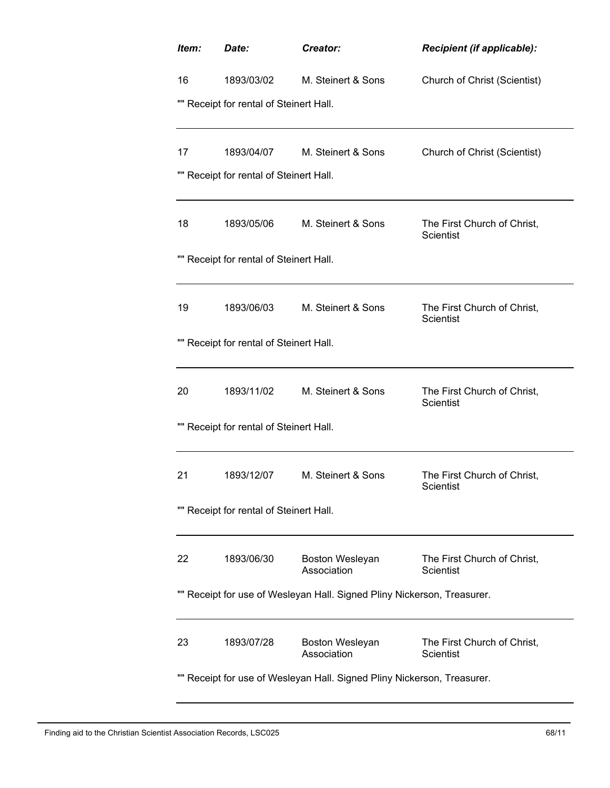| Item:<br>Date:                          | Creator:                                                                | Recipient (if applicable):                      |
|-----------------------------------------|-------------------------------------------------------------------------|-------------------------------------------------|
| 16<br>1893/03/02                        | M. Steinert & Sons                                                      | Church of Christ (Scientist)                    |
| "" Receipt for rental of Steinert Hall. |                                                                         |                                                 |
|                                         |                                                                         |                                                 |
| 1893/04/07<br>17                        | M. Steinert & Sons                                                      | Church of Christ (Scientist)                    |
| "" Receipt for rental of Steinert Hall. |                                                                         |                                                 |
|                                         |                                                                         |                                                 |
| 1893/05/06<br>18                        | M. Steinert & Sons                                                      | The First Church of Christ,<br><b>Scientist</b> |
| "" Receipt for rental of Steinert Hall. |                                                                         |                                                 |
|                                         |                                                                         |                                                 |
| 19<br>1893/06/03                        | M. Steinert & Sons                                                      | The First Church of Christ,<br><b>Scientist</b> |
| "" Receipt for rental of Steinert Hall. |                                                                         |                                                 |
|                                         |                                                                         |                                                 |
| 1893/11/02<br>20                        | M. Steinert & Sons                                                      | The First Church of Christ,<br><b>Scientist</b> |
| "" Receipt for rental of Steinert Hall. |                                                                         |                                                 |
|                                         |                                                                         |                                                 |
| 21<br>1893/12/07                        | M. Steinert & Sons                                                      | The First Church of Christ,<br>Scientist        |
| "" Receipt for rental of Steinert Hall. |                                                                         |                                                 |
|                                         |                                                                         |                                                 |
| 1893/06/30<br>22                        | Boston Wesleyan<br>Association                                          | The First Church of Christ,<br>Scientist        |
|                                         | "" Receipt for use of Wesleyan Hall. Signed Pliny Nickerson, Treasurer. |                                                 |
|                                         |                                                                         |                                                 |
| 1893/07/28<br>23                        | Boston Wesleyan<br>Association                                          | The First Church of Christ,<br>Scientist        |
|                                         | Receipt for use of Wesleyan Hall. Signed Pliny Nickerson, Treasurer.    |                                                 |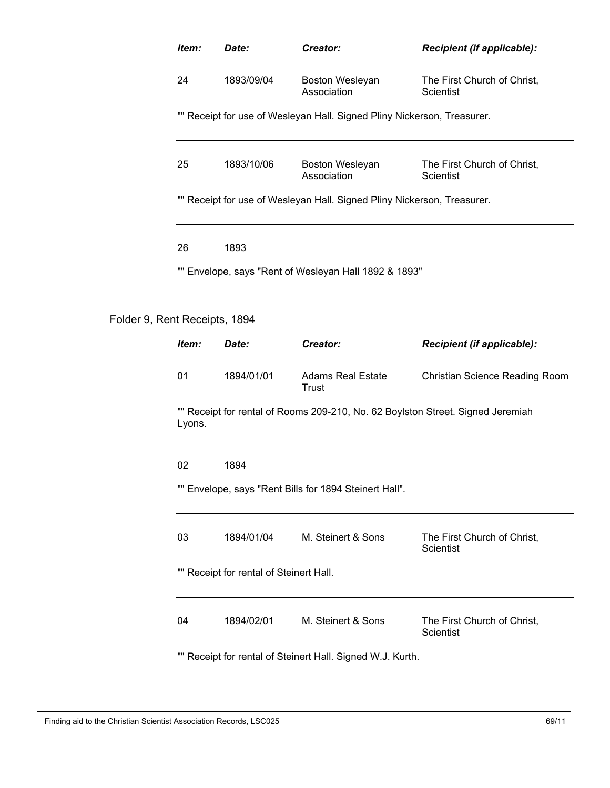| Item:  | Date:                                   | Creator:                                                                | Recipient (if applicable):                                                      |
|--------|-----------------------------------------|-------------------------------------------------------------------------|---------------------------------------------------------------------------------|
| 24     | 1893/09/04                              | Boston Wesleyan<br>Association                                          | The First Church of Christ,<br>Scientist                                        |
|        |                                         | "" Receipt for use of Wesleyan Hall. Signed Pliny Nickerson, Treasurer. |                                                                                 |
| 25     | 1893/10/06                              | Boston Wesleyan<br>Association                                          | The First Church of Christ,<br>Scientist                                        |
|        |                                         | "" Receipt for use of Wesleyan Hall. Signed Pliny Nickerson, Treasurer. |                                                                                 |
| 26     | 1893                                    |                                                                         |                                                                                 |
|        |                                         | "" Envelope, says "Rent of Wesleyan Hall 1892 & 1893"                   |                                                                                 |
|        | Rent Receipts, 1894                     |                                                                         |                                                                                 |
| Item:  | Date:                                   | Creator:                                                                | Recipient (if applicable):                                                      |
|        |                                         |                                                                         |                                                                                 |
| 01     | 1894/01/01                              | <b>Adams Real Estate</b><br><b>Trust</b>                                | <b>Christian Science Reading Room</b>                                           |
| Lyons. |                                         |                                                                         | "" Receipt for rental of Rooms 209-210, No. 62 Boylston Street. Signed Jeremiah |
| 02     | 1894                                    |                                                                         |                                                                                 |
|        |                                         | "" Envelope, says "Rent Bills for 1894 Steinert Hall".                  |                                                                                 |
| 03     | 1894/01/04                              | M. Steinert & Sons                                                      | The First Church of Christ,<br><b>Scientist</b>                                 |
|        | "" Receipt for rental of Steinert Hall. |                                                                         |                                                                                 |
| 04     | 1894/02/01                              | M. Steinert & Sons                                                      | The First Church of Christ,<br><b>Scientist</b>                                 |

Folder 9,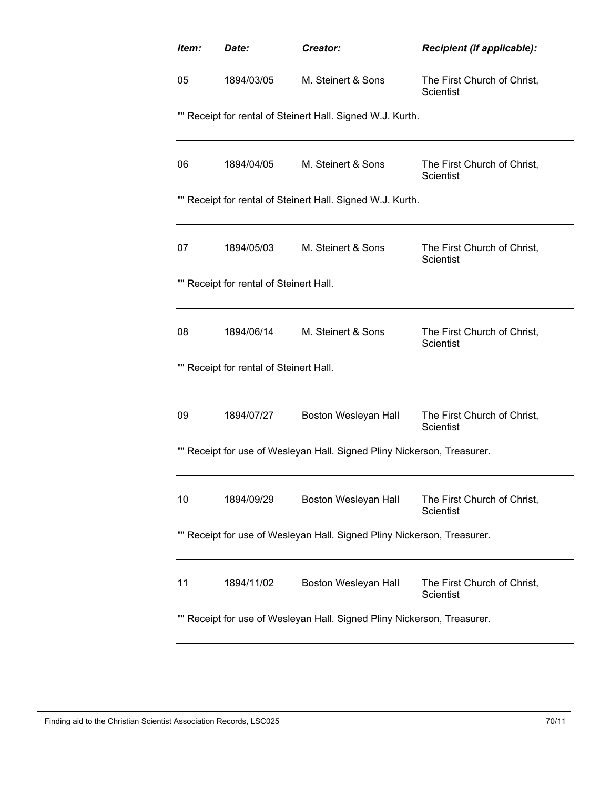| Item:                                                                   | Date:      | Creator:             | Recipient (if applicable):                      |  |  |  |  |
|-------------------------------------------------------------------------|------------|----------------------|-------------------------------------------------|--|--|--|--|
| 05                                                                      | 1894/03/05 | M. Steinert & Sons   | The First Church of Christ,<br>Scientist        |  |  |  |  |
| "" Receipt for rental of Steinert Hall. Signed W.J. Kurth.              |            |                      |                                                 |  |  |  |  |
| 06                                                                      | 1894/04/05 | M. Steinert & Sons   | The First Church of Christ,<br>Scientist        |  |  |  |  |
| "" Receipt for rental of Steinert Hall. Signed W.J. Kurth.              |            |                      |                                                 |  |  |  |  |
| 07                                                                      | 1894/05/03 | M. Steinert & Sons   | The First Church of Christ,<br>Scientist        |  |  |  |  |
| "" Receipt for rental of Steinert Hall.                                 |            |                      |                                                 |  |  |  |  |
| 08                                                                      | 1894/06/14 | M. Steinert & Sons   | The First Church of Christ,<br><b>Scientist</b> |  |  |  |  |
| "" Receipt for rental of Steinert Hall.                                 |            |                      |                                                 |  |  |  |  |
| 09                                                                      | 1894/07/27 | Boston Wesleyan Hall | The First Church of Christ,<br><b>Scientist</b> |  |  |  |  |
| "" Receipt for use of Wesleyan Hall. Signed Pliny Nickerson, Treasurer. |            |                      |                                                 |  |  |  |  |
| 10                                                                      | 1894/09/29 | Boston Wesleyan Hall | The First Church of Christ,<br><b>Scientist</b> |  |  |  |  |
| "" Receipt for use of Wesleyan Hall. Signed Pliny Nickerson, Treasurer. |            |                      |                                                 |  |  |  |  |
| 11                                                                      | 1894/11/02 | Boston Wesleyan Hall | The First Church of Christ,<br>Scientist        |  |  |  |  |
| "" Receipt for use of Wesleyan Hall. Signed Pliny Nickerson, Treasurer. |            |                      |                                                 |  |  |  |  |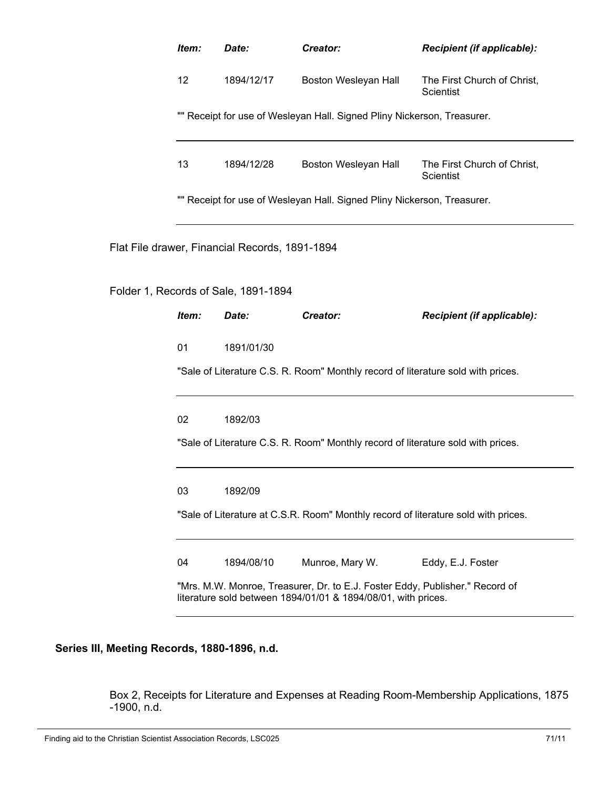|                                                | Item:                                                                                                                                                                                                                                                                                        | Date:                                                                   | Creator:             | Recipient (if applicable):                      |  |  |  |
|------------------------------------------------|----------------------------------------------------------------------------------------------------------------------------------------------------------------------------------------------------------------------------------------------------------------------------------------------|-------------------------------------------------------------------------|----------------------|-------------------------------------------------|--|--|--|
|                                                | 12                                                                                                                                                                                                                                                                                           | 1894/12/17                                                              | Boston Wesleyan Hall | The First Church of Christ,<br>Scientist        |  |  |  |
|                                                |                                                                                                                                                                                                                                                                                              | "" Receipt for use of Wesleyan Hall. Signed Pliny Nickerson, Treasurer. |                      |                                                 |  |  |  |
|                                                | 13                                                                                                                                                                                                                                                                                           | 1894/12/28                                                              | Boston Wesleyan Hall | The First Church of Christ,<br><b>Scientist</b> |  |  |  |
|                                                | "" Receipt for use of Wesleyan Hall. Signed Pliny Nickerson, Treasurer.                                                                                                                                                                                                                      |                                                                         |                      |                                                 |  |  |  |
| Flat File drawer, Financial Records, 1891-1894 |                                                                                                                                                                                                                                                                                              |                                                                         |                      |                                                 |  |  |  |
|                                                |                                                                                                                                                                                                                                                                                              | Folder 1, Records of Sale, 1891-1894                                    |                      |                                                 |  |  |  |
|                                                | Item:                                                                                                                                                                                                                                                                                        | Date:                                                                   | Creator:             | Recipient (if applicable):                      |  |  |  |
|                                                | 01                                                                                                                                                                                                                                                                                           | 1891/01/30                                                              |                      |                                                 |  |  |  |
|                                                | "Sale of Literature C.S. R. Room" Monthly record of literature sold with prices.<br>02<br>1892/03<br>"Sale of Literature C.S. R. Room" Monthly record of literature sold with prices.<br>03<br>1892/09<br>"Sale of Literature at C.S.R. Room" Monthly record of literature sold with prices. |                                                                         |                      |                                                 |  |  |  |
|                                                |                                                                                                                                                                                                                                                                                              |                                                                         |                      |                                                 |  |  |  |
|                                                |                                                                                                                                                                                                                                                                                              |                                                                         |                      |                                                 |  |  |  |
|                                                |                                                                                                                                                                                                                                                                                              |                                                                         |                      |                                                 |  |  |  |
|                                                |                                                                                                                                                                                                                                                                                              |                                                                         |                      |                                                 |  |  |  |
|                                                | 04                                                                                                                                                                                                                                                                                           | 1894/08/10                                                              | Munroe, Mary W.      | Eddy, E.J. Foster                               |  |  |  |
|                                                | "Mrs. M.W. Monroe, Treasurer, Dr. to E.J. Foster Eddy, Publisher." Record of<br>literature sold between 1894/01/01 & 1894/08/01, with prices.                                                                                                                                                |                                                                         |                      |                                                 |  |  |  |
|                                                |                                                                                                                                                                                                                                                                                              |                                                                         |                      |                                                 |  |  |  |

## **Series III, Meeting Records, 1880-1896, n.d.**

Box 2, Receipts for Literature and Expenses at Reading Room-Membership Applications, 1875 -1900, n.d.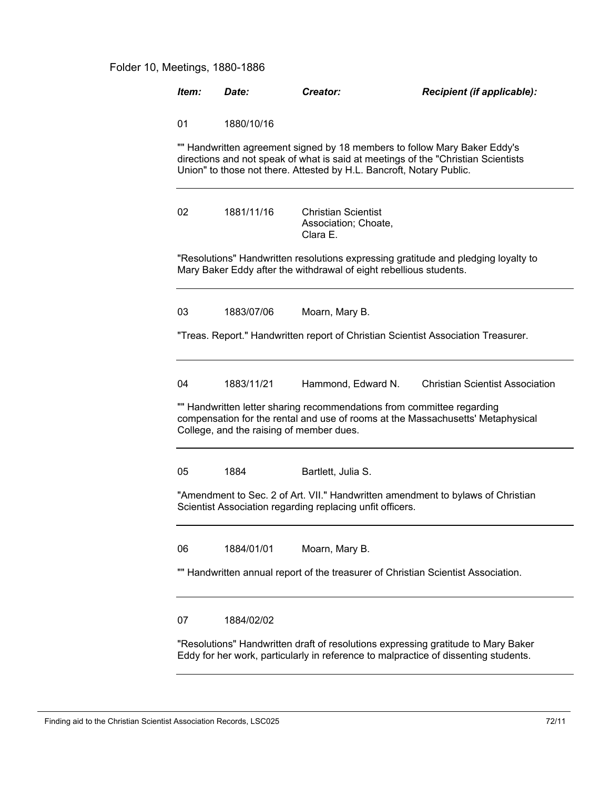## Folder 10, Meetings, 1880-1886

| Item:                                                                                                                                                                                                                                  | Date:                                                                                                                                                                    | Creator:                                                       | Recipient (if applicable):             |  |  |  |
|----------------------------------------------------------------------------------------------------------------------------------------------------------------------------------------------------------------------------------------|--------------------------------------------------------------------------------------------------------------------------------------------------------------------------|----------------------------------------------------------------|----------------------------------------|--|--|--|
| 01                                                                                                                                                                                                                                     | 1880/10/16                                                                                                                                                               |                                                                |                                        |  |  |  |
| "" Handwritten agreement signed by 18 members to follow Mary Baker Eddy's<br>directions and not speak of what is said at meetings of the "Christian Scientists<br>Union" to those not there. Attested by H.L. Bancroft, Notary Public. |                                                                                                                                                                          |                                                                |                                        |  |  |  |
| 02                                                                                                                                                                                                                                     | 1881/11/16                                                                                                                                                               | <b>Christian Scientist</b><br>Association; Choate,<br>Clara E. |                                        |  |  |  |
| "Resolutions" Handwritten resolutions expressing gratitude and pledging loyalty to<br>Mary Baker Eddy after the withdrawal of eight rebellious students.                                                                               |                                                                                                                                                                          |                                                                |                                        |  |  |  |
| 03                                                                                                                                                                                                                                     | 1883/07/06                                                                                                                                                               | Moarn, Mary B.                                                 |                                        |  |  |  |
| "Treas. Report." Handwritten report of Christian Scientist Association Treasurer.                                                                                                                                                      |                                                                                                                                                                          |                                                                |                                        |  |  |  |
| 04                                                                                                                                                                                                                                     | 1883/11/21                                                                                                                                                               | Hammond, Edward N.                                             | <b>Christian Scientist Association</b> |  |  |  |
| "" Handwritten letter sharing recommendations from committee regarding<br>compensation for the rental and use of rooms at the Massachusetts' Metaphysical<br>College, and the raising of member dues.                                  |                                                                                                                                                                          |                                                                |                                        |  |  |  |
| 05                                                                                                                                                                                                                                     | 1884                                                                                                                                                                     | Bartlett, Julia S.                                             |                                        |  |  |  |
| "Amendment to Sec. 2 of Art. VII." Handwritten amendment to bylaws of Christian<br>Scientist Association regarding replacing unfit officers.                                                                                           |                                                                                                                                                                          |                                                                |                                        |  |  |  |
| 06                                                                                                                                                                                                                                     | 1884/01/01                                                                                                                                                               | Moarn, Mary B.                                                 |                                        |  |  |  |
| "" Handwritten annual report of the treasurer of Christian Scientist Association.                                                                                                                                                      |                                                                                                                                                                          |                                                                |                                        |  |  |  |
| 07                                                                                                                                                                                                                                     | 1884/02/02                                                                                                                                                               |                                                                |                                        |  |  |  |
|                                                                                                                                                                                                                                        | "Resolutions" Handwritten draft of resolutions expressing gratitude to Mary Baker<br>Eddy for her work, particularly in reference to malpractice of dissenting students. |                                                                |                                        |  |  |  |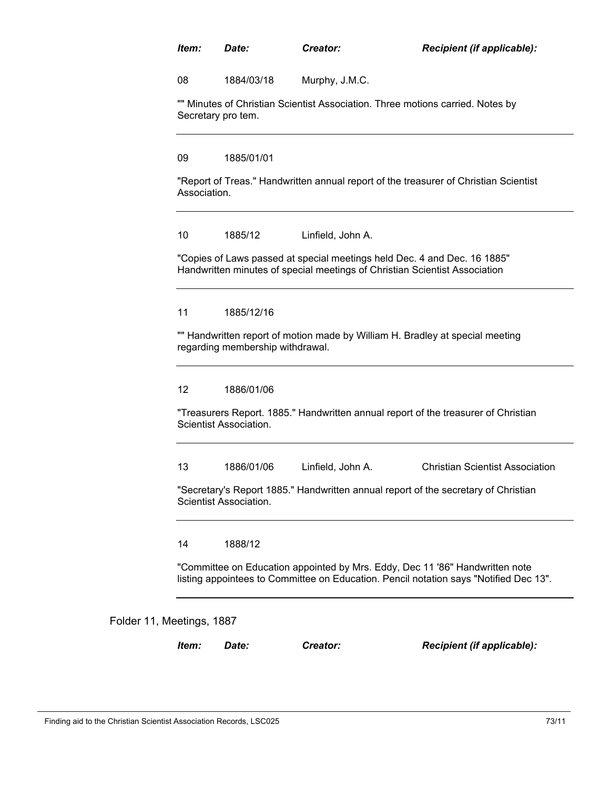| ltem: | Date: | Creator: | Recipient (if applicable): |
|-------|-------|----------|----------------------------|
|-------|-------|----------|----------------------------|

08 1884/03/18 Murphy, J.M.C.

"" Minutes of Christian Scientist Association. Three motions carried. Notes by Secretary pro tem.

09 1885/01/01

"Report of Treas." Handwritten annual report of the treasurer of Christian Scientist Association.

## 10 1885/12 Linfield, John A.

"Copies of Laws passed at special meetings held Dec. 4 and Dec. 16 1885" Handwritten minutes of special meetings of Christian Scientist Association

### 11 1885/12/16

"" Handwritten report of motion made by William H. Bradley at special meeting regarding membership withdrawal.

#### 12 1886/01/06

"Treasurers Report. 1885." Handwritten annual report of the treasurer of Christian Scientist Association.

13 1886/01/06 Linfield, John A. Christian Scientist Association

"Secretary's Report 1885." Handwritten annual report of the secretary of Christian Scientist Association.

14 1888/12

"Committee on Education appointed by Mrs. Eddy, Dec 11 '86" Handwritten note listing appointees to Committee on Education. Pencil notation says "Notified Dec 13".

#### Folder 11, Meetings, 1887

*Item: Date: Creator: Recipient (if applicable):*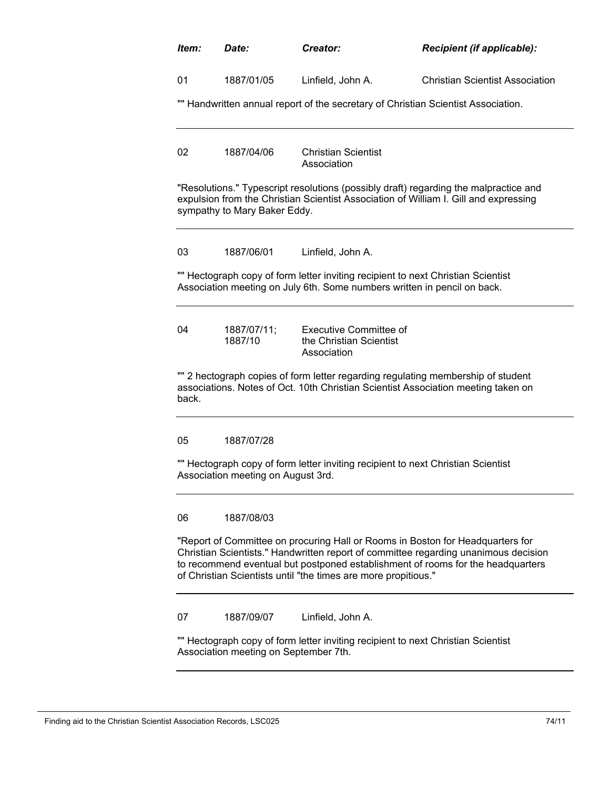| Item:                                                                                                                     | Date:                                                                                                                                                                                                                                                                                                                      | Creator:                                                                                                                                                              | Recipient (if applicable):                                                                                                                                                   |  |  |
|---------------------------------------------------------------------------------------------------------------------------|----------------------------------------------------------------------------------------------------------------------------------------------------------------------------------------------------------------------------------------------------------------------------------------------------------------------------|-----------------------------------------------------------------------------------------------------------------------------------------------------------------------|------------------------------------------------------------------------------------------------------------------------------------------------------------------------------|--|--|
| 01                                                                                                                        | 1887/01/05                                                                                                                                                                                                                                                                                                                 | Linfield, John A.                                                                                                                                                     | <b>Christian Scientist Association</b>                                                                                                                                       |  |  |
|                                                                                                                           |                                                                                                                                                                                                                                                                                                                            | "" Handwritten annual report of the secretary of Christian Scientist Association.                                                                                     |                                                                                                                                                                              |  |  |
|                                                                                                                           |                                                                                                                                                                                                                                                                                                                            |                                                                                                                                                                       |                                                                                                                                                                              |  |  |
| 02                                                                                                                        | 1887/04/06                                                                                                                                                                                                                                                                                                                 | <b>Christian Scientist</b><br>Association                                                                                                                             |                                                                                                                                                                              |  |  |
|                                                                                                                           | sympathy to Mary Baker Eddy.                                                                                                                                                                                                                                                                                               |                                                                                                                                                                       | "Resolutions." Typescript resolutions (possibly draft) regarding the malpractice and<br>expulsion from the Christian Scientist Association of William I. Gill and expressing |  |  |
| 03                                                                                                                        | 1887/06/01                                                                                                                                                                                                                                                                                                                 | Linfield, John A.                                                                                                                                                     |                                                                                                                                                                              |  |  |
|                                                                                                                           |                                                                                                                                                                                                                                                                                                                            | "" Hectograph copy of form letter inviting recipient to next Christian Scientist<br>Association meeting on July 6th. Some numbers written in pencil on back.          |                                                                                                                                                                              |  |  |
| 04                                                                                                                        | 1887/07/11;<br>1887/10                                                                                                                                                                                                                                                                                                     | <b>Executive Committee of</b><br>the Christian Scientist<br>Association                                                                                               |                                                                                                                                                                              |  |  |
| back.                                                                                                                     |                                                                                                                                                                                                                                                                                                                            | "" 2 hectograph copies of form letter regarding regulating membership of student<br>associations. Notes of Oct. 10th Christian Scientist Association meeting taken on |                                                                                                                                                                              |  |  |
| 05                                                                                                                        | 1887/07/28                                                                                                                                                                                                                                                                                                                 |                                                                                                                                                                       |                                                                                                                                                                              |  |  |
|                                                                                                                           | Association meeting on August 3rd.                                                                                                                                                                                                                                                                                         | "" Hectograph copy of form letter inviting recipient to next Christian Scientist                                                                                      |                                                                                                                                                                              |  |  |
| 06                                                                                                                        | 1887/08/03                                                                                                                                                                                                                                                                                                                 |                                                                                                                                                                       |                                                                                                                                                                              |  |  |
|                                                                                                                           | "Report of Committee on procuring Hall or Rooms in Boston for Headquarters for<br>Christian Scientists." Handwritten report of committee regarding unanimous decision<br>to recommend eventual but postponed establishment of rooms for the headquarters<br>of Christian Scientists until "the times are more propitious." |                                                                                                                                                                       |                                                                                                                                                                              |  |  |
| 07                                                                                                                        | 1887/09/07                                                                                                                                                                                                                                                                                                                 | Linfield, John A.                                                                                                                                                     |                                                                                                                                                                              |  |  |
| "" Hectograph copy of form letter inviting recipient to next Christian Scientist<br>Association meeting on September 7th. |                                                                                                                                                                                                                                                                                                                            |                                                                                                                                                                       |                                                                                                                                                                              |  |  |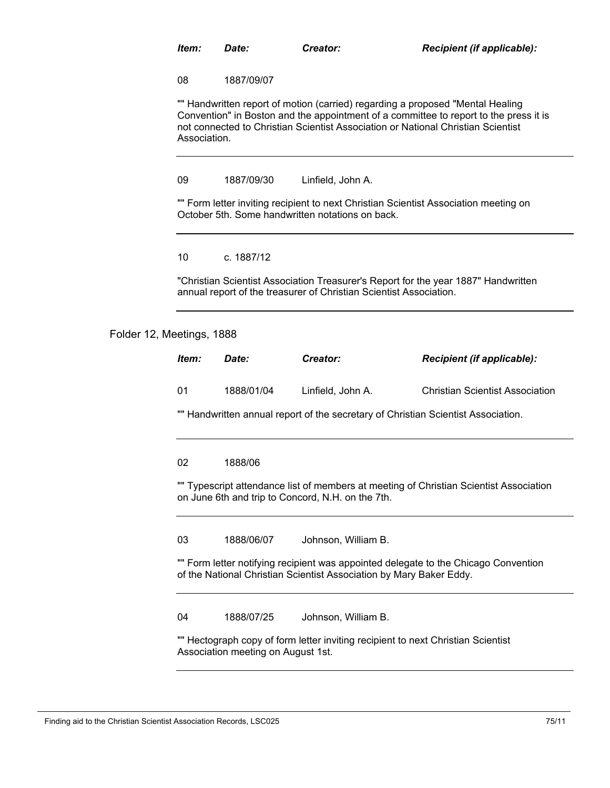08 1887/09/07

"" Handwritten report of motion (carried) regarding a proposed "Mental Healing Convention" in Boston and the appointment of a committee to report to the press it is not connected to Christian Scientist Association or National Christian Scientist Association.

09 1887/09/30 Linfield, John A.

"" Form letter inviting recipient to next Christian Scientist Association meeting on October 5th. Some handwritten notations on back.

10 c. 1887/12

"Christian Scientist Association Treasurer's Report for the year 1887" Handwritten annual report of the treasurer of Christian Scientist Association.

Folder 12, Meetings, 1888

| ltem: | Date:      | Creator:          | <b>Recipient (if applicable):</b>      |
|-------|------------|-------------------|----------------------------------------|
| -01   | 1888/01/04 | Linfield, John A. | <b>Christian Scientist Association</b> |

"" Handwritten annual report of the secretary of Christian Scientist Association.

#### 02 1888/06

"" Typescript attendance list of members at meeting of Christian Scientist Association on June 6th and trip to Concord, N.H. on the 7th.

03 1888/06/07 Johnson, William B.

"" Form letter notifying recipient was appointed delegate to the Chicago Convention of the National Christian Scientist Association by Mary Baker Eddy.

04 1888/07/25 Johnson, William B.

"" Hectograph copy of form letter inviting recipient to next Christian Scientist Association meeting on August 1st.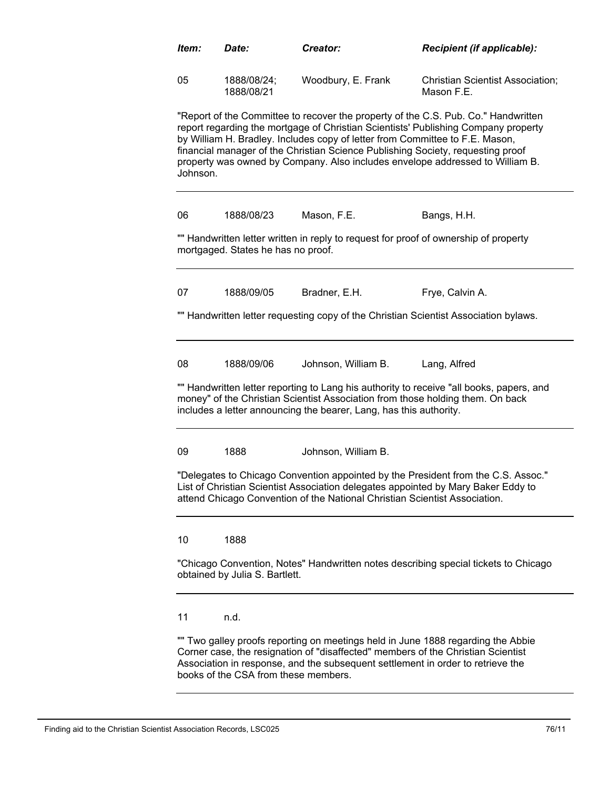| Item:                                                                                                                                                                                                                                                   | Date:                                                                                                                                                                                                                                                | Creator:                                                                                                                                                        | <b>Recipient (if applicable):</b>                                                                                                                                                                                                                         |  |
|---------------------------------------------------------------------------------------------------------------------------------------------------------------------------------------------------------------------------------------------------------|------------------------------------------------------------------------------------------------------------------------------------------------------------------------------------------------------------------------------------------------------|-----------------------------------------------------------------------------------------------------------------------------------------------------------------|-----------------------------------------------------------------------------------------------------------------------------------------------------------------------------------------------------------------------------------------------------------|--|
| 05                                                                                                                                                                                                                                                      | 1888/08/24;<br>1888/08/21                                                                                                                                                                                                                            | Woodbury, E. Frank                                                                                                                                              | <b>Christian Scientist Association;</b><br>Mason F.E.                                                                                                                                                                                                     |  |
| Johnson.                                                                                                                                                                                                                                                |                                                                                                                                                                                                                                                      | by William H. Bradley. Includes copy of letter from Committee to F.E. Mason,<br>financial manager of the Christian Science Publishing Society, requesting proof | "Report of the Committee to recover the property of the C.S. Pub. Co." Handwritten<br>report regarding the mortgage of Christian Scientists' Publishing Company property<br>property was owned by Company. Also includes envelope addressed to William B. |  |
| 06                                                                                                                                                                                                                                                      | 1888/08/23                                                                                                                                                                                                                                           | Mason, F.E.                                                                                                                                                     | Bangs, H.H.                                                                                                                                                                                                                                               |  |
|                                                                                                                                                                                                                                                         | mortgaged. States he has no proof.                                                                                                                                                                                                                   | "" Handwritten letter written in reply to request for proof of ownership of property                                                                            |                                                                                                                                                                                                                                                           |  |
| 07                                                                                                                                                                                                                                                      | 1888/09/05                                                                                                                                                                                                                                           | Bradner, E.H.                                                                                                                                                   | Frye, Calvin A.                                                                                                                                                                                                                                           |  |
|                                                                                                                                                                                                                                                         |                                                                                                                                                                                                                                                      |                                                                                                                                                                 | "" Handwritten letter requesting copy of the Christian Scientist Association bylaws.                                                                                                                                                                      |  |
| 08                                                                                                                                                                                                                                                      | 1888/09/06                                                                                                                                                                                                                                           | Johnson, William B.                                                                                                                                             | Lang, Alfred                                                                                                                                                                                                                                              |  |
|                                                                                                                                                                                                                                                         |                                                                                                                                                                                                                                                      | money" of the Christian Scientist Association from those holding them. On back<br>includes a letter announcing the bearer, Lang, has this authority.            | "" Handwritten letter reporting to Lang his authority to receive "all books, papers, and                                                                                                                                                                  |  |
| 09                                                                                                                                                                                                                                                      | 1888                                                                                                                                                                                                                                                 | Johnson, William B.                                                                                                                                             |                                                                                                                                                                                                                                                           |  |
|                                                                                                                                                                                                                                                         | "Delegates to Chicago Convention appointed by the President from the C.S. Assoc."<br>List of Christian Scientist Association delegates appointed by Mary Baker Eddy to<br>attend Chicago Convention of the National Christian Scientist Association. |                                                                                                                                                                 |                                                                                                                                                                                                                                                           |  |
| 10                                                                                                                                                                                                                                                      | 1888                                                                                                                                                                                                                                                 |                                                                                                                                                                 |                                                                                                                                                                                                                                                           |  |
|                                                                                                                                                                                                                                                         | "Chicago Convention, Notes" Handwritten notes describing special tickets to Chicago<br>obtained by Julia S. Bartlett.                                                                                                                                |                                                                                                                                                                 |                                                                                                                                                                                                                                                           |  |
| 11                                                                                                                                                                                                                                                      | n.d.                                                                                                                                                                                                                                                 |                                                                                                                                                                 |                                                                                                                                                                                                                                                           |  |
| "" Two galley proofs reporting on meetings held in June 1888 regarding the Abbie<br>Corner case, the resignation of "disaffected" members of the Christian Scientist<br>Association in response, and the subsequent settlement in order to retrieve the |                                                                                                                                                                                                                                                      |                                                                                                                                                                 |                                                                                                                                                                                                                                                           |  |

Finding aid to the Christian Scientist Association Records, LSC025 76/11

books of the CSA from these members.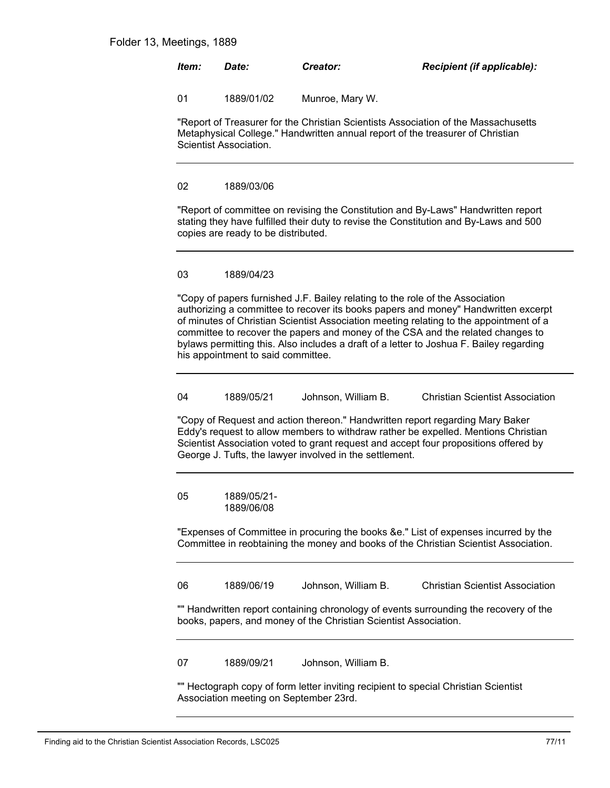| ltem: | <i>Date:</i> | Creator:        | <b>Recipient (if applicable):</b> |
|-------|--------------|-----------------|-----------------------------------|
| _ በ1  | 1889/01/02   | Munroe, Mary W. |                                   |

"Report of Treasurer for the Christian Scientists Association of the Massachusetts Metaphysical College." Handwritten annual report of the treasurer of Christian Scientist Association.

### 02 1889/03/06

"Report of committee on revising the Constitution and By-Laws" Handwritten report stating they have fulfilled their duty to revise the Constitution and By-Laws and 500 copies are ready to be distributed.

## 03 1889/04/23

"Copy of papers furnished J.F. Bailey relating to the role of the Association authorizing a committee to recover its books papers and money" Handwritten excerpt of minutes of Christian Scientist Association meeting relating to the appointment of a committee to recover the papers and money of the CSA and the related changes to bylaws permitting this. Also includes a draft of a letter to Joshua F. Bailey regarding his appointment to said committee.

| 04 | 1889/05/21 | Johnson. William B. | <b>Christian Scientist Association</b> |
|----|------------|---------------------|----------------------------------------|
|----|------------|---------------------|----------------------------------------|

"Copy of Request and action thereon." Handwritten report regarding Mary Baker Eddy's request to allow members to withdraw rather be expelled. Mentions Christian Scientist Association voted to grant request and accept four propositions offered by George J. Tufts, the lawyer involved in the settlement.

1889/05/21- 1889/06/08 05

"Expenses of Committee in procuring the books &e." List of expenses incurred by the Committee in reobtaining the money and books of the Christian Scientist Association.

06 1889/06/19 Johnson, William B. Christian Scientist Association

"" Handwritten report containing chronology of events surrounding the recovery of the books, papers, and money of the Christian Scientist Association.

07 1889/09/21 Johnson, William B.

"" Hectograph copy of form letter inviting recipient to special Christian Scientist Association meeting on September 23rd.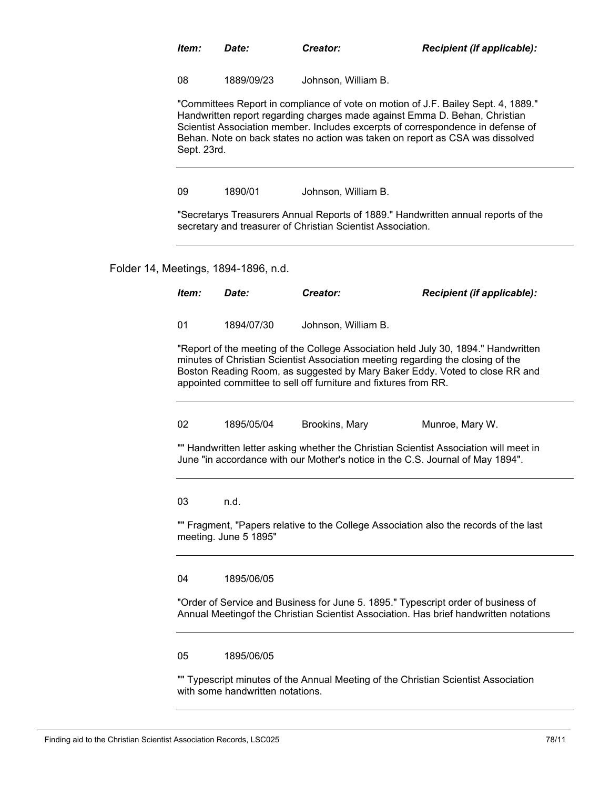| ltem: | Date: | Creator: | <b>Recipient (if applicable):</b> |
|-------|-------|----------|-----------------------------------|
|-------|-------|----------|-----------------------------------|

08 1889/09/23 Johnson, William B.

"Committees Report in compliance of vote on motion of J.F. Bailey Sept. 4, 1889." Handwritten report regarding charges made against Emma D. Behan, Christian Scientist Association member. Includes excerpts of correspondence in defense of Behan. Note on back states no action was taken on report as CSA was dissolved Sept. 23rd.

09 1890/01 Johnson, William B.

"Secretarys Treasurers Annual Reports of 1889." Handwritten annual reports of the secretary and treasurer of Christian Scientist Association.

Folder 14, Meetings, 1894-1896, n.d.

*Item: Date: Creator: Recipient (if applicable):* "Report of the meeting of the College Association held July 30, 1894." Handwritten 01 1894/07/30 Johnson, William B.

minutes of Christian Scientist Association meeting regarding the closing of the Boston Reading Room, as suggested by Mary Baker Eddy. Voted to close RR and appointed committee to sell off furniture and fixtures from RR.

02 1895/05/04 Brookins, Mary Munroe, Mary W.

"" Handwritten letter asking whether the Christian Scientist Association will meet in June "in accordance with our Mother's notice in the C.S. Journal of May 1894".

03 n.d.

"" Fragment, "Papers relative to the College Association also the records of the last meeting. June 5 1895"

04 1895/06/05

"Order of Service and Business for June 5. 1895." Typescript order of business of Annual Meetingof the Christian Scientist Association. Has brief handwritten notations

05 1895/06/05

"" Typescript minutes of the Annual Meeting of the Christian Scientist Association with some handwritten notations.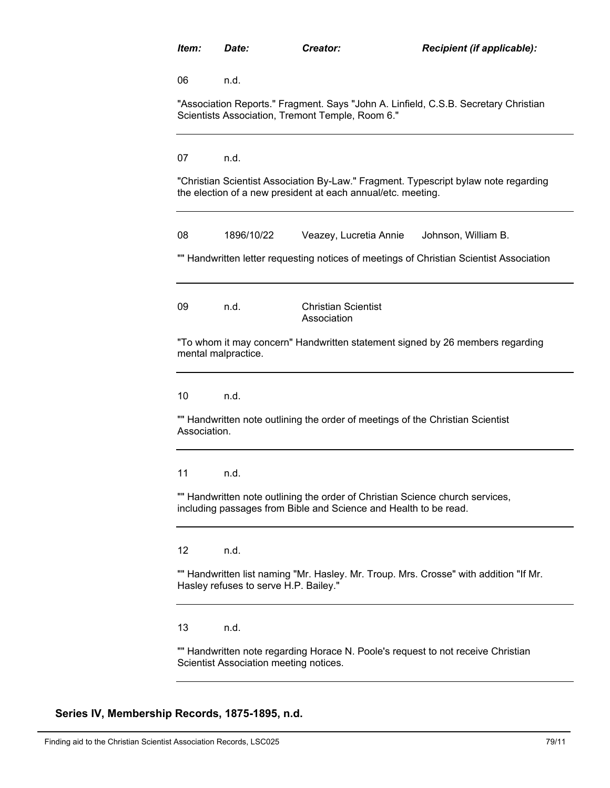06 n.d.

"Association Reports." Fragment. Says "John A. Linfield, C.S.B. Secretary Christian Scientists Association, Tremont Temple, Room 6."

07 n.d.

"Christian Scientist Association By-Law." Fragment. Typescript bylaw note regarding the election of a new president at each annual/etc. meeting.

| 08                                                                                                                         | 1896/10/22                            | Veazey, Lucretia Annie                                                                                                                            | Johnson, William B.                                                                     |  |
|----------------------------------------------------------------------------------------------------------------------------|---------------------------------------|---------------------------------------------------------------------------------------------------------------------------------------------------|-----------------------------------------------------------------------------------------|--|
|                                                                                                                            |                                       |                                                                                                                                                   | "" Handwritten letter requesting notices of meetings of Christian Scientist Association |  |
| 09                                                                                                                         | n.d.                                  | <b>Christian Scientist</b><br>Association                                                                                                         |                                                                                         |  |
|                                                                                                                            | mental malpractice.                   |                                                                                                                                                   | "To whom it may concern" Handwritten statement signed by 26 members regarding           |  |
| 10                                                                                                                         | n.d.                                  |                                                                                                                                                   |                                                                                         |  |
| Association.                                                                                                               |                                       | "" Handwritten note outlining the order of meetings of the Christian Scientist                                                                    |                                                                                         |  |
| 11                                                                                                                         | n.d.                                  |                                                                                                                                                   |                                                                                         |  |
|                                                                                                                            |                                       | "" Handwritten note outlining the order of Christian Science church services,<br>including passages from Bible and Science and Health to be read. |                                                                                         |  |
| $12 \overline{ }$                                                                                                          | n.d.                                  |                                                                                                                                                   |                                                                                         |  |
|                                                                                                                            | Hasley refuses to serve H.P. Bailey." |                                                                                                                                                   | "" Handwritten list naming "Mr. Hasley. Mr. Troup. Mrs. Crosse" with addition "If Mr.   |  |
| 13                                                                                                                         | n.d.                                  |                                                                                                                                                   |                                                                                         |  |
| "" Handwritten note regarding Horace N. Poole's request to not receive Christian<br>Scientist Association meeting notices. |                                       |                                                                                                                                                   |                                                                                         |  |

**Series IV, Membership Records, 1875-1895, n.d.**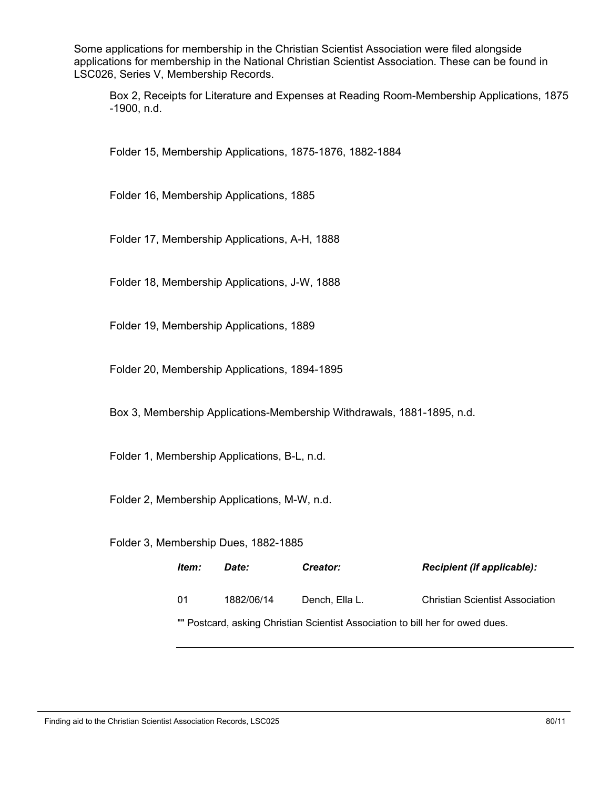Some applications for membership in the Christian Scientist Association were filed alongside applications for membership in the National Christian Scientist Association. These can be found in LSC026, Series V, Membership Records.

Box 2, Receipts for Literature and Expenses at Reading Room-Membership Applications, 1875 -1900, n.d.

Folder 15, Membership Applications, 1875-1876, 1882-1884

Folder 16, Membership Applications, 1885

Folder 17, Membership Applications, A-H, 1888

Folder 18, Membership Applications, J-W, 1888

Folder 19, Membership Applications, 1889

Folder 20, Membership Applications, 1894-1895

Box 3, Membership Applications-Membership Withdrawals, 1881-1895, n.d.

Folder 1, Membership Applications, B-L, n.d.

Folder 2, Membership Applications, M-W, n.d.

Folder 3, Membership Dues, 1882-1885

| ltem: | Date:      | <b>Creator:</b>                                                                | <b>Recipient (if applicable):</b>      |
|-------|------------|--------------------------------------------------------------------------------|----------------------------------------|
| -01   | 1882/06/14 | Dench. Ella L.                                                                 | <b>Christian Scientist Association</b> |
|       |            | "" Postcard, asking Christian Scientist Association to bill her for owed dues. |                                        |

Finding aid to the Christian Scientist Association Records, LSC025 80/11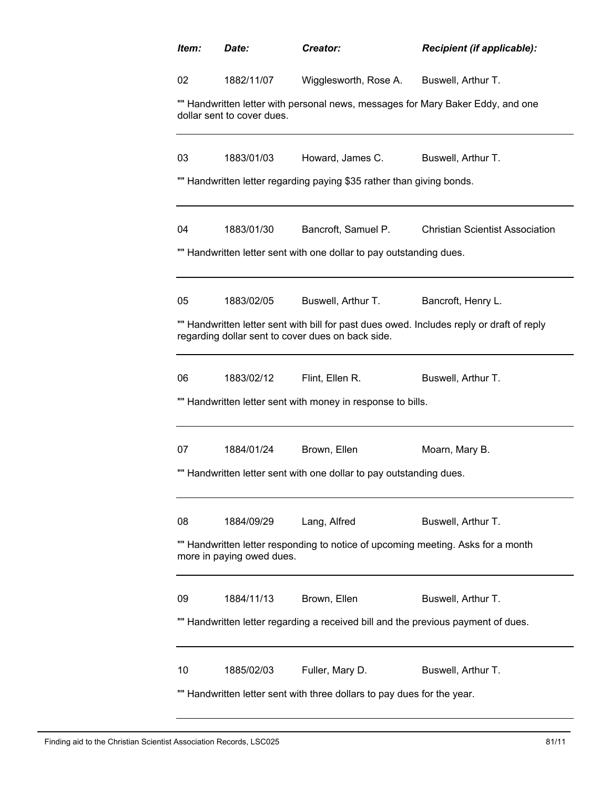| Item: | Date:                                                                                                         | Creator:                                                              | <b>Recipient (if applicable):</b>                                                         |  |  |
|-------|---------------------------------------------------------------------------------------------------------------|-----------------------------------------------------------------------|-------------------------------------------------------------------------------------------|--|--|
| 02    | 1882/11/07                                                                                                    | Wigglesworth, Rose A.                                                 | Buswell, Arthur T.                                                                        |  |  |
|       | dollar sent to cover dues.                                                                                    |                                                                       | "" Handwritten letter with personal news, messages for Mary Baker Eddy, and one           |  |  |
| 03    | 1883/01/03                                                                                                    | Howard, James C.                                                      | Buswell, Arthur T.                                                                        |  |  |
|       |                                                                                                               | "" Handwritten letter regarding paying \$35 rather than giving bonds. |                                                                                           |  |  |
| 04    | 1883/01/30                                                                                                    | Bancroft, Samuel P.                                                   | <b>Christian Scientist Association</b>                                                    |  |  |
|       |                                                                                                               | "" Handwritten letter sent with one dollar to pay outstanding dues.   |                                                                                           |  |  |
| 05    | 1883/02/05                                                                                                    | Buswell, Arthur T.                                                    | Bancroft, Henry L.                                                                        |  |  |
|       |                                                                                                               | regarding dollar sent to cover dues on back side.                     | "" Handwritten letter sent with bill for past dues owed. Includes reply or draft of reply |  |  |
| 06    | 1883/02/12                                                                                                    | Flint, Ellen R.                                                       | Buswell, Arthur T.                                                                        |  |  |
|       | "" Handwritten letter sent with money in response to bills.                                                   |                                                                       |                                                                                           |  |  |
| 07    | 1884/01/24                                                                                                    | Brown, Ellen                                                          | Moarn, Mary B.                                                                            |  |  |
|       |                                                                                                               | "" Handwritten letter sent with one dollar to pay outstanding dues.   |                                                                                           |  |  |
| 08    | 1884/09/29                                                                                                    | Lang, Alfred                                                          | Buswell, Arthur T.                                                                        |  |  |
|       | "" Handwritten letter responding to notice of upcoming meeting. Asks for a month<br>more in paying owed dues. |                                                                       |                                                                                           |  |  |
| 09    | 1884/11/13                                                                                                    | Brown, Ellen                                                          | Buswell, Arthur T.                                                                        |  |  |
|       | Handwritten letter regarding a received bill and the previous payment of dues.                                |                                                                       |                                                                                           |  |  |
| 10    | 1885/02/03                                                                                                    | Fuller, Mary D.                                                       | Buswell, Arthur T.                                                                        |  |  |
|       | Handwritten letter sent with three dollars to pay dues for the year.                                          |                                                                       |                                                                                           |  |  |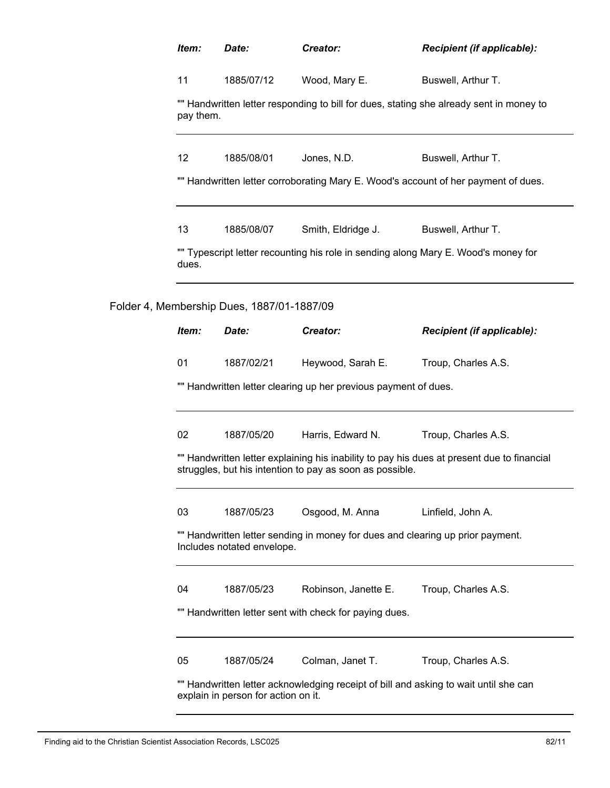| Item:                                                                                                                       | Date:                                      | Creator:                                                 | Recipient (if applicable):                                                                 |
|-----------------------------------------------------------------------------------------------------------------------------|--------------------------------------------|----------------------------------------------------------|--------------------------------------------------------------------------------------------|
| 11                                                                                                                          | 1885/07/12                                 | Wood, Mary E.                                            | Buswell, Arthur T.                                                                         |
| pay them.                                                                                                                   |                                            |                                                          | "" Handwritten letter responding to bill for dues, stating she already sent in money to    |
| 12                                                                                                                          | 1885/08/01                                 | Jones, N.D.                                              | Buswell, Arthur T.                                                                         |
|                                                                                                                             |                                            |                                                          | "" Handwritten letter corroborating Mary E. Wood's account of her payment of dues.         |
| 13                                                                                                                          | 1885/08/07                                 | Smith, Eldridge J.                                       | Buswell, Arthur T.                                                                         |
| dues.                                                                                                                       |                                            |                                                          | "" Typescript letter recounting his role in sending along Mary E. Wood's money for         |
|                                                                                                                             | Folder 4, Membership Dues, 1887/01-1887/09 |                                                          |                                                                                            |
| Item:                                                                                                                       | Date:                                      | Creator:                                                 | Recipient (if applicable):                                                                 |
| 01                                                                                                                          | 1887/02/21                                 | Heywood, Sarah E.                                        | Troup, Charles A.S.                                                                        |
| "" Handwritten letter clearing up her previous payment of dues.                                                             |                                            |                                                          |                                                                                            |
| 02                                                                                                                          | 1887/05/20                                 | Harris, Edward N.                                        | Troup, Charles A.S.                                                                        |
|                                                                                                                             |                                            | struggles, but his intention to pay as soon as possible. | "" Handwritten letter explaining his inability to pay his dues at present due to financial |
| 03                                                                                                                          | 1887/05/23                                 | Osgood, M. Anna                                          | Linfield, John A.                                                                          |
|                                                                                                                             | Includes notated envelope.                 |                                                          | "" Handwritten letter sending in money for dues and clearing up prior payment.             |
| 04                                                                                                                          | 1887/05/23                                 | Robinson, Janette E.                                     | Troup, Charles A.S.                                                                        |
|                                                                                                                             |                                            | "" Handwritten letter sent with check for paying dues.   |                                                                                            |
| 05                                                                                                                          | 1887/05/24                                 | Colman, Janet T.                                         | Troup, Charles A.S.                                                                        |
| "" Handwritten letter acknowledging receipt of bill and asking to wait until she can<br>explain in person for action on it. |                                            |                                                          |                                                                                            |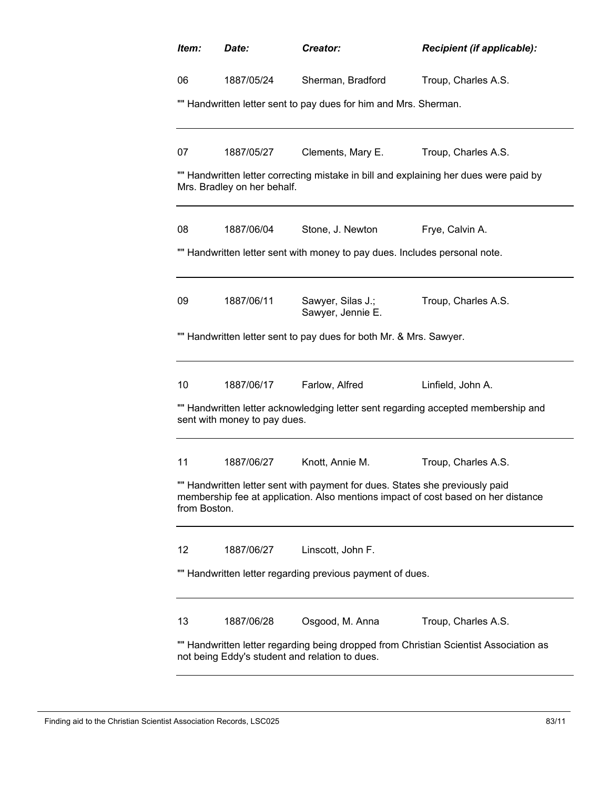| Item:                                                                                                                                   | Date:                                                                                                                                                                             | Creator:                                                                   | Recipient (if applicable):                                                            |  |  |  |
|-----------------------------------------------------------------------------------------------------------------------------------------|-----------------------------------------------------------------------------------------------------------------------------------------------------------------------------------|----------------------------------------------------------------------------|---------------------------------------------------------------------------------------|--|--|--|
| 06                                                                                                                                      | 1887/05/24                                                                                                                                                                        | Sherman, Bradford                                                          | Troup, Charles A.S.                                                                   |  |  |  |
|                                                                                                                                         |                                                                                                                                                                                   | "" Handwritten letter sent to pay dues for him and Mrs. Sherman.           |                                                                                       |  |  |  |
|                                                                                                                                         |                                                                                                                                                                                   |                                                                            |                                                                                       |  |  |  |
| 07                                                                                                                                      | 1887/05/27                                                                                                                                                                        | Clements, Mary E.                                                          | Troup, Charles A.S.                                                                   |  |  |  |
|                                                                                                                                         | Mrs. Bradley on her behalf.                                                                                                                                                       |                                                                            | "" Handwritten letter correcting mistake in bill and explaining her dues were paid by |  |  |  |
| 08                                                                                                                                      | 1887/06/04                                                                                                                                                                        | Stone, J. Newton                                                           | Frye, Calvin A.                                                                       |  |  |  |
|                                                                                                                                         |                                                                                                                                                                                   | "" Handwritten letter sent with money to pay dues. Includes personal note. |                                                                                       |  |  |  |
| 09                                                                                                                                      | 1887/06/11                                                                                                                                                                        | Sawyer, Silas J.;<br>Sawyer, Jennie E.                                     | Troup, Charles A.S.                                                                   |  |  |  |
|                                                                                                                                         |                                                                                                                                                                                   | "" Handwritten letter sent to pay dues for both Mr. & Mrs. Sawyer.         |                                                                                       |  |  |  |
| 10                                                                                                                                      |                                                                                                                                                                                   | 1887/06/17 Farlow, Alfred                                                  | Linfield, John A.                                                                     |  |  |  |
|                                                                                                                                         | sent with money to pay dues.                                                                                                                                                      |                                                                            | "" Handwritten letter acknowledging letter sent regarding accepted membership and     |  |  |  |
| 11                                                                                                                                      | 1887/06/27                                                                                                                                                                        | Knott, Annie M.                                                            | Troup, Charles A.S.                                                                   |  |  |  |
|                                                                                                                                         | "" Handwritten letter sent with payment for dues. States she previously paid<br>membership fee at application. Also mentions impact of cost based on her distance<br>from Boston. |                                                                            |                                                                                       |  |  |  |
| 12                                                                                                                                      | 1887/06/27                                                                                                                                                                        | Linscott, John F.                                                          |                                                                                       |  |  |  |
|                                                                                                                                         |                                                                                                                                                                                   | "" Handwritten letter regarding previous payment of dues.                  |                                                                                       |  |  |  |
| 13                                                                                                                                      | 1887/06/28                                                                                                                                                                        | Osgood, M. Anna                                                            | Troup, Charles A.S.                                                                   |  |  |  |
| "" Handwritten letter regarding being dropped from Christian Scientist Association as<br>not being Eddy's student and relation to dues. |                                                                                                                                                                                   |                                                                            |                                                                                       |  |  |  |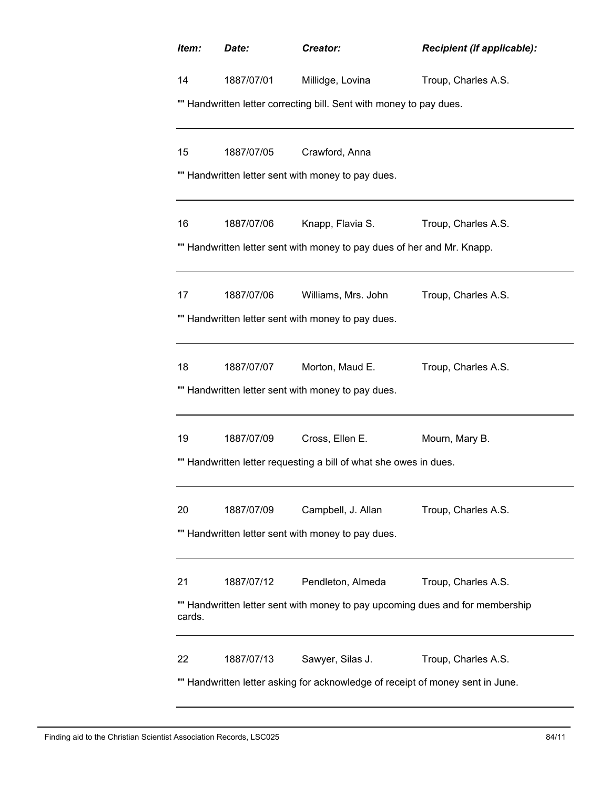| Item:                                                                          | Date:                                                                         | Creator:                                                                | <b>Recipient (if applicable):</b> |  |  |  |  |  |
|--------------------------------------------------------------------------------|-------------------------------------------------------------------------------|-------------------------------------------------------------------------|-----------------------------------|--|--|--|--|--|
| 14                                                                             | 1887/07/01                                                                    | Millidge, Lovina                                                        | Troup, Charles A.S.               |  |  |  |  |  |
|                                                                                | "" Handwritten letter correcting bill. Sent with money to pay dues.           |                                                                         |                                   |  |  |  |  |  |
| 15                                                                             | 1887/07/05                                                                    | Crawford, Anna                                                          |                                   |  |  |  |  |  |
|                                                                                |                                                                               | "" Handwritten letter sent with money to pay dues.                      |                                   |  |  |  |  |  |
| 16                                                                             | 1887/07/06                                                                    | Knapp, Flavia S.                                                        | Troup, Charles A.S.               |  |  |  |  |  |
|                                                                                |                                                                               | "" Handwritten letter sent with money to pay dues of her and Mr. Knapp. |                                   |  |  |  |  |  |
| 17                                                                             | 1887/07/06                                                                    | Williams, Mrs. John                                                     | Troup, Charles A.S.               |  |  |  |  |  |
|                                                                                |                                                                               | "" Handwritten letter sent with money to pay dues.                      |                                   |  |  |  |  |  |
| 18                                                                             | 1887/07/07                                                                    | Morton, Maud E.                                                         | Troup, Charles A.S.               |  |  |  |  |  |
|                                                                                |                                                                               | "" Handwritten letter sent with money to pay dues.                      |                                   |  |  |  |  |  |
| 19                                                                             | 1887/07/09                                                                    | Cross, Ellen E.                                                         | Mourn, Mary B.                    |  |  |  |  |  |
|                                                                                |                                                                               | "" Handwritten letter requesting a bill of what she owes in dues.       |                                   |  |  |  |  |  |
| 20                                                                             | 1887/07/09                                                                    | Campbell, J. Allan                                                      | Troup, Charles A.S.               |  |  |  |  |  |
| "" Handwritten letter sent with money to pay dues.                             |                                                                               |                                                                         |                                   |  |  |  |  |  |
| 21                                                                             | 1887/07/12                                                                    | Pendleton, Almeda                                                       | Troup, Charles A.S.               |  |  |  |  |  |
| cards.                                                                         | "" Handwritten letter sent with money to pay upcoming dues and for membership |                                                                         |                                   |  |  |  |  |  |
| 22                                                                             | 1887/07/13                                                                    | Sawyer, Silas J.                                                        | Troup, Charles A.S.               |  |  |  |  |  |
| "" Handwritten letter asking for acknowledge of receipt of money sent in June. |                                                                               |                                                                         |                                   |  |  |  |  |  |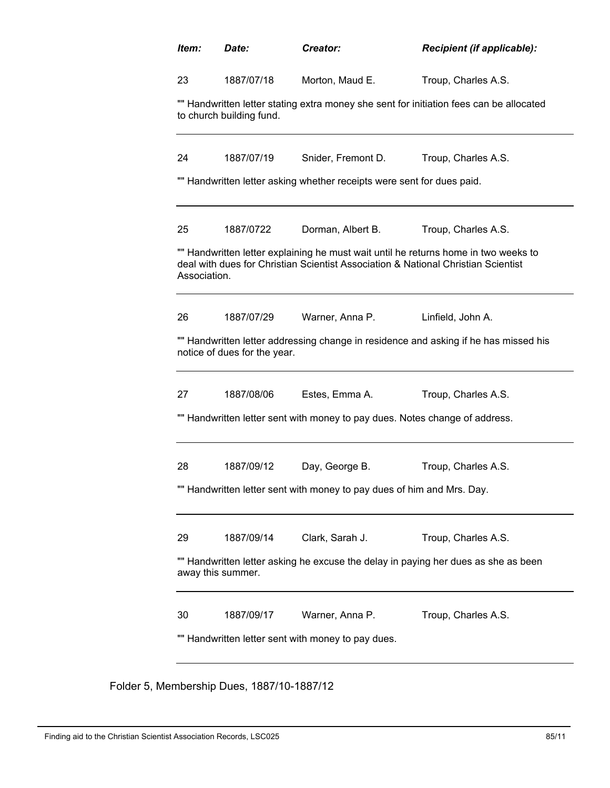| Item:<br>Date:       |                              | Creator:                                                               | Recipient (if applicable):                                                                                                                                               |  |
|----------------------|------------------------------|------------------------------------------------------------------------|--------------------------------------------------------------------------------------------------------------------------------------------------------------------------|--|
| 23                   | 1887/07/18                   | Morton, Maud E.                                                        | Troup, Charles A.S.                                                                                                                                                      |  |
|                      | to church building fund.     |                                                                        | "" Handwritten letter stating extra money she sent for initiation fees can be allocated                                                                                  |  |
| 24                   | 1887/07/19                   | Snider, Fremont D.                                                     | Troup, Charles A.S.                                                                                                                                                      |  |
|                      |                              | "" Handwritten letter asking whether receipts were sent for dues paid. |                                                                                                                                                                          |  |
| 25                   | 1887/0722                    | Dorman, Albert B.                                                      | Troup, Charles A.S.                                                                                                                                                      |  |
| Association.         |                              |                                                                        | "" Handwritten letter explaining he must wait until he returns home in two weeks to<br>deal with dues for Christian Scientist Association & National Christian Scientist |  |
|                      |                              | Warner, Anna P.                                                        | Linfield, John A.                                                                                                                                                        |  |
|                      | 1887/07/29                   |                                                                        |                                                                                                                                                                          |  |
|                      | notice of dues for the year. |                                                                        | "" Handwritten letter addressing change in residence and asking if he has missed his                                                                                     |  |
|                      | 1887/08/06                   | Estes, Emma A.                                                         | Troup, Charles A.S.                                                                                                                                                      |  |
|                      |                              |                                                                        | "" Handwritten letter sent with money to pay dues. Notes change of address.                                                                                              |  |
|                      | 1887/09/12                   | Day, George B.                                                         | Troup, Charles A.S.                                                                                                                                                      |  |
|                      |                              | Handwritten letter sent with money to pay dues of him and Mrs. Day.    |                                                                                                                                                                          |  |
|                      | 1887/09/14                   | Clark, Sarah J.                                                        | Troup, Charles A.S.                                                                                                                                                      |  |
| 28                   | away this summer.            |                                                                        | "" Handwritten letter asking he excuse the delay in paying her dues as she as been                                                                                       |  |
| 26<br>27<br>29<br>30 | 1887/09/17                   | Warner, Anna P.                                                        | Troup, Charles A.S.                                                                                                                                                      |  |

Folder 5, Membership Dues, 1887/10-1887/12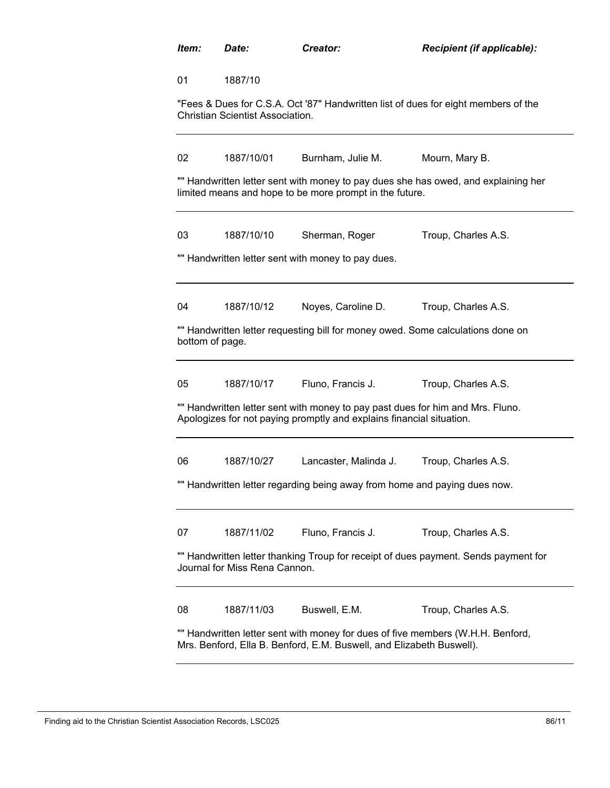| Item:           | Date:                            | Creator:                                                                                                                                                | Recipient (if applicable):                                                          |
|-----------------|----------------------------------|---------------------------------------------------------------------------------------------------------------------------------------------------------|-------------------------------------------------------------------------------------|
| 01              | 1887/10                          |                                                                                                                                                         |                                                                                     |
|                 | Christian Scientist Association. |                                                                                                                                                         | "Fees & Dues for C.S.A. Oct '87" Handwritten list of dues for eight members of the  |
| 02              | 1887/10/01                       | Burnham, Julie M.                                                                                                                                       | Mourn, Mary B.                                                                      |
|                 |                                  | limited means and hope to be more prompt in the future.                                                                                                 | "" Handwritten letter sent with money to pay dues she has owed, and explaining her  |
| 03              | 1887/10/10                       | Sherman, Roger                                                                                                                                          | Troup, Charles A.S.                                                                 |
|                 |                                  | "" Handwritten letter sent with money to pay dues.                                                                                                      |                                                                                     |
| 04              | 1887/10/12                       | Noyes, Caroline D.                                                                                                                                      | Troup, Charles A.S.                                                                 |
| bottom of page. |                                  | "" Handwritten letter requesting bill for money owed. Some calculations done on                                                                         |                                                                                     |
| 05              | 1887/10/17                       | Fluno, Francis J.                                                                                                                                       | Troup, Charles A.S.                                                                 |
|                 |                                  | "" Handwritten letter sent with money to pay past dues for him and Mrs. Fluno.<br>Apologizes for not paying promptly and explains financial situation.  |                                                                                     |
| 06              | 1887/10/27                       | Lancaster, Malinda J.                                                                                                                                   | Troup, Charles A.S.                                                                 |
|                 |                                  | "" Handwritten letter regarding being away from home and paying dues now.                                                                               |                                                                                     |
| 07              | 1887/11/02                       | Fluno, Francis J.                                                                                                                                       | Troup, Charles A.S.                                                                 |
|                 | Journal for Miss Rena Cannon.    |                                                                                                                                                         | "" Handwritten letter thanking Troup for receipt of dues payment. Sends payment for |
| 08              | 1887/11/03                       | Buswell, E.M.                                                                                                                                           | Troup, Charles A.S.                                                                 |
|                 |                                  | "" Handwritten letter sent with money for dues of five members (W.H.H. Benford,<br>Mrs. Benford, Ella B. Benford, E.M. Buswell, and Elizabeth Buswell). |                                                                                     |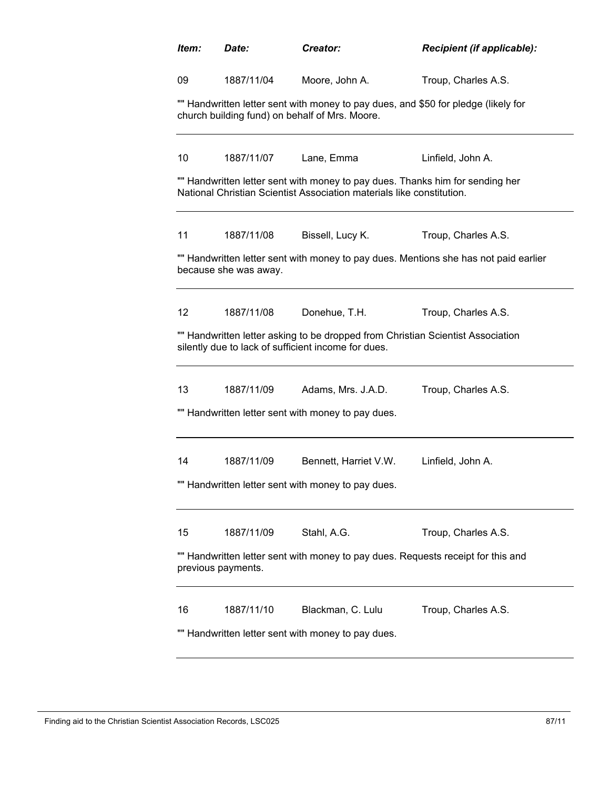| Item:             | Date:                                              | Creator:                                                                                                                                               | Recipient (if applicable):                                                           |  |  |  |  |
|-------------------|----------------------------------------------------|--------------------------------------------------------------------------------------------------------------------------------------------------------|--------------------------------------------------------------------------------------|--|--|--|--|
| 09                | 1887/11/04                                         | Moore, John A.                                                                                                                                         | Troup, Charles A.S.                                                                  |  |  |  |  |
|                   |                                                    | church building fund) on behalf of Mrs. Moore.                                                                                                         | "" Handwritten letter sent with money to pay dues, and \$50 for pledge (likely for   |  |  |  |  |
| 10                | 1887/11/07                                         | Lane, Emma                                                                                                                                             | Linfield, John A.                                                                    |  |  |  |  |
|                   |                                                    | "" Handwritten letter sent with money to pay dues. Thanks him for sending her<br>National Christian Scientist Association materials like constitution. |                                                                                      |  |  |  |  |
| 11                | 1887/11/08                                         | Bissell, Lucy K.                                                                                                                                       | Troup, Charles A.S.                                                                  |  |  |  |  |
|                   | because she was away.                              |                                                                                                                                                        | "" Handwritten letter sent with money to pay dues. Mentions she has not paid earlier |  |  |  |  |
| $12 \overline{ }$ | 1887/11/08                                         | Donehue, T.H.                                                                                                                                          | Troup, Charles A.S.                                                                  |  |  |  |  |
|                   |                                                    | "" Handwritten letter asking to be dropped from Christian Scientist Association<br>silently due to lack of sufficient income for dues.                 |                                                                                      |  |  |  |  |
| 13                | 1887/11/09                                         | Adams, Mrs. J.A.D.                                                                                                                                     | Troup, Charles A.S.                                                                  |  |  |  |  |
|                   |                                                    | "" Handwritten letter sent with money to pay dues.                                                                                                     |                                                                                      |  |  |  |  |
| 14                | 1887/11/09                                         | Bennett, Harriet V.W.                                                                                                                                  | Linfield, John A.                                                                    |  |  |  |  |
|                   |                                                    | "" Handwritten letter sent with money to pay dues.                                                                                                     |                                                                                      |  |  |  |  |
| 15                | 1887/11/09                                         | Stahl, A.G.                                                                                                                                            | Troup, Charles A.S.                                                                  |  |  |  |  |
|                   | previous payments.                                 |                                                                                                                                                        | "" Handwritten letter sent with money to pay dues. Requests receipt for this and     |  |  |  |  |
| 16                | 1887/11/10                                         | Blackman, C. Lulu                                                                                                                                      | Troup, Charles A.S.                                                                  |  |  |  |  |
|                   | "" Handwritten letter sent with money to pay dues. |                                                                                                                                                        |                                                                                      |  |  |  |  |
|                   |                                                    |                                                                                                                                                        |                                                                                      |  |  |  |  |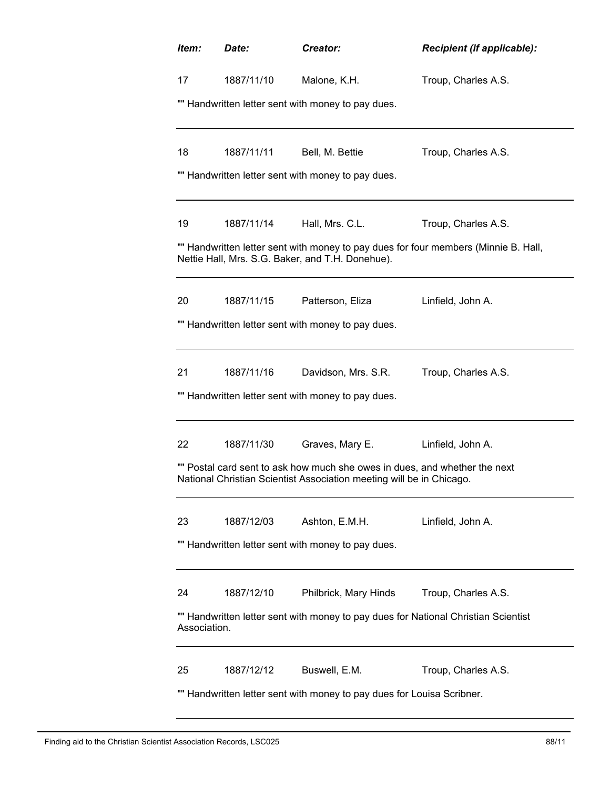| Item:                                                                  | Date:                                                                                              | Creator:                                                                                                                                           | Recipient (if applicable):                                                          |  |  |  |  |
|------------------------------------------------------------------------|----------------------------------------------------------------------------------------------------|----------------------------------------------------------------------------------------------------------------------------------------------------|-------------------------------------------------------------------------------------|--|--|--|--|
| 17                                                                     | 1887/11/10                                                                                         | Malone, K.H.                                                                                                                                       | Troup, Charles A.S.                                                                 |  |  |  |  |
| "" Handwritten letter sent with money to pay dues.                     |                                                                                                    |                                                                                                                                                    |                                                                                     |  |  |  |  |
| 18                                                                     | 1887/11/11                                                                                         | Bell, M. Bettie                                                                                                                                    | Troup, Charles A.S.                                                                 |  |  |  |  |
|                                                                        |                                                                                                    | "" Handwritten letter sent with money to pay dues.                                                                                                 |                                                                                     |  |  |  |  |
| 19                                                                     | 1887/11/14                                                                                         | Hall, Mrs. C.L.                                                                                                                                    | Troup, Charles A.S.                                                                 |  |  |  |  |
|                                                                        |                                                                                                    | Nettie Hall, Mrs. S.G. Baker, and T.H. Donehue).                                                                                                   | "" Handwritten letter sent with money to pay dues for four members (Minnie B. Hall, |  |  |  |  |
| 20                                                                     | 1887/11/15                                                                                         | Patterson, Eliza                                                                                                                                   | Linfield, John A.                                                                   |  |  |  |  |
|                                                                        |                                                                                                    | "" Handwritten letter sent with money to pay dues.                                                                                                 |                                                                                     |  |  |  |  |
| 21                                                                     | 1887/11/16                                                                                         | Davidson, Mrs. S.R.                                                                                                                                | Troup, Charles A.S.                                                                 |  |  |  |  |
|                                                                        |                                                                                                    | "" Handwritten letter sent with money to pay dues.                                                                                                 |                                                                                     |  |  |  |  |
| 22                                                                     | 1887/11/30                                                                                         | Graves, Mary E.                                                                                                                                    | Linfield, John A.                                                                   |  |  |  |  |
|                                                                        |                                                                                                    | "" Postal card sent to ask how much she owes in dues, and whether the next<br>National Christian Scientist Association meeting will be in Chicago. |                                                                                     |  |  |  |  |
| 23                                                                     | 1887/12/03                                                                                         | Ashton, E.M.H.                                                                                                                                     | Linfield, John A.                                                                   |  |  |  |  |
|                                                                        | "" Handwritten letter sent with money to pay dues.                                                 |                                                                                                                                                    |                                                                                     |  |  |  |  |
| 24                                                                     | 1887/12/10                                                                                         | Philbrick, Mary Hinds                                                                                                                              | Troup, Charles A.S.                                                                 |  |  |  |  |
|                                                                        | "" Handwritten letter sent with money to pay dues for National Christian Scientist<br>Association. |                                                                                                                                                    |                                                                                     |  |  |  |  |
| 25                                                                     | 1887/12/12                                                                                         | Buswell, E.M.                                                                                                                                      | Troup, Charles A.S.                                                                 |  |  |  |  |
| "" Handwritten letter sent with money to pay dues for Louisa Scribner. |                                                                                                    |                                                                                                                                                    |                                                                                     |  |  |  |  |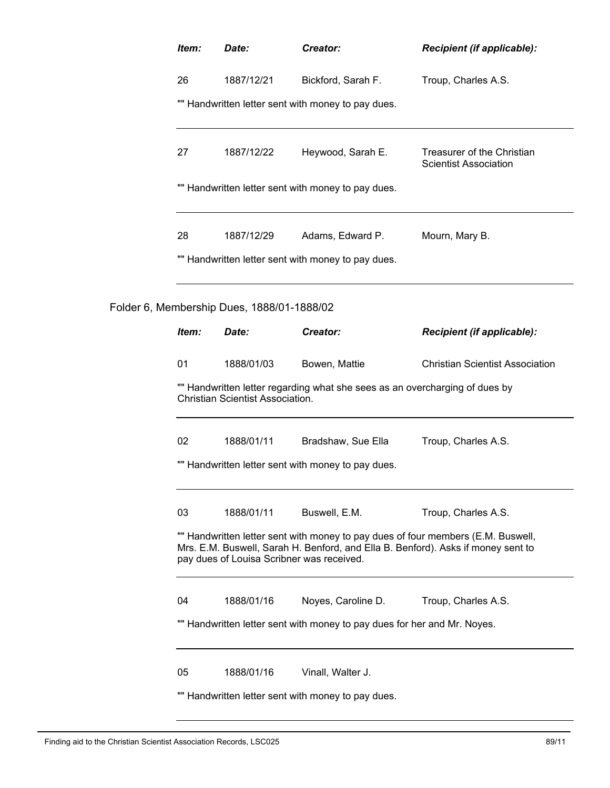| Item:                                                                                                                  | Date:                                      | Creator:                                                                                                                                                             | Recipient (if applicable):                                 |  |  |
|------------------------------------------------------------------------------------------------------------------------|--------------------------------------------|----------------------------------------------------------------------------------------------------------------------------------------------------------------------|------------------------------------------------------------|--|--|
| 26                                                                                                                     | 1887/12/21                                 | Bickford, Sarah F.                                                                                                                                                   | Troup, Charles A.S.                                        |  |  |
|                                                                                                                        |                                            | "" Handwritten letter sent with money to pay dues.                                                                                                                   |                                                            |  |  |
| 27                                                                                                                     | 1887/12/22                                 | Heywood, Sarah E.                                                                                                                                                    | Treasurer of the Christian<br><b>Scientist Association</b> |  |  |
| "" Handwritten letter sent with money to pay dues.                                                                     |                                            |                                                                                                                                                                      |                                                            |  |  |
| 28                                                                                                                     | 1887/12/29                                 | Adams, Edward P.                                                                                                                                                     | Mourn, Mary B.                                             |  |  |
|                                                                                                                        |                                            | "" Handwritten letter sent with money to pay dues.                                                                                                                   |                                                            |  |  |
|                                                                                                                        | Folder 6, Membership Dues, 1888/01-1888/02 |                                                                                                                                                                      |                                                            |  |  |
| Item:                                                                                                                  | Date:                                      | Creator:                                                                                                                                                             | <b>Recipient (if applicable):</b>                          |  |  |
| 01                                                                                                                     | 1888/01/03                                 | Bowen, Mattie                                                                                                                                                        | <b>Christian Scientist Association</b>                     |  |  |
| "" Handwritten letter regarding what she sees as an overcharging of dues by<br><b>Christian Scientist Association.</b> |                                            |                                                                                                                                                                      |                                                            |  |  |
| 02                                                                                                                     | 1888/01/11                                 | Bradshaw, Sue Ella                                                                                                                                                   | Troup, Charles A.S.                                        |  |  |
|                                                                                                                        |                                            | "" Handwritten letter sent with money to pay dues.                                                                                                                   |                                                            |  |  |
| 03                                                                                                                     | 1888/01/11                                 | Buswell, E.M.                                                                                                                                                        | Troup, Charles A.S.                                        |  |  |
|                                                                                                                        | pay dues of Louisa Scribner was received.  | "" Handwritten letter sent with money to pay dues of four members (E.M. Buswell,<br>Mrs. E.M. Buswell, Sarah H. Benford, and Ella B. Benford). Asks if money sent to |                                                            |  |  |
| 04                                                                                                                     | 1888/01/16                                 | Noyes, Caroline D.                                                                                                                                                   | Troup, Charles A.S.                                        |  |  |
|                                                                                                                        |                                            | "" Handwritten letter sent with money to pay dues for her and Mr. Noyes.                                                                                             |                                                            |  |  |
| 05                                                                                                                     | 1888/01/16                                 | Vinall, Walter J.                                                                                                                                                    |                                                            |  |  |
|                                                                                                                        |                                            | "" Handwritten letter sent with money to pay dues.                                                                                                                   |                                                            |  |  |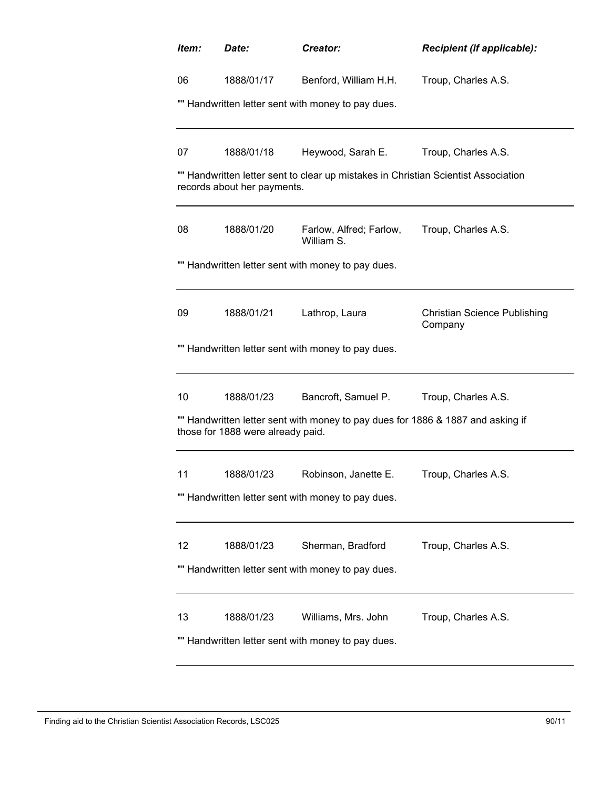| Item: | Date:                                              | Creator:                                                                           | Recipient (if applicable):                     |  |  |  |  |
|-------|----------------------------------------------------|------------------------------------------------------------------------------------|------------------------------------------------|--|--|--|--|
| 06    | 1888/01/17                                         | Benford, William H.H.                                                              | Troup, Charles A.S.                            |  |  |  |  |
|       | "" Handwritten letter sent with money to pay dues. |                                                                                    |                                                |  |  |  |  |
|       |                                                    |                                                                                    |                                                |  |  |  |  |
| 07    | 1888/01/18                                         | Heywood, Sarah E.                                                                  | Troup, Charles A.S.                            |  |  |  |  |
|       | records about her payments.                        | "" Handwritten letter sent to clear up mistakes in Christian Scientist Association |                                                |  |  |  |  |
| 08    | 1888/01/20                                         | Farlow, Alfred; Farlow,<br>William S.                                              | Troup, Charles A.S.                            |  |  |  |  |
|       |                                                    | "" Handwritten letter sent with money to pay dues.                                 |                                                |  |  |  |  |
|       |                                                    |                                                                                    |                                                |  |  |  |  |
| 09    | 1888/01/21                                         | Lathrop, Laura                                                                     | <b>Christian Science Publishing</b><br>Company |  |  |  |  |
|       |                                                    | "" Handwritten letter sent with money to pay dues.                                 |                                                |  |  |  |  |
| 10    | 1888/01/23                                         | Bancroft, Samuel P.                                                                | Troup, Charles A.S.                            |  |  |  |  |
|       | those for 1888 were already paid.                  | "" Handwritten letter sent with money to pay dues for 1886 & 1887 and asking if    |                                                |  |  |  |  |
| 11    | 1888/01/23                                         | Robinson, Janette E.                                                               | Troup, Charles A.S.                            |  |  |  |  |
|       |                                                    | "" Handwritten letter sent with money to pay dues.                                 |                                                |  |  |  |  |
| 12    | 1888/01/23                                         | Sherman, Bradford                                                                  | Troup, Charles A.S.                            |  |  |  |  |
|       |                                                    | "" Handwritten letter sent with money to pay dues.                                 |                                                |  |  |  |  |
| 13    | 1888/01/23                                         | Williams, Mrs. John                                                                | Troup, Charles A.S.                            |  |  |  |  |
|       |                                                    | "" Handwritten letter sent with money to pay dues.                                 |                                                |  |  |  |  |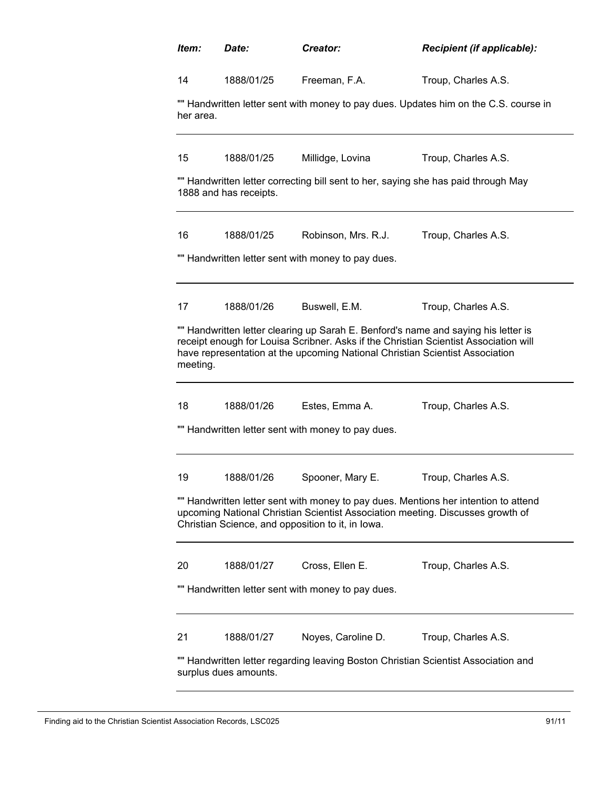| Item:                                                                                                       | Date:                                                                                                                                                                                                                      | Creator:                                                                                                                                                                                                                                                   | <b>Recipient (if applicable):</b> |  |  |  |  |
|-------------------------------------------------------------------------------------------------------------|----------------------------------------------------------------------------------------------------------------------------------------------------------------------------------------------------------------------------|------------------------------------------------------------------------------------------------------------------------------------------------------------------------------------------------------------------------------------------------------------|-----------------------------------|--|--|--|--|
| 14                                                                                                          | 1888/01/25                                                                                                                                                                                                                 | Freeman, F.A.                                                                                                                                                                                                                                              | Troup, Charles A.S.               |  |  |  |  |
|                                                                                                             | "" Handwritten letter sent with money to pay dues. Updates him on the C.S. course in<br>her area.                                                                                                                          |                                                                                                                                                                                                                                                            |                                   |  |  |  |  |
| 15                                                                                                          | 1888/01/25                                                                                                                                                                                                                 | Millidge, Lovina                                                                                                                                                                                                                                           | Troup, Charles A.S.               |  |  |  |  |
|                                                                                                             | 1888 and has receipts.                                                                                                                                                                                                     | "" Handwritten letter correcting bill sent to her, saying she has paid through May                                                                                                                                                                         |                                   |  |  |  |  |
| 16                                                                                                          | 1888/01/25                                                                                                                                                                                                                 | Robinson, Mrs. R.J.                                                                                                                                                                                                                                        | Troup, Charles A.S.               |  |  |  |  |
|                                                                                                             |                                                                                                                                                                                                                            | "" Handwritten letter sent with money to pay dues.                                                                                                                                                                                                         |                                   |  |  |  |  |
| 17                                                                                                          | 1888/01/26                                                                                                                                                                                                                 | Buswell, E.M.                                                                                                                                                                                                                                              | Troup, Charles A.S.               |  |  |  |  |
| meeting.                                                                                                    |                                                                                                                                                                                                                            | "" Handwritten letter clearing up Sarah E. Benford's name and saying his letter is<br>receipt enough for Louisa Scribner. Asks if the Christian Scientist Association will<br>have representation at the upcoming National Christian Scientist Association |                                   |  |  |  |  |
| 18                                                                                                          | 1888/01/26                                                                                                                                                                                                                 | Estes, Emma A.<br>"" Handwritten letter sent with money to pay dues.                                                                                                                                                                                       | Troup, Charles A.S.               |  |  |  |  |
| 19                                                                                                          | 1888/01/26                                                                                                                                                                                                                 | Spooner, Mary E.                                                                                                                                                                                                                                           | Troup, Charles A.S.               |  |  |  |  |
|                                                                                                             | "" Handwritten letter sent with money to pay dues. Mentions her intention to attend<br>upcoming National Christian Scientist Association meeting. Discusses growth of<br>Christian Science, and opposition to it, in lowa. |                                                                                                                                                                                                                                                            |                                   |  |  |  |  |
| 20                                                                                                          | 1888/01/27                                                                                                                                                                                                                 | Cross, Ellen E.                                                                                                                                                                                                                                            | Troup, Charles A.S.               |  |  |  |  |
|                                                                                                             |                                                                                                                                                                                                                            | "" Handwritten letter sent with money to pay dues.                                                                                                                                                                                                         |                                   |  |  |  |  |
| 21                                                                                                          | 1888/01/27                                                                                                                                                                                                                 | Noyes, Caroline D.                                                                                                                                                                                                                                         | Troup, Charles A.S.               |  |  |  |  |
| "" Handwritten letter regarding leaving Boston Christian Scientist Association and<br>surplus dues amounts. |                                                                                                                                                                                                                            |                                                                                                                                                                                                                                                            |                                   |  |  |  |  |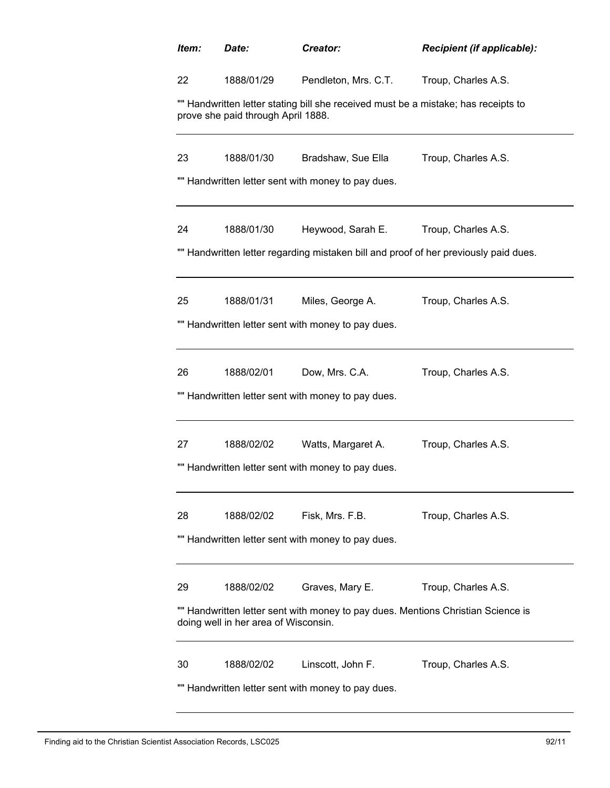| Item:                                              | Date:                                                                                                                    | Creator:                                           | <b>Recipient (if applicable):</b>                                                    |  |  |  |  |
|----------------------------------------------------|--------------------------------------------------------------------------------------------------------------------------|----------------------------------------------------|--------------------------------------------------------------------------------------|--|--|--|--|
| 22                                                 | 1888/01/29                                                                                                               | Pendleton, Mrs. C.T.                               | Troup, Charles A.S.                                                                  |  |  |  |  |
|                                                    | "" Handwritten letter stating bill she received must be a mistake; has receipts to<br>prove she paid through April 1888. |                                                    |                                                                                      |  |  |  |  |
| 23                                                 | 1888/01/30                                                                                                               | Bradshaw, Sue Ella                                 | Troup, Charles A.S.                                                                  |  |  |  |  |
|                                                    |                                                                                                                          | "" Handwritten letter sent with money to pay dues. |                                                                                      |  |  |  |  |
| 24                                                 | 1888/01/30                                                                                                               | Heywood, Sarah E.                                  | Troup, Charles A.S.                                                                  |  |  |  |  |
|                                                    |                                                                                                                          |                                                    | "" Handwritten letter regarding mistaken bill and proof of her previously paid dues. |  |  |  |  |
| 25                                                 | 1888/01/31                                                                                                               | Miles, George A.                                   | Troup, Charles A.S.                                                                  |  |  |  |  |
|                                                    |                                                                                                                          | "" Handwritten letter sent with money to pay dues. |                                                                                      |  |  |  |  |
| 26                                                 | 1888/02/01                                                                                                               | Dow, Mrs. C.A.                                     | Troup, Charles A.S.                                                                  |  |  |  |  |
|                                                    |                                                                                                                          | "" Handwritten letter sent with money to pay dues. |                                                                                      |  |  |  |  |
| 27                                                 | 1888/02/02                                                                                                               | Watts, Margaret A.                                 | Troup, Charles A.S.                                                                  |  |  |  |  |
|                                                    |                                                                                                                          | "" Handwritten letter sent with money to pay dues. |                                                                                      |  |  |  |  |
| 28                                                 | 1888/02/02                                                                                                               | Fisk, Mrs. F.B.                                    | Troup, Charles A.S.                                                                  |  |  |  |  |
| "" Handwritten letter sent with money to pay dues. |                                                                                                                          |                                                    |                                                                                      |  |  |  |  |
| 29                                                 | 1888/02/02                                                                                                               | Graves, Mary E.                                    | Troup, Charles A.S.                                                                  |  |  |  |  |
|                                                    | "" Handwritten letter sent with money to pay dues. Mentions Christian Science is<br>doing well in her area of Wisconsin. |                                                    |                                                                                      |  |  |  |  |
| 30                                                 | 1888/02/02                                                                                                               | Linscott, John F.                                  | Troup, Charles A.S.                                                                  |  |  |  |  |
| "" Handwritten letter sent with money to pay dues. |                                                                                                                          |                                                    |                                                                                      |  |  |  |  |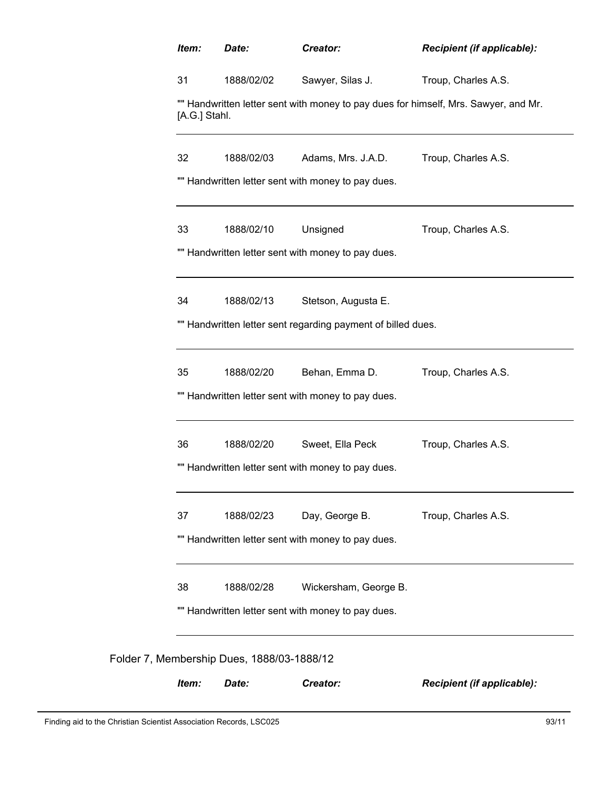| Item:         | Date:                                              | Creator:                                                     | Recipient (if applicable):                                                          |  |
|---------------|----------------------------------------------------|--------------------------------------------------------------|-------------------------------------------------------------------------------------|--|
| 31            | 1888/02/02                                         | Sawyer, Silas J.                                             | Troup, Charles A.S.                                                                 |  |
| [A.G.] Stahl. |                                                    |                                                              | "" Handwritten letter sent with money to pay dues for himself, Mrs. Sawyer, and Mr. |  |
| 32            | 1888/02/03                                         | Adams, Mrs. J.A.D.                                           | Troup, Charles A.S.                                                                 |  |
|               |                                                    | "" Handwritten letter sent with money to pay dues.           |                                                                                     |  |
| 33            | 1888/02/10                                         | Unsigned                                                     | Troup, Charles A.S.                                                                 |  |
|               |                                                    | "" Handwritten letter sent with money to pay dues.           |                                                                                     |  |
| 34            | 1888/02/13                                         | Stetson, Augusta E.                                          |                                                                                     |  |
|               |                                                    | "" Handwritten letter sent regarding payment of billed dues. |                                                                                     |  |
| 35            | 1888/02/20                                         | Behan, Emma D.                                               | Troup, Charles A.S.                                                                 |  |
|               |                                                    | "" Handwritten letter sent with money to pay dues.           |                                                                                     |  |
| 36            | 1888/02/20                                         | Sweet, Ella Peck                                             | Troup, Charles A.S.                                                                 |  |
|               |                                                    | "" Handwritten letter sent with money to pay dues.           |                                                                                     |  |
| 37            | 1888/02/23                                         | Day, George B.                                               | Troup, Charles A.S.                                                                 |  |
|               |                                                    | "" Handwritten letter sent with money to pay dues.           |                                                                                     |  |
| 38            | 1888/02/28                                         | Wickersham, George B.                                        |                                                                                     |  |
|               | "" Handwritten letter sent with money to pay dues. |                                                              |                                                                                     |  |
|               | Folder 7, Membership Dues, 1888/03-1888/12         |                                                              |                                                                                     |  |
| Item:         | Date:                                              | Creator:                                                     | Recipient (if applicable):                                                          |  |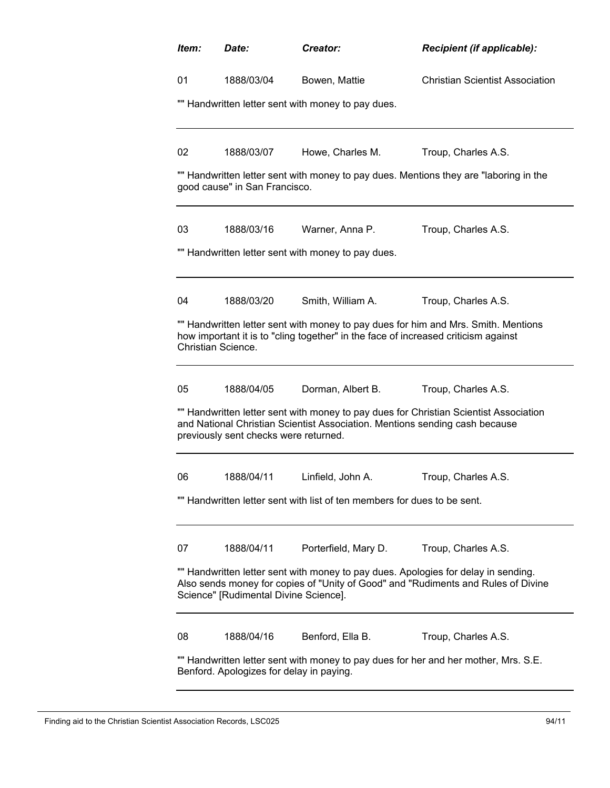| Item:                                                                                                                                                                                                            | Date:                                              | Creator:                                                                           | <b>Recipient (if applicable):</b>                                                     |  |  |  |  |
|------------------------------------------------------------------------------------------------------------------------------------------------------------------------------------------------------------------|----------------------------------------------------|------------------------------------------------------------------------------------|---------------------------------------------------------------------------------------|--|--|--|--|
| 01                                                                                                                                                                                                               | 1888/03/04                                         | Bowen, Mattie                                                                      | <b>Christian Scientist Association</b>                                                |  |  |  |  |
|                                                                                                                                                                                                                  | "" Handwritten letter sent with money to pay dues. |                                                                                    |                                                                                       |  |  |  |  |
| 02                                                                                                                                                                                                               | 1888/03/07                                         | Howe, Charles M.                                                                   | Troup, Charles A.S.                                                                   |  |  |  |  |
|                                                                                                                                                                                                                  | good cause" in San Francisco.                      |                                                                                    | "" Handwritten letter sent with money to pay dues. Mentions they are "laboring in the |  |  |  |  |
| 03                                                                                                                                                                                                               | 1888/03/16                                         | Warner, Anna P.                                                                    | Troup, Charles A.S.                                                                   |  |  |  |  |
|                                                                                                                                                                                                                  |                                                    | "" Handwritten letter sent with money to pay dues.                                 |                                                                                       |  |  |  |  |
| 04                                                                                                                                                                                                               | 1888/03/20                                         | Smith, William A.                                                                  | Troup, Charles A.S.                                                                   |  |  |  |  |
| Christian Science.                                                                                                                                                                                               |                                                    | how important it is to "cling together" in the face of increased criticism against | "" Handwritten letter sent with money to pay dues for him and Mrs. Smith. Mentions    |  |  |  |  |
| 05                                                                                                                                                                                                               | 1888/04/05                                         | Dorman, Albert B.                                                                  | Troup, Charles A.S.                                                                   |  |  |  |  |
|                                                                                                                                                                                                                  | previously sent checks were returned.              | and National Christian Scientist Association. Mentions sending cash because        | "" Handwritten letter sent with money to pay dues for Christian Scientist Association |  |  |  |  |
| 06                                                                                                                                                                                                               | 1888/04/11                                         | Linfield, John A.                                                                  | Troup, Charles A.S.                                                                   |  |  |  |  |
|                                                                                                                                                                                                                  |                                                    | Handwritten letter sent with list of ten members for dues to be sent.              |                                                                                       |  |  |  |  |
| 07                                                                                                                                                                                                               | 1888/04/11                                         | Porterfield, Mary D.                                                               | Troup, Charles A.S.                                                                   |  |  |  |  |
| "" Handwritten letter sent with money to pay dues. Apologies for delay in sending.<br>Also sends money for copies of "Unity of Good" and "Rudiments and Rules of Divine<br>Science" [Rudimental Divine Science]. |                                                    |                                                                                    |                                                                                       |  |  |  |  |
| 08                                                                                                                                                                                                               | 1888/04/16                                         | Benford, Ella B.                                                                   | Troup, Charles A.S.                                                                   |  |  |  |  |
| "" Handwritten letter sent with money to pay dues for her and her mother, Mrs. S.E.<br>Benford. Apologizes for delay in paying.                                                                                  |                                                    |                                                                                    |                                                                                       |  |  |  |  |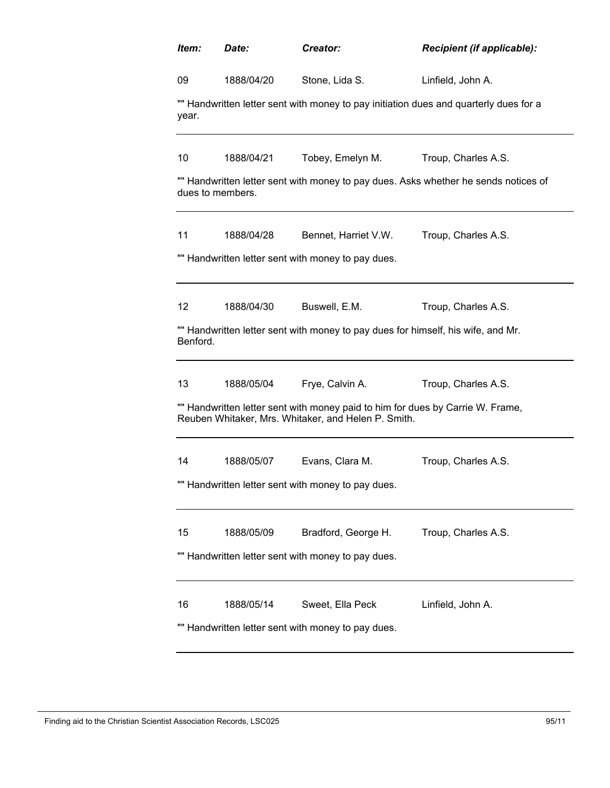| Item:            | Date:                                                                                 | Creator:                                                                                                                              | Recipient (if applicable):                                                          |  |  |  |
|------------------|---------------------------------------------------------------------------------------|---------------------------------------------------------------------------------------------------------------------------------------|-------------------------------------------------------------------------------------|--|--|--|
| 09               | 1888/04/20                                                                            | Stone, Lida S.                                                                                                                        | Linfield, John A.                                                                   |  |  |  |
| year.            | "" Handwritten letter sent with money to pay initiation dues and quarterly dues for a |                                                                                                                                       |                                                                                     |  |  |  |
| 10               | 1888/04/21                                                                            | Tobey, Emelyn M.                                                                                                                      | Troup, Charles A.S.                                                                 |  |  |  |
| dues to members. |                                                                                       |                                                                                                                                       | "" Handwritten letter sent with money to pay dues. Asks whether he sends notices of |  |  |  |
| 11               | 1888/04/28                                                                            | Bennet, Harriet V.W.                                                                                                                  | Troup, Charles A.S.                                                                 |  |  |  |
|                  |                                                                                       | "" Handwritten letter sent with money to pay dues.                                                                                    |                                                                                     |  |  |  |
| 12               | 1888/04/30                                                                            | Buswell, E.M.                                                                                                                         | Troup, Charles A.S.                                                                 |  |  |  |
| Benford.         |                                                                                       | "" Handwritten letter sent with money to pay dues for himself, his wife, and Mr.                                                      |                                                                                     |  |  |  |
| 13               | 1888/05/04                                                                            | Frye, Calvin A.                                                                                                                       | Troup, Charles A.S.                                                                 |  |  |  |
|                  |                                                                                       | "" Handwritten letter sent with money paid to him for dues by Carrie W. Frame,<br>Reuben Whitaker, Mrs. Whitaker, and Helen P. Smith. |                                                                                     |  |  |  |
| 14               | 1888/05/07                                                                            | Evans, Clara M.                                                                                                                       | Troup, Charles A.S.                                                                 |  |  |  |
|                  | "" Handwritten letter sent with money to pay dues.                                    |                                                                                                                                       |                                                                                     |  |  |  |
| 15               | 1888/05/09                                                                            | Bradford, George H.                                                                                                                   | Troup, Charles A.S.                                                                 |  |  |  |
|                  |                                                                                       | "" Handwritten letter sent with money to pay dues.                                                                                    |                                                                                     |  |  |  |
| 16               | 1888/05/14                                                                            | Sweet, Ella Peck                                                                                                                      | Linfield, John A.                                                                   |  |  |  |
|                  | "" Handwritten letter sent with money to pay dues.                                    |                                                                                                                                       |                                                                                     |  |  |  |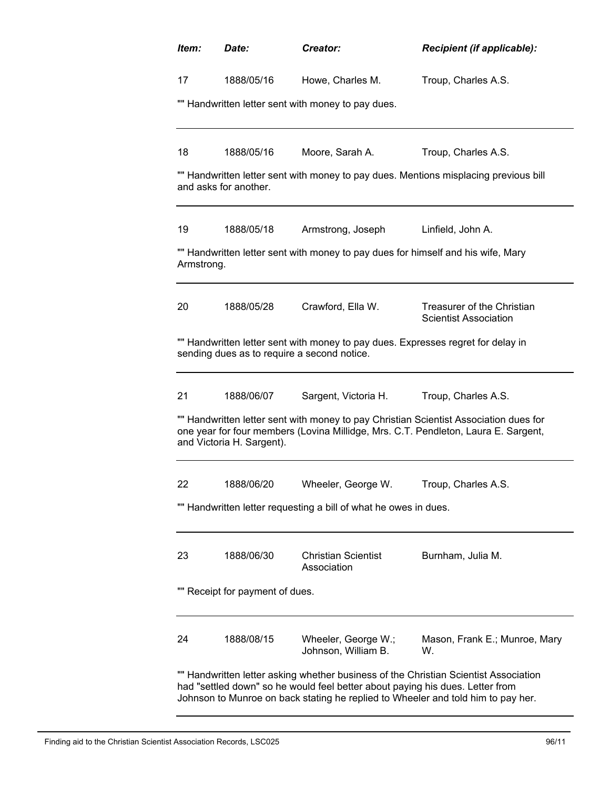| Item:      | Date:                           | Creator:                                                                      | <b>Recipient (if applicable):</b>                                                                                                                                           |
|------------|---------------------------------|-------------------------------------------------------------------------------|-----------------------------------------------------------------------------------------------------------------------------------------------------------------------------|
| 17         | 1888/05/16                      | Howe, Charles M.                                                              | Troup, Charles A.S.                                                                                                                                                         |
|            |                                 | "" Handwritten letter sent with money to pay dues.                            |                                                                                                                                                                             |
| 18         | 1888/05/16                      | Moore, Sarah A.                                                               | Troup, Charles A.S.                                                                                                                                                         |
|            | and asks for another.           |                                                                               | "" Handwritten letter sent with money to pay dues. Mentions misplacing previous bill                                                                                        |
| 19         | 1888/05/18                      | Armstrong, Joseph                                                             | Linfield, John A.                                                                                                                                                           |
| Armstrong. |                                 |                                                                               | "" Handwritten letter sent with money to pay dues for himself and his wife, Mary                                                                                            |
| 20         | 1888/05/28                      | Crawford, Ella W.                                                             | Treasurer of the Christian<br><b>Scientist Association</b>                                                                                                                  |
|            |                                 | sending dues as to require a second notice.                                   | "" Handwritten letter sent with money to pay dues. Expresses regret for delay in                                                                                            |
| 21         | 1888/06/07                      | Sargent, Victoria H.                                                          | Troup, Charles A.S.                                                                                                                                                         |
|            | and Victoria H. Sargent).       |                                                                               | "" Handwritten letter sent with money to pay Christian Scientist Association dues for<br>one year for four members (Lovina Millidge, Mrs. C.T. Pendleton, Laura E. Sargent, |
| 22         | 1888/06/20                      | Wheeler, George W.                                                            | Troup, Charles A.S.                                                                                                                                                         |
|            |                                 | "" Handwritten letter requesting a bill of what he owes in dues.              |                                                                                                                                                                             |
| 23         | 1888/06/30                      | <b>Christian Scientist</b><br>Association                                     | Burnham, Julia M.                                                                                                                                                           |
|            | "" Receipt for payment of dues. |                                                                               |                                                                                                                                                                             |
| 24         | 1888/08/15                      | Wheeler, George W.;<br>Johnson, William B.                                    | Mason, Frank E.; Munroe, Mary<br>W.                                                                                                                                         |
|            |                                 | had "settled down" so he would feel better about paying his dues. Letter from | "" Handwritten letter asking whether business of the Christian Scientist Association<br>Johnson to Munroe on back stating he replied to Wheeler and told him to pay her.    |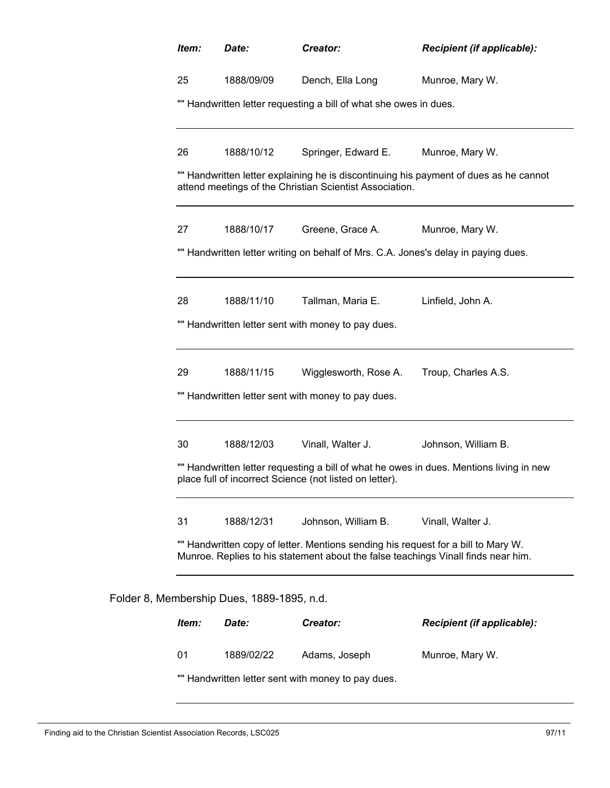|                                                    | Date:                               | Creator:                                                                                                                                                               | Recipient (if applicable):                                                              |  |
|----------------------------------------------------|-------------------------------------|------------------------------------------------------------------------------------------------------------------------------------------------------------------------|-----------------------------------------------------------------------------------------|--|
| 25<br>1888/09/09                                   |                                     | Dench, Ella Long                                                                                                                                                       | Munroe, Mary W.                                                                         |  |
|                                                    |                                     | "" Handwritten letter requesting a bill of what she owes in dues.                                                                                                      |                                                                                         |  |
| 26                                                 | 1888/10/12                          | Springer, Edward E.                                                                                                                                                    | Munroe, Mary W.                                                                         |  |
|                                                    |                                     | attend meetings of the Christian Scientist Association.                                                                                                                | "" Handwritten letter explaining he is discontinuing his payment of dues as he cannot   |  |
| 27                                                 | 1888/10/17                          | Greene, Grace A.                                                                                                                                                       | Munroe, Mary W.                                                                         |  |
|                                                    |                                     | "" Handwritten letter writing on behalf of Mrs. C.A. Jones's delay in paying dues.                                                                                     |                                                                                         |  |
| 28                                                 | 1888/11/10                          | Tallman, Maria E.                                                                                                                                                      | Linfield, John A.                                                                       |  |
|                                                    |                                     | "" Handwritten letter sent with money to pay dues.                                                                                                                     |                                                                                         |  |
| 29                                                 | 1888/11/15                          | Wigglesworth, Rose A.                                                                                                                                                  | Troup, Charles A.S.                                                                     |  |
| "" Handwritten letter sent with money to pay dues. |                                     |                                                                                                                                                                        |                                                                                         |  |
| 30                                                 | 1888/12/03                          | Vinall, Walter J.                                                                                                                                                      | Johnson, William B.                                                                     |  |
|                                                    |                                     | place full of incorrect Science (not listed on letter).                                                                                                                | "" Handwritten letter requesting a bill of what he owes in dues. Mentions living in new |  |
| 31                                                 | 1888/12/31                          | Johnson, William B.                                                                                                                                                    | Vinall, Walter J.                                                                       |  |
|                                                    |                                     | "" Handwritten copy of letter. Mentions sending his request for a bill to Mary W.<br>Munroe. Replies to his statement about the false teachings Vinall finds near him. |                                                                                         |  |
|                                                    |                                     |                                                                                                                                                                        |                                                                                         |  |
|                                                    | 8, Membership Dues, 1889-1895, n.d. |                                                                                                                                                                        |                                                                                         |  |
| Item:                                              | Date:                               | Creator:                                                                                                                                                               | Recipient (if applicable):                                                              |  |

Folder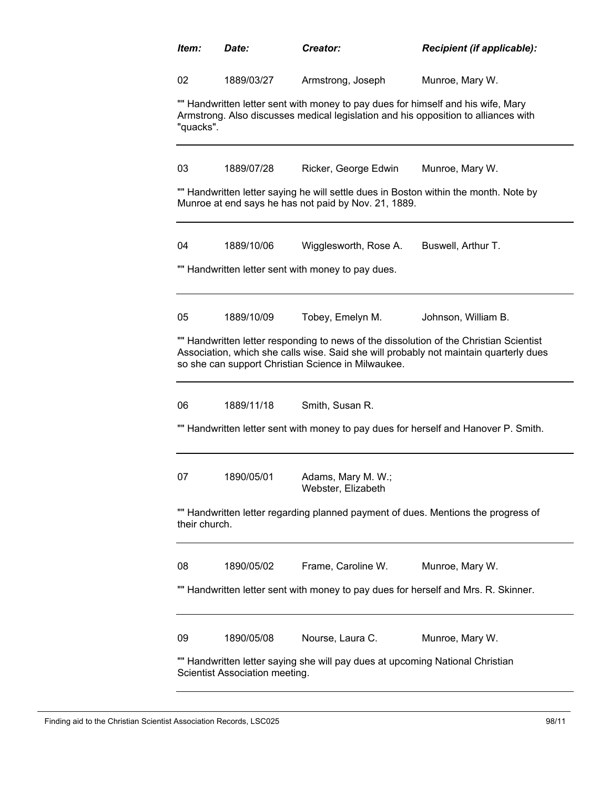| Item:                                                                                                           | Date:                                                                                                                                                                               | Creator:                                                                           | Recipient (if applicable):                                                                                                                                                      |  |  |  |  |
|-----------------------------------------------------------------------------------------------------------------|-------------------------------------------------------------------------------------------------------------------------------------------------------------------------------------|------------------------------------------------------------------------------------|---------------------------------------------------------------------------------------------------------------------------------------------------------------------------------|--|--|--|--|
| 02                                                                                                              | 1889/03/27                                                                                                                                                                          | Armstrong, Joseph                                                                  | Munroe, Mary W.                                                                                                                                                                 |  |  |  |  |
|                                                                                                                 | "" Handwritten letter sent with money to pay dues for himself and his wife, Mary<br>Armstrong. Also discusses medical legislation and his opposition to alliances with<br>"quacks". |                                                                                    |                                                                                                                                                                                 |  |  |  |  |
| 03                                                                                                              | 1889/07/28                                                                                                                                                                          | Ricker, George Edwin                                                               | Munroe, Mary W.                                                                                                                                                                 |  |  |  |  |
|                                                                                                                 | "" Handwritten letter saying he will settle dues in Boston within the month. Note by<br>Munroe at end says he has not paid by Nov. 21, 1889.                                        |                                                                                    |                                                                                                                                                                                 |  |  |  |  |
| 04                                                                                                              | 1889/10/06                                                                                                                                                                          | Wigglesworth, Rose A.                                                              | Buswell, Arthur T.                                                                                                                                                              |  |  |  |  |
|                                                                                                                 |                                                                                                                                                                                     | "" Handwritten letter sent with money to pay dues.                                 |                                                                                                                                                                                 |  |  |  |  |
| 05                                                                                                              | 1889/10/09                                                                                                                                                                          | Tobey, Emelyn M.                                                                   | Johnson, William B.                                                                                                                                                             |  |  |  |  |
|                                                                                                                 |                                                                                                                                                                                     | so she can support Christian Science in Milwaukee.                                 | "" Handwritten letter responding to news of the dissolution of the Christian Scientist<br>Association, which she calls wise. Said she will probably not maintain quarterly dues |  |  |  |  |
| 06                                                                                                              | 1889/11/18                                                                                                                                                                          | Smith, Susan R.                                                                    |                                                                                                                                                                                 |  |  |  |  |
|                                                                                                                 |                                                                                                                                                                                     |                                                                                    | "" Handwritten letter sent with money to pay dues for herself and Hanover P. Smith.                                                                                             |  |  |  |  |
| 07                                                                                                              | 1890/05/01                                                                                                                                                                          | Adams, Mary M. W.;<br>Webster, Elizabeth                                           |                                                                                                                                                                                 |  |  |  |  |
|                                                                                                                 | "" Handwritten letter regarding planned payment of dues. Mentions the progress of<br>their church.                                                                                  |                                                                                    |                                                                                                                                                                                 |  |  |  |  |
| 08                                                                                                              | 1890/05/02                                                                                                                                                                          | Frame, Caroline W.                                                                 | Munroe, Mary W.                                                                                                                                                                 |  |  |  |  |
|                                                                                                                 |                                                                                                                                                                                     | "" Handwritten letter sent with money to pay dues for herself and Mrs. R. Skinner. |                                                                                                                                                                                 |  |  |  |  |
| 09                                                                                                              | 1890/05/08                                                                                                                                                                          | Nourse, Laura C.                                                                   | Munroe, Mary W.                                                                                                                                                                 |  |  |  |  |
| "" Handwritten letter saying she will pay dues at upcoming National Christian<br>Scientist Association meeting. |                                                                                                                                                                                     |                                                                                    |                                                                                                                                                                                 |  |  |  |  |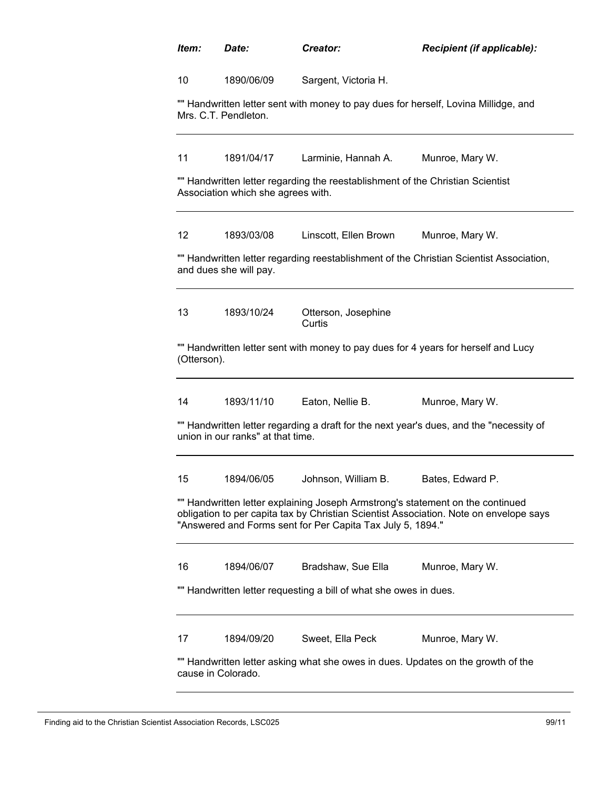| Item:             | Date:                              | Creator:                                                                       | Recipient (if applicable):                                                                                                                                               |
|-------------------|------------------------------------|--------------------------------------------------------------------------------|--------------------------------------------------------------------------------------------------------------------------------------------------------------------------|
| 10                | 1890/06/09                         | Sargent, Victoria H.                                                           |                                                                                                                                                                          |
|                   | Mrs. C.T. Pendleton.               |                                                                                | "" Handwritten letter sent with money to pay dues for herself, Lovina Millidge, and                                                                                      |
| 11                | 1891/04/17                         | Larminie, Hannah A.                                                            | Munroe, Mary W.                                                                                                                                                          |
|                   | Association which she agrees with. | "" Handwritten letter regarding the reestablishment of the Christian Scientist |                                                                                                                                                                          |
| $12 \overline{ }$ | 1893/03/08                         | Linscott, Ellen Brown                                                          | Munroe, Mary W.                                                                                                                                                          |
|                   | and dues she will pay.             |                                                                                | "" Handwritten letter regarding reestablishment of the Christian Scientist Association,                                                                                  |
| 13                | 1893/10/24                         | Otterson, Josephine<br>Curtis                                                  |                                                                                                                                                                          |
| (Otterson).       |                                    |                                                                                | "" Handwritten letter sent with money to pay dues for 4 years for herself and Lucy                                                                                       |
| 14                | 1893/11/10                         | Eaton, Nellie B.                                                               | Munroe, Mary W.                                                                                                                                                          |
|                   | union in our ranks" at that time.  |                                                                                | "" Handwritten letter regarding a draft for the next year's dues, and the "necessity of                                                                                  |
| 15                | 1894/06/05                         | Johnson, William B.                                                            | Bates, Edward P.                                                                                                                                                         |
|                   |                                    | "Answered and Forms sent for Per Capita Tax July 5, 1894."                     | "" Handwritten letter explaining Joseph Armstrong's statement on the continued<br>obligation to per capita tax by Christian Scientist Association. Note on envelope says |
| 16                | 1894/06/07                         | Bradshaw, Sue Ella                                                             | Munroe, Mary W.                                                                                                                                                          |
|                   |                                    | "" Handwritten letter requesting a bill of what she owes in dues.              |                                                                                                                                                                          |
| 17                | 1894/09/20                         | Sweet, Ella Peck                                                               | Munroe, Mary W.                                                                                                                                                          |
|                   | cause in Colorado.                 |                                                                                | "" Handwritten letter asking what she owes in dues. Updates on the growth of the                                                                                         |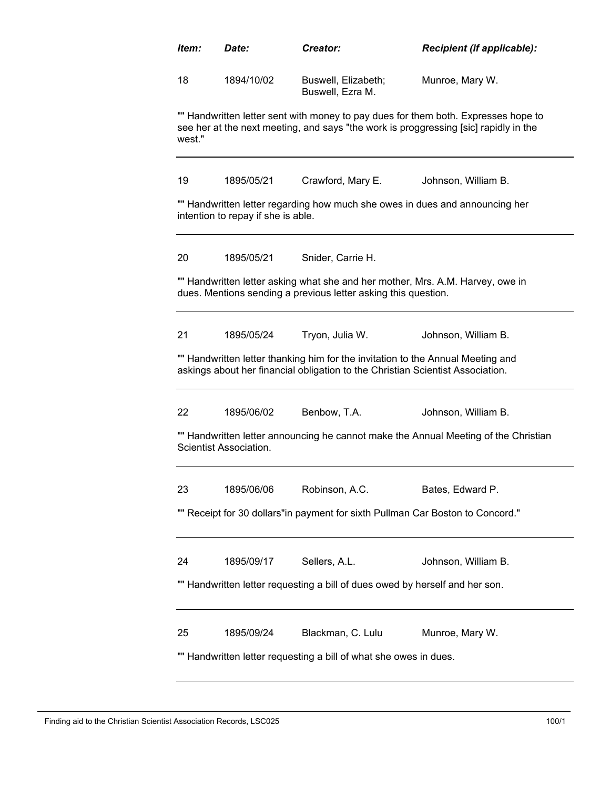| ltem:                                                                          | <b>Date:</b>                                                                                                                                                               | Creator:                                                                                                                                                          | <b>Recipient (if applicable):</b>                                                   |  |  |  |  |
|--------------------------------------------------------------------------------|----------------------------------------------------------------------------------------------------------------------------------------------------------------------------|-------------------------------------------------------------------------------------------------------------------------------------------------------------------|-------------------------------------------------------------------------------------|--|--|--|--|
| 18                                                                             | 1894/10/02                                                                                                                                                                 | Munroe, Mary W.<br>Buswell, Elizabeth;<br>Buswell, Ezra M.                                                                                                        |                                                                                     |  |  |  |  |
| west."                                                                         | "" Handwritten letter sent with money to pay dues for them both. Expresses hope to<br>see her at the next meeting, and says "the work is proggressing [sic] rapidly in the |                                                                                                                                                                   |                                                                                     |  |  |  |  |
| 19                                                                             | 1895/05/21                                                                                                                                                                 | Crawford, Mary E.                                                                                                                                                 | Johnson, William B.                                                                 |  |  |  |  |
|                                                                                | intention to repay if she is able.                                                                                                                                         | "" Handwritten letter regarding how much she owes in dues and announcing her                                                                                      |                                                                                     |  |  |  |  |
| 20                                                                             | 1895/05/21                                                                                                                                                                 | Snider, Carrie H.                                                                                                                                                 |                                                                                     |  |  |  |  |
|                                                                                |                                                                                                                                                                            | "" Handwritten letter asking what she and her mother, Mrs. A.M. Harvey, owe in<br>dues. Mentions sending a previous letter asking this question.                  |                                                                                     |  |  |  |  |
| 21                                                                             | 1895/05/24                                                                                                                                                                 | Tryon, Julia W.                                                                                                                                                   | Johnson, William B.                                                                 |  |  |  |  |
|                                                                                |                                                                                                                                                                            | "" Handwritten letter thanking him for the invitation to the Annual Meeting and<br>askings about her financial obligation to the Christian Scientist Association. |                                                                                     |  |  |  |  |
| 22                                                                             | 1895/06/02                                                                                                                                                                 | Benbow, T.A.                                                                                                                                                      | Johnson, William B.                                                                 |  |  |  |  |
|                                                                                | Scientist Association.                                                                                                                                                     |                                                                                                                                                                   | "" Handwritten letter announcing he cannot make the Annual Meeting of the Christian |  |  |  |  |
| 23                                                                             | 1895/06/06                                                                                                                                                                 | Robinson, A.C.                                                                                                                                                    | Bates, Edward P.                                                                    |  |  |  |  |
| "" Receipt for 30 dollars"in payment for sixth Pullman Car Boston to Concord." |                                                                                                                                                                            |                                                                                                                                                                   |                                                                                     |  |  |  |  |
| 24                                                                             | 1895/09/17                                                                                                                                                                 | Sellers, A.L.                                                                                                                                                     | Johnson, William B.                                                                 |  |  |  |  |
|                                                                                |                                                                                                                                                                            | "" Handwritten letter requesting a bill of dues owed by herself and her son.                                                                                      |                                                                                     |  |  |  |  |
| 25                                                                             | 1895/09/24                                                                                                                                                                 | Blackman, C. Lulu                                                                                                                                                 | Munroe, Mary W.                                                                     |  |  |  |  |
| "" Handwritten letter requesting a bill of what she owes in dues.              |                                                                                                                                                                            |                                                                                                                                                                   |                                                                                     |  |  |  |  |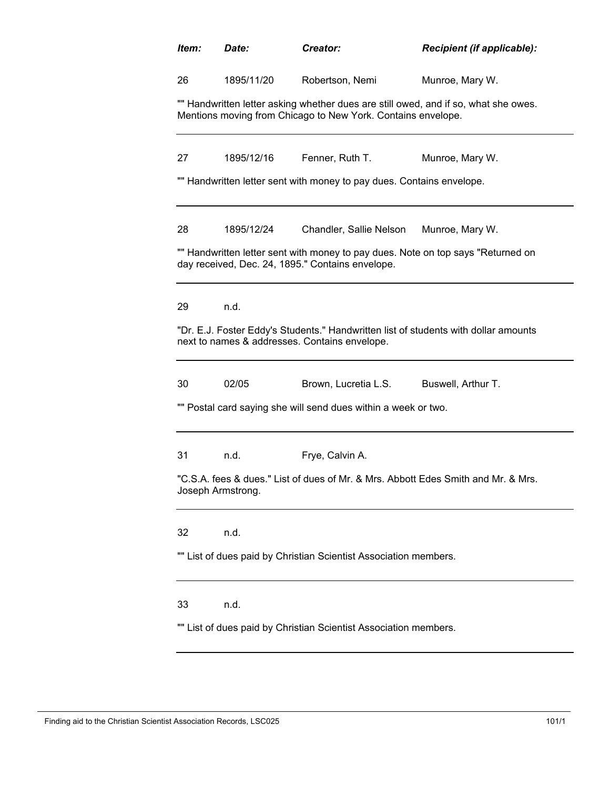| Item: | Date:                                                                                                                                               | Creator:                                                              | Recipient (if applicable):                                                          |  |  |  |  |
|-------|-----------------------------------------------------------------------------------------------------------------------------------------------------|-----------------------------------------------------------------------|-------------------------------------------------------------------------------------|--|--|--|--|
| 26    | 1895/11/20<br>Robertson, Nemi                                                                                                                       |                                                                       | Munroe, Mary W.                                                                     |  |  |  |  |
|       | "" Handwritten letter asking whether dues are still owed, and if so, what she owes.<br>Mentions moving from Chicago to New York. Contains envelope. |                                                                       |                                                                                     |  |  |  |  |
| 27    | 1895/12/16                                                                                                                                          | Fenner, Ruth T.                                                       | Munroe, Mary W.                                                                     |  |  |  |  |
|       |                                                                                                                                                     | "" Handwritten letter sent with money to pay dues. Contains envelope. |                                                                                     |  |  |  |  |
| 28    | 1895/12/24                                                                                                                                          | Chandler, Sallie Nelson                                               | Munroe, Mary W.                                                                     |  |  |  |  |
|       |                                                                                                                                                     | day received, Dec. 24, 1895." Contains envelope.                      | "" Handwritten letter sent with money to pay dues. Note on top says "Returned on    |  |  |  |  |
| 29    | n.d.                                                                                                                                                |                                                                       |                                                                                     |  |  |  |  |
|       |                                                                                                                                                     | next to names & addresses. Contains envelope.                         | "Dr. E.J. Foster Eddy's Students." Handwritten list of students with dollar amounts |  |  |  |  |
| 30    | 02/05                                                                                                                                               | Brown, Lucretia L.S.                                                  | Buswell, Arthur T.                                                                  |  |  |  |  |
|       |                                                                                                                                                     | "" Postal card saying she will send dues within a week or two.        |                                                                                     |  |  |  |  |
| 31    | n.d.                                                                                                                                                | Frye, Calvin A.                                                       |                                                                                     |  |  |  |  |
|       | Joseph Armstrong.                                                                                                                                   |                                                                       | "C.S.A. fees & dues." List of dues of Mr. & Mrs. Abbott Edes Smith and Mr. & Mrs.   |  |  |  |  |
| 32    | n.d.                                                                                                                                                |                                                                       |                                                                                     |  |  |  |  |
|       |                                                                                                                                                     | "" List of dues paid by Christian Scientist Association members.      |                                                                                     |  |  |  |  |
| 33    | n.d.                                                                                                                                                |                                                                       |                                                                                     |  |  |  |  |
|       |                                                                                                                                                     | List of dues paid by Christian Scientist Association members.         |                                                                                     |  |  |  |  |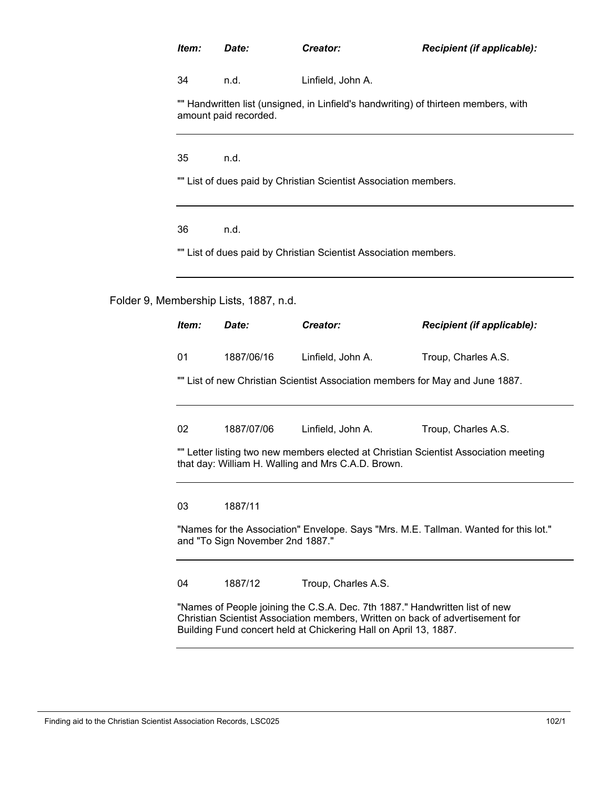# *Item: Date: Creator: Recipient (if applicable):*

34 n.d. Linfield, John A.

"" Handwritten list (unsigned, in Linfield's handwriting) of thirteen members, with amount paid recorded.

35 n.d.

"" List of dues paid by Christian Scientist Association members.

36 n.d.

"" List of dues paid by Christian Scientist Association members.

Folder 9, Membership Lists, 1887, n.d.

| Item:                                                                                                                                                                                                                            | Date:      | Creator:                                                                      | <b>Recipient (if applicable):</b>                                                    |  |  |
|----------------------------------------------------------------------------------------------------------------------------------------------------------------------------------------------------------------------------------|------------|-------------------------------------------------------------------------------|--------------------------------------------------------------------------------------|--|--|
| 01                                                                                                                                                                                                                               | 1887/06/16 | Linfield, John A.                                                             | Troup, Charles A.S.                                                                  |  |  |
|                                                                                                                                                                                                                                  |            | "" List of new Christian Scientist Association members for May and June 1887. |                                                                                      |  |  |
|                                                                                                                                                                                                                                  |            |                                                                               |                                                                                      |  |  |
| 02                                                                                                                                                                                                                               | 1887/07/06 | Linfield, John A.                                                             | Troup, Charles A.S.                                                                  |  |  |
|                                                                                                                                                                                                                                  |            | that day: William H. Walling and Mrs C.A.D. Brown.                            | "" Letter listing two new members elected at Christian Scientist Association meeting |  |  |
| 03                                                                                                                                                                                                                               | 1887/11    |                                                                               |                                                                                      |  |  |
| "Names for the Association" Envelope. Says "Mrs. M.E. Tallman. Wanted for this lot."<br>and "To Sign November 2nd 1887."                                                                                                         |            |                                                                               |                                                                                      |  |  |
| 04                                                                                                                                                                                                                               | 1887/12    | Troup, Charles A.S.                                                           |                                                                                      |  |  |
| "Names of People joining the C.S.A. Dec. 7th 1887." Handwritten list of new<br>Christian Scientist Association members, Written on back of advertisement for<br>Building Fund concert held at Chickering Hall on April 13, 1887. |            |                                                                               |                                                                                      |  |  |

Finding aid to the Christian Scientist Association Records, LSC025 102/1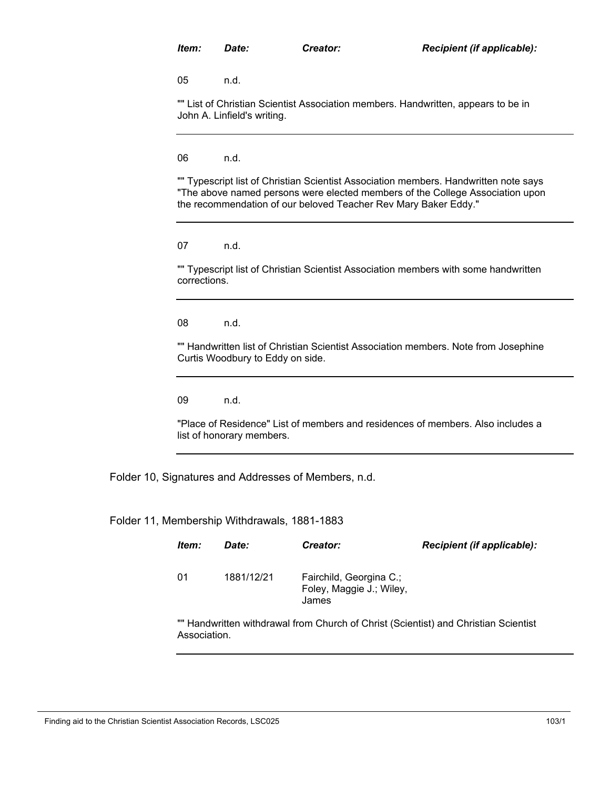05 n.d.

"" List of Christian Scientist Association members. Handwritten, appears to be in John A. Linfield's writing.

06 n.d.

"" Typescript list of Christian Scientist Association members. Handwritten note says "The above named persons were elected members of the College Association upon the recommendation of our beloved Teacher Rev Mary Baker Eddy."

07 n.d.

"" Typescript list of Christian Scientist Association members with some handwritten corrections.

08 n.d.

"" Handwritten list of Christian Scientist Association members. Note from Josephine Curtis Woodbury to Eddy on side.

09 n.d.

"Place of Residence" List of members and residences of members. Also includes a list of honorary members.

Folder 10, Signatures and Addresses of Members, n.d.

Folder 11, Membership Withdrawals, 1881-1883

| ltem: | Date:      | <b>Creator:</b>                                              | <b>Recipient (if applicable):</b> |
|-------|------------|--------------------------------------------------------------|-----------------------------------|
| 01    | 1881/12/21 | Fairchild, Georgina C.;<br>Foley, Maggie J.; Wiley,<br>James |                                   |

"" Handwritten withdrawal from Church of Christ (Scientist) and Christian Scientist Association.

Finding aid to the Christian Scientist Association Records, LSC025 103/1 103/1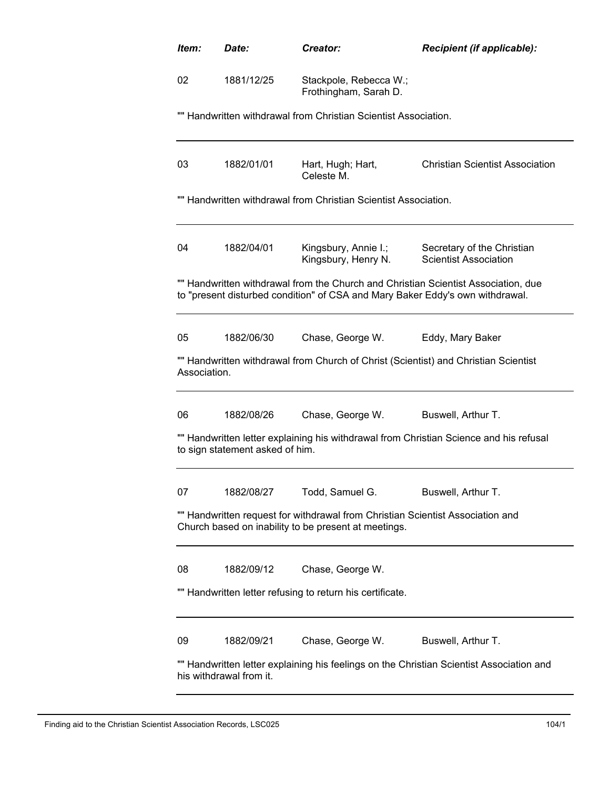| ltem:        | Date:                                                                                                                                                                       | Creator:                                                                      | <b>Recipient (if applicable):</b>                                                      |  |  |  |  |
|--------------|-----------------------------------------------------------------------------------------------------------------------------------------------------------------------------|-------------------------------------------------------------------------------|----------------------------------------------------------------------------------------|--|--|--|--|
| 02           | 1881/12/25                                                                                                                                                                  | Stackpole, Rebecca W.;<br>Frothingham, Sarah D.                               |                                                                                        |  |  |  |  |
|              | "" Handwritten withdrawal from Christian Scientist Association.                                                                                                             |                                                                               |                                                                                        |  |  |  |  |
| 03           | 1882/01/01                                                                                                                                                                  | Hart, Hugh; Hart,<br>Celeste M.                                               | <b>Christian Scientist Association</b>                                                 |  |  |  |  |
|              | "" Handwritten withdrawal from Christian Scientist Association.                                                                                                             |                                                                               |                                                                                        |  |  |  |  |
| 04           | 1882/04/01                                                                                                                                                                  | Kingsbury, Annie I.;<br>Kingsbury, Henry N.                                   | Secretary of the Christian<br><b>Scientist Association</b>                             |  |  |  |  |
|              |                                                                                                                                                                             | to "present disturbed condition" of CSA and Mary Baker Eddy's own withdrawal. | "" Handwritten withdrawal from the Church and Christian Scientist Association, due     |  |  |  |  |
| 05           | 1882/06/30                                                                                                                                                                  | Chase, George W.                                                              | Eddy, Mary Baker                                                                       |  |  |  |  |
| Association. |                                                                                                                                                                             |                                                                               | "" Handwritten withdrawal from Church of Christ (Scientist) and Christian Scientist    |  |  |  |  |
| 06           | 1882/08/26                                                                                                                                                                  | Chase, George W.                                                              | Buswell, Arthur T.                                                                     |  |  |  |  |
|              | to sign statement asked of him.                                                                                                                                             |                                                                               | "" Handwritten letter explaining his withdrawal from Christian Science and his refusal |  |  |  |  |
| 07           | 1882/08/27                                                                                                                                                                  | Todd, Samuel G.                                                               | Buswell, Arthur T.                                                                     |  |  |  |  |
|              | "" Handwritten request for withdrawal from Christian Scientist Association and<br>Church based on inability to be present at meetings.                                      |                                                                               |                                                                                        |  |  |  |  |
| 08           | 1882/09/12                                                                                                                                                                  | Chase, George W.                                                              |                                                                                        |  |  |  |  |
|              |                                                                                                                                                                             | Handwritten letter refusing to return his certificate.                        |                                                                                        |  |  |  |  |
| 09           | Chase, George W.<br>1882/09/21<br>Buswell, Arthur T.<br>"" Handwritten letter explaining his feelings on the Christian Scientist Association and<br>his withdrawal from it. |                                                                               |                                                                                        |  |  |  |  |
|              |                                                                                                                                                                             |                                                                               |                                                                                        |  |  |  |  |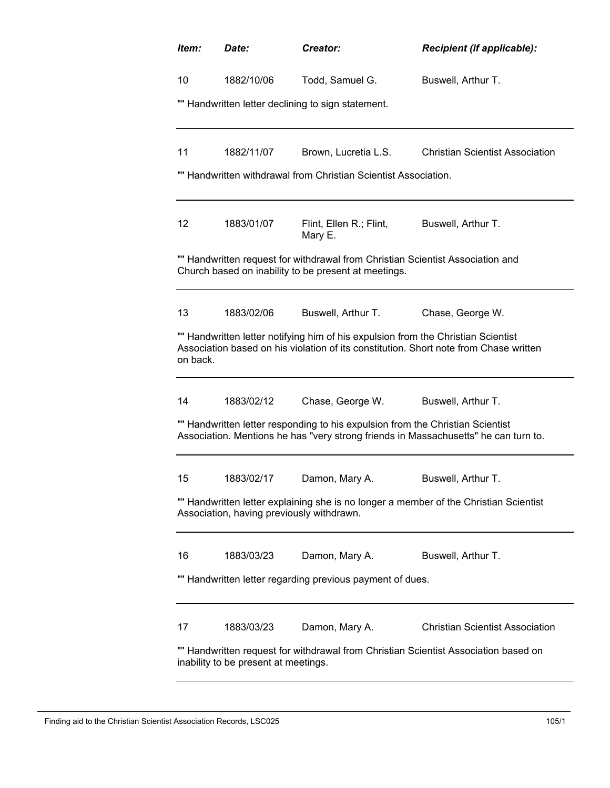| ltem:                                                                                                                       | Date:                                                                                                                              | Creator:                                                                                                                               | Recipient (if applicable):                                                            |  |  |  |  |
|-----------------------------------------------------------------------------------------------------------------------------|------------------------------------------------------------------------------------------------------------------------------------|----------------------------------------------------------------------------------------------------------------------------------------|---------------------------------------------------------------------------------------|--|--|--|--|
| 10                                                                                                                          | 1882/10/06                                                                                                                         | Todd, Samuel G.                                                                                                                        | Buswell, Arthur T.                                                                    |  |  |  |  |
|                                                                                                                             | "" Handwritten letter declining to sign statement.                                                                                 |                                                                                                                                        |                                                                                       |  |  |  |  |
|                                                                                                                             |                                                                                                                                    |                                                                                                                                        |                                                                                       |  |  |  |  |
| 11                                                                                                                          | 1882/11/07                                                                                                                         | Brown, Lucretia L.S.                                                                                                                   | <b>Christian Scientist Association</b>                                                |  |  |  |  |
|                                                                                                                             |                                                                                                                                    | "" Handwritten withdrawal from Christian Scientist Association.                                                                        |                                                                                       |  |  |  |  |
| 12                                                                                                                          | 1883/01/07                                                                                                                         | Flint, Ellen R.; Flint,<br>Mary E.                                                                                                     | Buswell, Arthur T.                                                                    |  |  |  |  |
|                                                                                                                             |                                                                                                                                    | "" Handwritten request for withdrawal from Christian Scientist Association and<br>Church based on inability to be present at meetings. |                                                                                       |  |  |  |  |
| 13                                                                                                                          | 1883/02/06                                                                                                                         | Buswell, Arthur T.                                                                                                                     | Chase, George W.                                                                      |  |  |  |  |
| on back.                                                                                                                    |                                                                                                                                    | "" Handwritten letter notifying him of his expulsion from the Christian Scientist                                                      | Association based on his violation of its constitution. Short note from Chase written |  |  |  |  |
| 14                                                                                                                          | 1883/02/12                                                                                                                         | Chase, George W.                                                                                                                       | Buswell, Arthur T.                                                                    |  |  |  |  |
|                                                                                                                             |                                                                                                                                    | "" Handwritten letter responding to his expulsion from the Christian Scientist                                                         | Association. Mentions he has "very strong friends in Massachusetts" he can turn to.   |  |  |  |  |
| 15                                                                                                                          | 1883/02/17                                                                                                                         | Damon, Mary A.                                                                                                                         | Buswell, Arthur T.                                                                    |  |  |  |  |
|                                                                                                                             | "" Handwritten letter explaining she is no longer a member of the Christian Scientist<br>Association, having previously withdrawn. |                                                                                                                                        |                                                                                       |  |  |  |  |
| 16                                                                                                                          | 1883/03/23                                                                                                                         | Damon, Mary A.                                                                                                                         | Buswell, Arthur T.                                                                    |  |  |  |  |
|                                                                                                                             |                                                                                                                                    | "" Handwritten letter regarding previous payment of dues.                                                                              |                                                                                       |  |  |  |  |
| 17                                                                                                                          | 1883/03/23                                                                                                                         | Damon, Mary A.                                                                                                                         | <b>Christian Scientist Association</b>                                                |  |  |  |  |
| "" Handwritten request for withdrawal from Christian Scientist Association based on<br>inability to be present at meetings. |                                                                                                                                    |                                                                                                                                        |                                                                                       |  |  |  |  |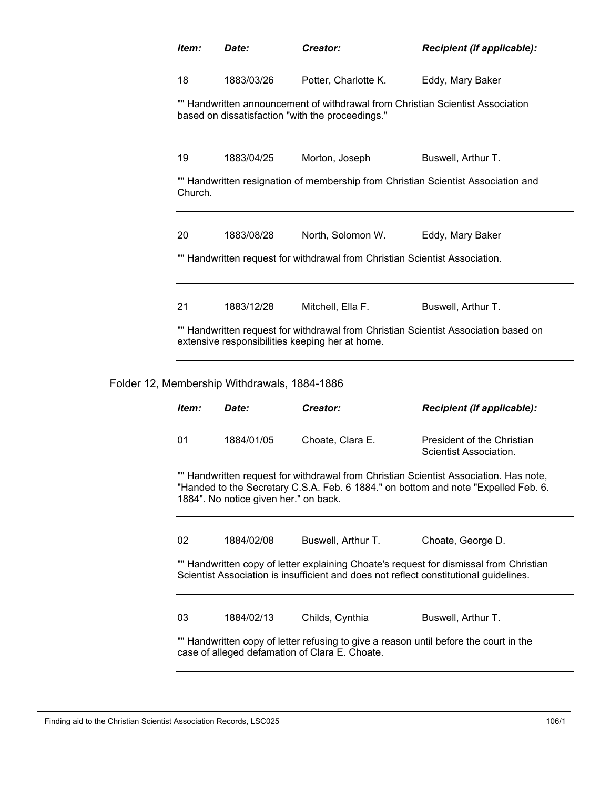|  | Item:                                                                                                                                                                                                                | Date:                                        | Creator:                                                                                                                                | <b>Recipient (if applicable):</b>                                                      |  |  |
|--|----------------------------------------------------------------------------------------------------------------------------------------------------------------------------------------------------------------------|----------------------------------------------|-----------------------------------------------------------------------------------------------------------------------------------------|----------------------------------------------------------------------------------------|--|--|
|  | 18                                                                                                                                                                                                                   | 1883/03/26                                   | Potter, Charlotte K.                                                                                                                    | Eddy, Mary Baker                                                                       |  |  |
|  | "" Handwritten announcement of withdrawal from Christian Scientist Association<br>based on dissatisfaction "with the proceedings."                                                                                   |                                              |                                                                                                                                         |                                                                                        |  |  |
|  | 19                                                                                                                                                                                                                   | 1883/04/25                                   | Morton, Joseph                                                                                                                          | Buswell, Arthur T.                                                                     |  |  |
|  | "" Handwritten resignation of membership from Christian Scientist Association and<br>Church.                                                                                                                         |                                              |                                                                                                                                         |                                                                                        |  |  |
|  | 20<br>1883/08/28<br>North, Solomon W.<br>Eddy, Mary Baker                                                                                                                                                            |                                              |                                                                                                                                         |                                                                                        |  |  |
|  |                                                                                                                                                                                                                      |                                              | "" Handwritten request for withdrawal from Christian Scientist Association.                                                             |                                                                                        |  |  |
|  | 21                                                                                                                                                                                                                   | 1883/12/28                                   | Mitchell, Ella F.                                                                                                                       | Buswell, Arthur T.                                                                     |  |  |
|  |                                                                                                                                                                                                                      |                                              | extensive responsibilities keeping her at home.                                                                                         | "" Handwritten request for withdrawal from Christian Scientist Association based on    |  |  |
|  |                                                                                                                                                                                                                      | Folder 12, Membership Withdrawals, 1884-1886 |                                                                                                                                         |                                                                                        |  |  |
|  | Item:                                                                                                                                                                                                                | Date:                                        | Creator:                                                                                                                                | <b>Recipient (if applicable):</b>                                                      |  |  |
|  | 01                                                                                                                                                                                                                   | 1884/01/05                                   | Choate, Clara E.                                                                                                                        | President of the Christian<br>Scientist Association.                                   |  |  |
|  | "" Handwritten request for withdrawal from Christian Scientist Association. Has note,<br>"Handed to the Secretary C.S.A. Feb. 6 1884." on bottom and note "Expelled Feb. 6.<br>1884". No notice given her." on back. |                                              |                                                                                                                                         |                                                                                        |  |  |
|  | 02                                                                                                                                                                                                                   | 1884/02/08                                   | Buswell, Arthur T.                                                                                                                      | Choate, George D.                                                                      |  |  |
|  |                                                                                                                                                                                                                      |                                              | Scientist Association is insufficient and does not reflect constitutional guidelines.                                                   | "" Handwritten copy of letter explaining Choate's request for dismissal from Christian |  |  |
|  | 03                                                                                                                                                                                                                   | 1884/02/13                                   | Childs, Cynthia                                                                                                                         | Buswell, Arthur T.                                                                     |  |  |
|  |                                                                                                                                                                                                                      |                                              | "" Handwritten copy of letter refusing to give a reason until before the court in the<br>case of alleged defamation of Clara E. Choate. |                                                                                        |  |  |
|  |                                                                                                                                                                                                                      |                                              |                                                                                                                                         |                                                                                        |  |  |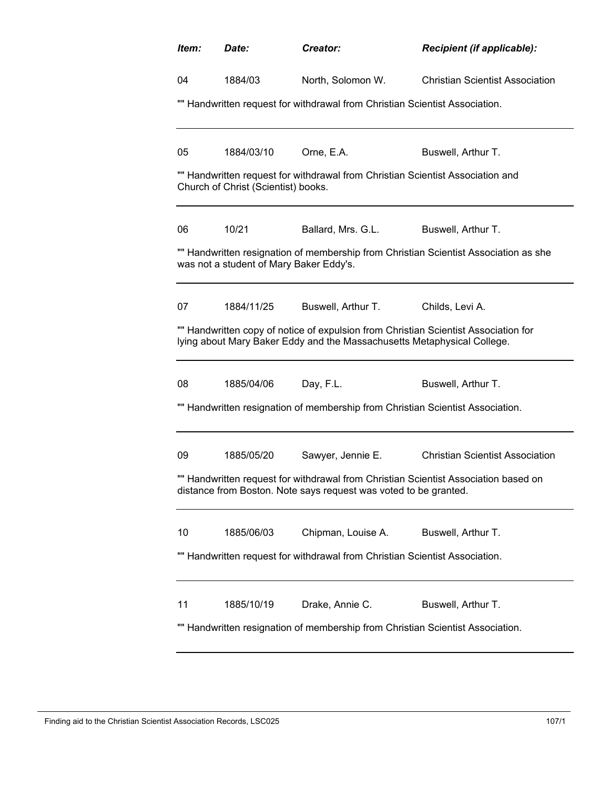| Item:                                                                                                                                                          | Date:      | Creator:           | Recipient (if applicable):             |  |  |
|----------------------------------------------------------------------------------------------------------------------------------------------------------------|------------|--------------------|----------------------------------------|--|--|
| 04                                                                                                                                                             | 1884/03    | North, Solomon W.  | <b>Christian Scientist Association</b> |  |  |
| "" Handwritten request for withdrawal from Christian Scientist Association.                                                                                    |            |                    |                                        |  |  |
| 05                                                                                                                                                             | 1884/03/10 | Orne, E.A.         | Buswell, Arthur T.                     |  |  |
| "" Handwritten request for withdrawal from Christian Scientist Association and<br>Church of Christ (Scientist) books.                                          |            |                    |                                        |  |  |
| 06                                                                                                                                                             | 10/21      | Ballard, Mrs. G.L. | Buswell, Arthur T.                     |  |  |
| "" Handwritten resignation of membership from Christian Scientist Association as she<br>was not a student of Mary Baker Eddy's.                                |            |                    |                                        |  |  |
| 07                                                                                                                                                             | 1884/11/25 | Buswell, Arthur T. | Childs, Levi A.                        |  |  |
| "" Handwritten copy of notice of expulsion from Christian Scientist Association for<br>lying about Mary Baker Eddy and the Massachusetts Metaphysical College. |            |                    |                                        |  |  |
| 08                                                                                                                                                             | 1885/04/06 | Day, F.L.          | Buswell, Arthur T.                     |  |  |
| "" Handwritten resignation of membership from Christian Scientist Association.                                                                                 |            |                    |                                        |  |  |
| 09                                                                                                                                                             | 1885/05/20 | Sawyer, Jennie E.  | <b>Christian Scientist Association</b> |  |  |
| "" Handwritten request for withdrawal from Christian Scientist Association based on<br>distance from Boston. Note says request was voted to be granted.        |            |                    |                                        |  |  |
| 10                                                                                                                                                             | 1885/06/03 | Chipman, Louise A. | Buswell, Arthur T.                     |  |  |
| "" Handwritten request for withdrawal from Christian Scientist Association.                                                                                    |            |                    |                                        |  |  |
| 11                                                                                                                                                             | 1885/10/19 | Drake, Annie C.    | Buswell, Arthur T.                     |  |  |
| "" Handwritten resignation of membership from Christian Scientist Association.                                                                                 |            |                    |                                        |  |  |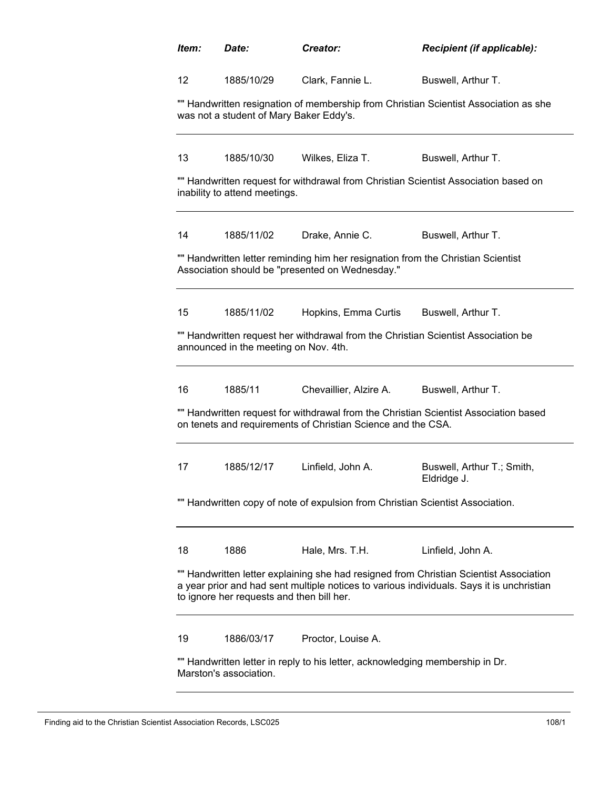| ltem:                                                                                                                                                                                                                            | Date:      | Creator:               | <b>Recipient (if applicable):</b>         |  |  |
|----------------------------------------------------------------------------------------------------------------------------------------------------------------------------------------------------------------------------------|------------|------------------------|-------------------------------------------|--|--|
| $12 \overline{ }$                                                                                                                                                                                                                | 1885/10/29 | Clark, Fannie L.       | Buswell, Arthur T.                        |  |  |
| "" Handwritten resignation of membership from Christian Scientist Association as she<br>was not a student of Mary Baker Eddy's.                                                                                                  |            |                        |                                           |  |  |
| 13                                                                                                                                                                                                                               | 1885/10/30 | Wilkes, Eliza T.       | Buswell, Arthur T.                        |  |  |
| "" Handwritten request for withdrawal from Christian Scientist Association based on<br>inability to attend meetings.                                                                                                             |            |                        |                                           |  |  |
| 14                                                                                                                                                                                                                               | 1885/11/02 | Drake, Annie C.        | Buswell, Arthur T.                        |  |  |
| "" Handwritten letter reminding him her resignation from the Christian Scientist<br>Association should be "presented on Wednesday."                                                                                              |            |                        |                                           |  |  |
| 15                                                                                                                                                                                                                               | 1885/11/02 | Hopkins, Emma Curtis   | Buswell, Arthur T.                        |  |  |
| "" Handwritten request her withdrawal from the Christian Scientist Association be<br>announced in the meeting on Nov. 4th.                                                                                                       |            |                        |                                           |  |  |
| 16                                                                                                                                                                                                                               | 1885/11    | Chevaillier, Alzire A. | Buswell, Arthur T.                        |  |  |
| "" Handwritten request for withdrawal from the Christian Scientist Association based<br>on tenets and requirements of Christian Science and the CSA.                                                                             |            |                        |                                           |  |  |
| 17                                                                                                                                                                                                                               | 1885/12/17 | Linfield, John A.      | Buswell, Arthur T.; Smith,<br>Eldridge J. |  |  |
| "" Handwritten copy of note of expulsion from Christian Scientist Association.                                                                                                                                                   |            |                        |                                           |  |  |
| 18                                                                                                                                                                                                                               | 1886       | Hale, Mrs. T.H.        | Linfield, John A.                         |  |  |
| "" Handwritten letter explaining she had resigned from Christian Scientist Association<br>a year prior and had sent multiple notices to various individuals. Says it is unchristian<br>to ignore her requests and then bill her. |            |                        |                                           |  |  |
| 19                                                                                                                                                                                                                               | 1886/03/17 | Proctor, Louise A.     |                                           |  |  |
| "" Handwritten letter in reply to his letter, acknowledging membership in Dr.<br>Marston's association.                                                                                                                          |            |                        |                                           |  |  |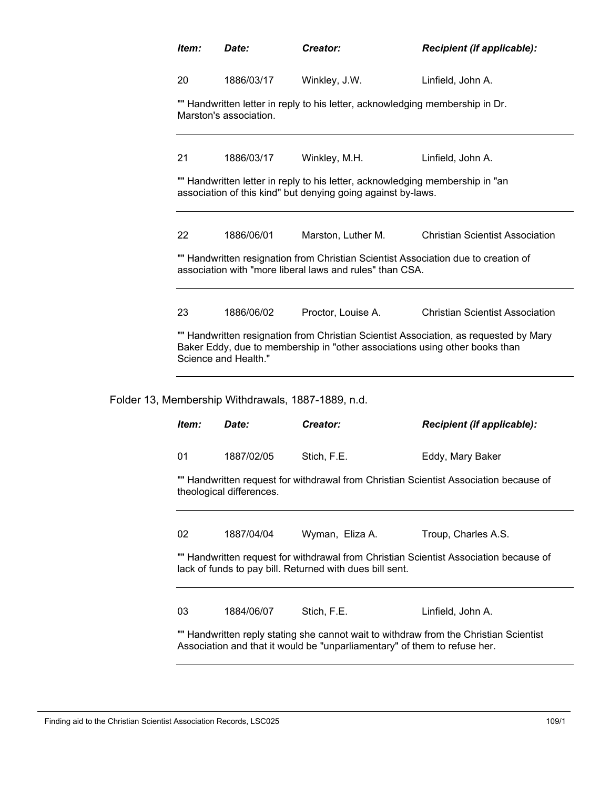| Item:                                                                                                                                          | Date:                | Creator:                                                 | <b>Recipient (if applicable):</b>                                                                                                                                    |  |
|------------------------------------------------------------------------------------------------------------------------------------------------|----------------------|----------------------------------------------------------|----------------------------------------------------------------------------------------------------------------------------------------------------------------------|--|
| 20                                                                                                                                             | 1886/03/17           | Winkley, J.W.                                            | Linfield, John A.                                                                                                                                                    |  |
| "" Handwritten letter in reply to his letter, acknowledging membership in Dr.<br>Marston's association.                                        |                      |                                                          |                                                                                                                                                                      |  |
| 21                                                                                                                                             | 1886/03/17           | Winkley, M.H.                                            | Linfield, John A.                                                                                                                                                    |  |
| "" Handwritten letter in reply to his letter, acknowledging membership in "an<br>association of this kind" but denying going against by-laws.  |                      |                                                          |                                                                                                                                                                      |  |
| 22                                                                                                                                             | 1886/06/01           | Marston, Luther M.                                       | <b>Christian Scientist Association</b>                                                                                                                               |  |
| "" Handwritten resignation from Christian Scientist Association due to creation of<br>association with "more liberal laws and rules" than CSA. |                      |                                                          |                                                                                                                                                                      |  |
| 23                                                                                                                                             | 1886/06/02           | Proctor, Louise A.                                       | <b>Christian Scientist Association</b>                                                                                                                               |  |
|                                                                                                                                                | Science and Health." |                                                          | "" Handwritten resignation from Christian Scientist Association, as requested by Mary<br>Baker Eddy, due to membership in "other associations using other books than |  |
|                                                                                                                                                |                      | Folder 13, Membership Withdrawals, 1887-1889, n.d.       |                                                                                                                                                                      |  |
| Item:                                                                                                                                          | Date:                | Creator:                                                 | Recipient (if applicable):                                                                                                                                           |  |
| 01                                                                                                                                             | 1887/02/05           | Stich, F.E.                                              | Eddy, Mary Baker                                                                                                                                                     |  |
| "" Handwritten request for withdrawal from Christian Scientist Association because of<br>theological differences.                              |                      |                                                          |                                                                                                                                                                      |  |
|                                                                                                                                                |                      |                                                          |                                                                                                                                                                      |  |
| 02                                                                                                                                             | 1887/04/04           | Wyman, Eliza A.                                          | Troup, Charles A.S.                                                                                                                                                  |  |
|                                                                                                                                                |                      | lack of funds to pay bill. Returned with dues bill sent. | "" Handwritten request for withdrawal from Christian Scientist Association because of                                                                                |  |
| 03                                                                                                                                             | 1884/06/07           | Stich, F.E.                                              | Linfield, John A.                                                                                                                                                    |  |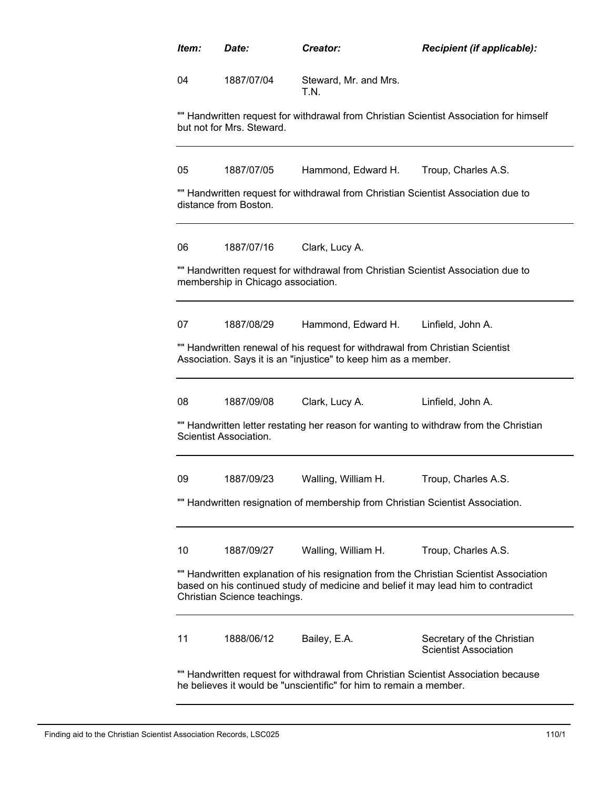| Item: | Date:                              | Creator:                                                                                                                                         | Recipient (if applicable):                                                                                                                                                  |
|-------|------------------------------------|--------------------------------------------------------------------------------------------------------------------------------------------------|-----------------------------------------------------------------------------------------------------------------------------------------------------------------------------|
| 04    | 1887/07/04                         | Steward, Mr. and Mrs.<br>T.N.                                                                                                                    |                                                                                                                                                                             |
|       | but not for Mrs. Steward.          |                                                                                                                                                  | "" Handwritten request for withdrawal from Christian Scientist Association for himself                                                                                      |
| 05    | 1887/07/05                         | Hammond, Edward H.                                                                                                                               | Troup, Charles A.S.                                                                                                                                                         |
|       | distance from Boston.              |                                                                                                                                                  | "" Handwritten request for withdrawal from Christian Scientist Association due to                                                                                           |
| 06    | 1887/07/16                         | Clark, Lucy A.                                                                                                                                   |                                                                                                                                                                             |
|       | membership in Chicago association. | "" Handwritten request for withdrawal from Christian Scientist Association due to                                                                |                                                                                                                                                                             |
|       | 1887/08/29                         | Hammond, Edward H.                                                                                                                               | Linfield, John A.                                                                                                                                                           |
| 07    |                                    |                                                                                                                                                  |                                                                                                                                                                             |
|       |                                    | "" Handwritten renewal of his request for withdrawal from Christian Scientist<br>Association. Says it is an "injustice" to keep him as a member. |                                                                                                                                                                             |
| 08    | 1887/09/08                         | Clark, Lucy A.                                                                                                                                   | Linfield, John A.                                                                                                                                                           |
|       | Scientist Association.             |                                                                                                                                                  | "" Handwritten letter restating her reason for wanting to withdraw from the Christian                                                                                       |
| 09    | 1887/09/23                         | Walling, William H.                                                                                                                              | Troup, Charles A.S.                                                                                                                                                         |
|       |                                    | "" Handwritten resignation of membership from Christian Scientist Association.                                                                   |                                                                                                                                                                             |
| 10    | 1887/09/27                         | Walling, William H.                                                                                                                              | Troup, Charles A.S.                                                                                                                                                         |
|       | Christian Science teachings.       |                                                                                                                                                  | "" Handwritten explanation of his resignation from the Christian Scientist Association<br>based on his continued study of medicine and belief it may lead him to contradict |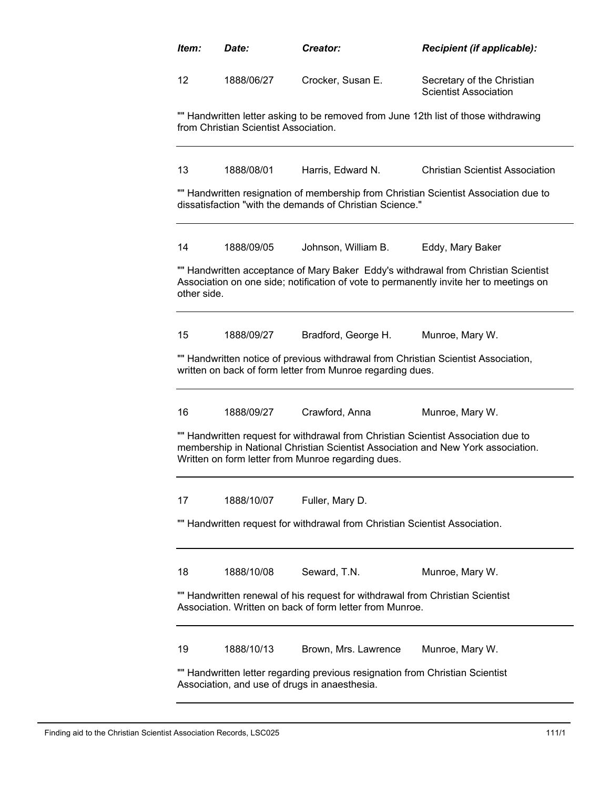| ltem:       | Date:                                 | Creator:                                                                                                                                  | Recipient (if applicable):                                                                                                                                                   |
|-------------|---------------------------------------|-------------------------------------------------------------------------------------------------------------------------------------------|------------------------------------------------------------------------------------------------------------------------------------------------------------------------------|
| 12          | 1888/06/27                            | Crocker, Susan E.                                                                                                                         | Secretary of the Christian<br><b>Scientist Association</b>                                                                                                                   |
|             | from Christian Scientist Association. |                                                                                                                                           | "" Handwritten letter asking to be removed from June 12th list of those withdrawing                                                                                          |
| 13          | 1888/08/01                            | Harris, Edward N.                                                                                                                         | <b>Christian Scientist Association</b>                                                                                                                                       |
|             |                                       | dissatisfaction "with the demands of Christian Science."                                                                                  | "" Handwritten resignation of membership from Christian Scientist Association due to                                                                                         |
| 14          | 1888/09/05                            | Johnson, William B.                                                                                                                       | Eddy, Mary Baker                                                                                                                                                             |
| other side. |                                       |                                                                                                                                           | "" Handwritten acceptance of Mary Baker Eddy's withdrawal from Christian Scientist<br>Association on one side; notification of vote to permanently invite her to meetings on |
| 15          | 1888/09/27                            | Bradford, George H.                                                                                                                       | Munroe, Mary W.                                                                                                                                                              |
|             |                                       | written on back of form letter from Munroe regarding dues.                                                                                | "" Handwritten notice of previous withdrawal from Christian Scientist Association,                                                                                           |
| 16          | 1888/09/27                            | Crawford, Anna                                                                                                                            | Munroe, Mary W.                                                                                                                                                              |
|             |                                       | Written on form letter from Munroe regarding dues.                                                                                        | "" Handwritten request for withdrawal from Christian Scientist Association due to<br>membership in National Christian Scientist Association and New York association.        |
| 17          | 1888/10/07                            | Fuller, Mary D.                                                                                                                           |                                                                                                                                                                              |
|             |                                       | "" Handwritten request for withdrawal from Christian Scientist Association.                                                               |                                                                                                                                                                              |
| 18          | 1888/10/08                            | Seward, T.N.                                                                                                                              | Munroe, Mary W.                                                                                                                                                              |
|             |                                       | "" Handwritten renewal of his request for withdrawal from Christian Scientist<br>Association. Written on back of form letter from Munroe. |                                                                                                                                                                              |
| 19          | 1888/10/13                            | Brown, Mrs. Lawrence                                                                                                                      | Munroe, Mary W.                                                                                                                                                              |
|             |                                       | "" Handwritten letter regarding previous resignation from Christian Scientist<br>Association, and use of drugs in anaesthesia.            |                                                                                                                                                                              |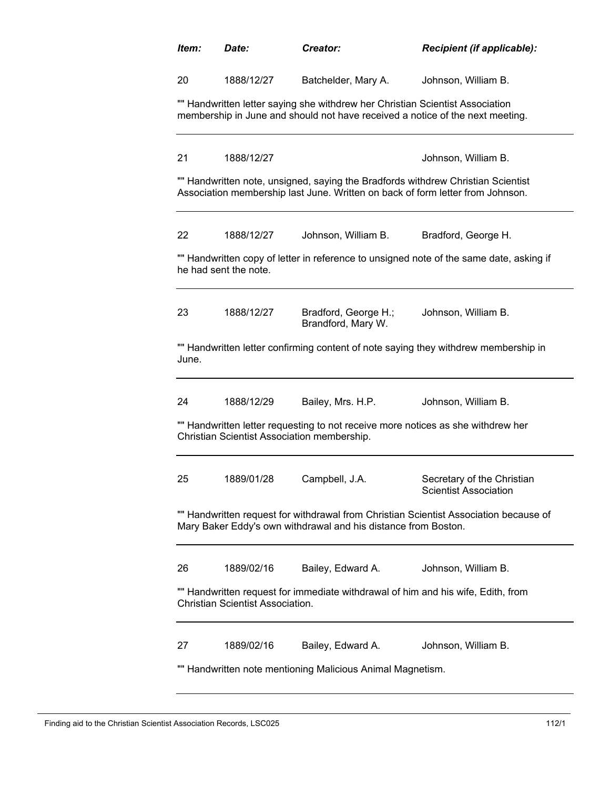| Item:                                                                                                                                                              | Date:                                                                                                                                                          | Creator:                                   | Recipient (if applicable):                                                              |  |
|--------------------------------------------------------------------------------------------------------------------------------------------------------------------|----------------------------------------------------------------------------------------------------------------------------------------------------------------|--------------------------------------------|-----------------------------------------------------------------------------------------|--|
| 20                                                                                                                                                                 | 1888/12/27                                                                                                                                                     | Batchelder, Mary A.                        | Johnson, William B.                                                                     |  |
|                                                                                                                                                                    | "" Handwritten letter saying she withdrew her Christian Scientist Association<br>membership in June and should not have received a notice of the next meeting. |                                            |                                                                                         |  |
| 21                                                                                                                                                                 | 1888/12/27                                                                                                                                                     |                                            | Johnson, William B.                                                                     |  |
| "" Handwritten note, unsigned, saying the Bradfords withdrew Christian Scientist<br>Association membership last June. Written on back of form letter from Johnson. |                                                                                                                                                                |                                            |                                                                                         |  |
| 22                                                                                                                                                                 | 1888/12/27                                                                                                                                                     | Johnson, William B.                        | Bradford, George H.                                                                     |  |
|                                                                                                                                                                    | he had sent the note.                                                                                                                                          |                                            | "" Handwritten copy of letter in reference to unsigned note of the same date, asking if |  |
| 23                                                                                                                                                                 | 1888/12/27                                                                                                                                                     | Bradford, George H.;<br>Brandford, Mary W. | Johnson, William B.                                                                     |  |
| June.                                                                                                                                                              |                                                                                                                                                                |                                            | "" Handwritten letter confirming content of note saying they withdrew membership in     |  |
| 24                                                                                                                                                                 | 1888/12/29                                                                                                                                                     | Bailey, Mrs. H.P.                          | Johnson, William B.                                                                     |  |
| "" Handwritten letter requesting to not receive more notices as she withdrew her<br>Christian Scientist Association membership.                                    |                                                                                                                                                                |                                            |                                                                                         |  |
| 25                                                                                                                                                                 | 1889/01/28                                                                                                                                                     | Campbell, J.A.                             | Secretary of the Christian<br><b>Scientist Association</b>                              |  |
| "" Handwritten request for withdrawal from Christian Scientist Association because of<br>Mary Baker Eddy's own withdrawal and his distance from Boston.            |                                                                                                                                                                |                                            |                                                                                         |  |
| 26                                                                                                                                                                 | 1889/02/16                                                                                                                                                     | Bailey, Edward A.                          | Johnson, William B.                                                                     |  |
| "" Handwritten request for immediate withdrawal of him and his wife, Edith, from<br><b>Christian Scientist Association.</b>                                        |                                                                                                                                                                |                                            |                                                                                         |  |
| 27                                                                                                                                                                 | 1889/02/16                                                                                                                                                     | Bailey, Edward A.                          | Johnson, William B.                                                                     |  |
| "" Handwritten note mentioning Malicious Animal Magnetism.                                                                                                         |                                                                                                                                                                |                                            |                                                                                         |  |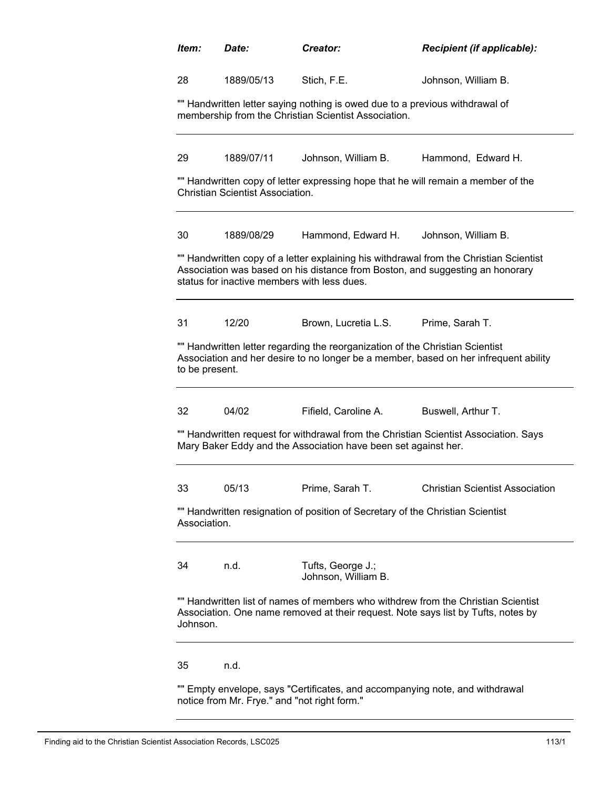| Item:                                                                                                                                                                                                                  | Date:                                                                                                                                | Creator:                                                                          | Recipient (if applicable):                                                                                                                                             |  |  |
|------------------------------------------------------------------------------------------------------------------------------------------------------------------------------------------------------------------------|--------------------------------------------------------------------------------------------------------------------------------------|-----------------------------------------------------------------------------------|------------------------------------------------------------------------------------------------------------------------------------------------------------------------|--|--|
| 28                                                                                                                                                                                                                     | 1889/05/13                                                                                                                           | Stich, F.E.                                                                       | Johnson, William B.                                                                                                                                                    |  |  |
|                                                                                                                                                                                                                        | "" Handwritten letter saying nothing is owed due to a previous withdrawal of<br>membership from the Christian Scientist Association. |                                                                                   |                                                                                                                                                                        |  |  |
| 29                                                                                                                                                                                                                     | 1889/07/11                                                                                                                           | Johnson, William B.                                                               | Hammond, Edward H.                                                                                                                                                     |  |  |
|                                                                                                                                                                                                                        | <b>Christian Scientist Association.</b>                                                                                              | "" Handwritten copy of letter expressing hope that he will remain a member of the |                                                                                                                                                                        |  |  |
| 30                                                                                                                                                                                                                     | 1889/08/29                                                                                                                           | Hammond, Edward H.                                                                | Johnson, William B.                                                                                                                                                    |  |  |
| "" Handwritten copy of a letter explaining his withdrawal from the Christian Scientist<br>Association was based on his distance from Boston, and suggesting an honorary<br>status for inactive members with less dues. |                                                                                                                                      |                                                                                   |                                                                                                                                                                        |  |  |
| 31                                                                                                                                                                                                                     | 12/20                                                                                                                                | Brown, Lucretia L.S.                                                              | Prime, Sarah T.                                                                                                                                                        |  |  |
| to be present.                                                                                                                                                                                                         |                                                                                                                                      | "" Handwritten letter regarding the reorganization of the Christian Scientist     | Association and her desire to no longer be a member, based on her infrequent ability                                                                                   |  |  |
| 32                                                                                                                                                                                                                     | 04/02                                                                                                                                | Fifield, Caroline A.                                                              | Buswell, Arthur T.                                                                                                                                                     |  |  |
|                                                                                                                                                                                                                        |                                                                                                                                      | Mary Baker Eddy and the Association have been set against her.                    | "" Handwritten request for withdrawal from the Christian Scientist Association. Says                                                                                   |  |  |
| 33                                                                                                                                                                                                                     | 05/13                                                                                                                                | Prime, Sarah T.                                                                   | <b>Christian Scientist Association</b>                                                                                                                                 |  |  |
| Association.                                                                                                                                                                                                           |                                                                                                                                      | "" Handwritten resignation of position of Secretary of the Christian Scientist    |                                                                                                                                                                        |  |  |
| 34                                                                                                                                                                                                                     | n.d.                                                                                                                                 | Tufts, George J.;<br>Johnson, William B.                                          |                                                                                                                                                                        |  |  |
| Johnson.                                                                                                                                                                                                               |                                                                                                                                      |                                                                                   | "" Handwritten list of names of members who withdrew from the Christian Scientist<br>Association. One name removed at their request. Note says list by Tufts, notes by |  |  |
| 35                                                                                                                                                                                                                     | n.d.                                                                                                                                 |                                                                                   |                                                                                                                                                                        |  |  |
|                                                                                                                                                                                                                        | "" Empty envelope, says "Certificates, and accompanying note, and withdrawal<br>notice from Mr. Frye." and "not right form."         |                                                                                   |                                                                                                                                                                        |  |  |